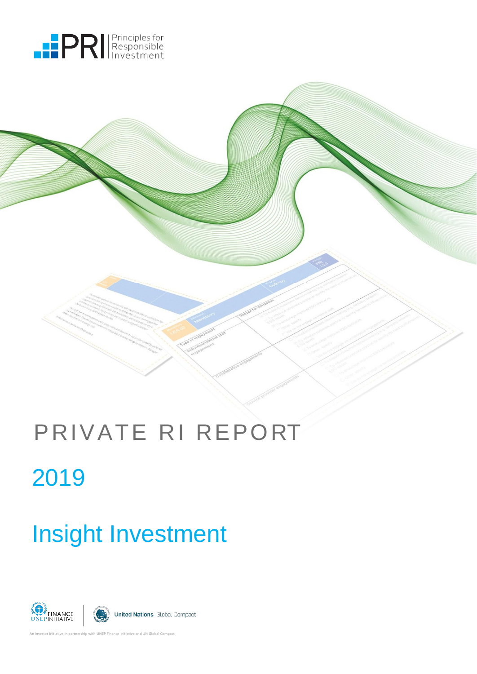



# Insight Investment





An investor initiative in partnership with UNEP Finance Initiative and UN Global Compact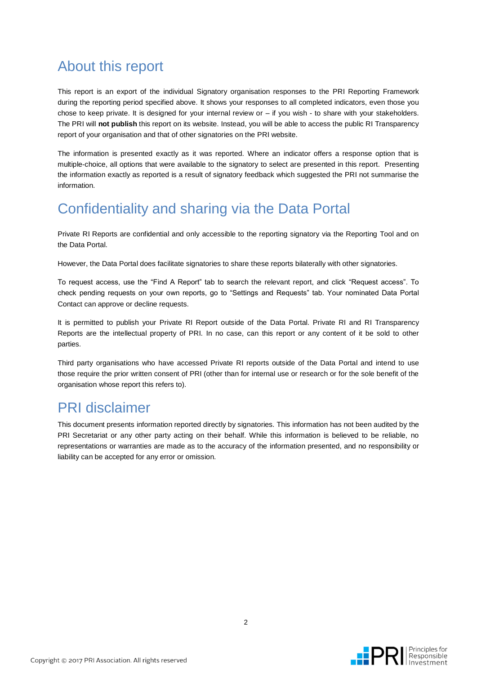## About this report

This report is an export of the individual Signatory organisation responses to the PRI Reporting Framework during the reporting period specified above. It shows your responses to all completed indicators, even those you chose to keep private. It is designed for your internal review  $or - if$  you wish - to share with your stakeholders. The PRI will **not publish** this report on its website. Instead, you will be able to access the public RI Transparency report of your organisation and that of other signatories on the [PRI website.](http://www.unpri.org/areas-of-work/reporting-and-assessment/reporting-outputs/)

The information is presented exactly as it was reported. Where an indicator offers a response option that is multiple-choice, all options that were available to the signatory to select are presented in this report. Presenting the information exactly as reported is a result of signatory feedback which suggested the PRI not summarise the information.

## Confidentiality and sharing via the Data Portal

Private RI Reports are confidential and only accessible to the reporting signatory via the Reporting Tool and on the Data Portal.

However, the Data Portal does facilitate signatories to share these reports bilaterally with other signatories.

To request access, use the "Find A Report" tab to search the relevant report, and click "Request access". To check pending requests on your own reports, go to "Settings and Requests" tab. Your nominated Data Portal Contact can approve or decline requests.

It is permitted to publish your Private RI Report outside of the Data Portal. Private RI and RI Transparency Reports are the intellectual property of PRI. In no case, can this report or any content of it be sold to other parties.

Third party organisations who have accessed Private RI reports outside of the Data Portal and intend to use those require the prior written consent of PRI (other than for internal use or research or for the sole benefit of the organisation whose report this refers to).

## PRI disclaimer

This document presents information reported directly by signatories. This information has not been audited by the PRI Secretariat or any other party acting on their behalf. While this information is believed to be reliable, no representations or warranties are made as to the accuracy of the information presented, and no responsibility or liability can be accepted for any error or omission.

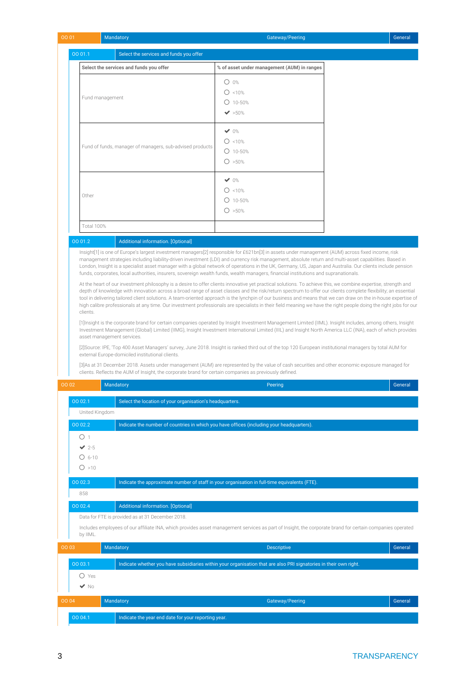| 00 01                              | Mandatory                                                                                                                                                                                                                                                                                                                                                                                                                                                                                                                                                                                                                                                                                                                   | Gateway/Peering                                                                                                   | General |
|------------------------------------|-----------------------------------------------------------------------------------------------------------------------------------------------------------------------------------------------------------------------------------------------------------------------------------------------------------------------------------------------------------------------------------------------------------------------------------------------------------------------------------------------------------------------------------------------------------------------------------------------------------------------------------------------------------------------------------------------------------------------------|-------------------------------------------------------------------------------------------------------------------|---------|
| 00 01.1                            | Select the services and funds you offer                                                                                                                                                                                                                                                                                                                                                                                                                                                                                                                                                                                                                                                                                     |                                                                                                                   |         |
|                                    | Select the services and funds you offer                                                                                                                                                                                                                                                                                                                                                                                                                                                                                                                                                                                                                                                                                     | % of asset under management (AUM) in ranges                                                                       |         |
|                                    |                                                                                                                                                                                                                                                                                                                                                                                                                                                                                                                                                                                                                                                                                                                             | $O$ 0%                                                                                                            |         |
|                                    |                                                                                                                                                                                                                                                                                                                                                                                                                                                                                                                                                                                                                                                                                                                             | $O$ <10%                                                                                                          |         |
|                                    | Fund management                                                                                                                                                                                                                                                                                                                                                                                                                                                                                                                                                                                                                                                                                                             | $O$ 10-50%                                                                                                        |         |
|                                    |                                                                                                                                                                                                                                                                                                                                                                                                                                                                                                                                                                                                                                                                                                                             | $\blacktriangleright$ 50%                                                                                         |         |
|                                    |                                                                                                                                                                                                                                                                                                                                                                                                                                                                                                                                                                                                                                                                                                                             |                                                                                                                   |         |
|                                    |                                                                                                                                                                                                                                                                                                                                                                                                                                                                                                                                                                                                                                                                                                                             | $\vee$ 0%                                                                                                         |         |
|                                    | Fund of funds, manager of managers, sub-advised products                                                                                                                                                                                                                                                                                                                                                                                                                                                                                                                                                                                                                                                                    | $O$ <10%                                                                                                          |         |
|                                    |                                                                                                                                                                                                                                                                                                                                                                                                                                                                                                                                                                                                                                                                                                                             | $O$ 10-50%                                                                                                        |         |
|                                    |                                                                                                                                                                                                                                                                                                                                                                                                                                                                                                                                                                                                                                                                                                                             | O > 50%                                                                                                           |         |
|                                    |                                                                                                                                                                                                                                                                                                                                                                                                                                                                                                                                                                                                                                                                                                                             | $\vee$ 0%                                                                                                         |         |
| Other                              |                                                                                                                                                                                                                                                                                                                                                                                                                                                                                                                                                                                                                                                                                                                             | $O$ <10%                                                                                                          |         |
|                                    |                                                                                                                                                                                                                                                                                                                                                                                                                                                                                                                                                                                                                                                                                                                             | $O$ 10-50%                                                                                                        |         |
|                                    |                                                                                                                                                                                                                                                                                                                                                                                                                                                                                                                                                                                                                                                                                                                             | O > 50%                                                                                                           |         |
| Total 100%                         |                                                                                                                                                                                                                                                                                                                                                                                                                                                                                                                                                                                                                                                                                                                             |                                                                                                                   |         |
| 00 01.2                            | <b>Additional information. [Optional]</b>                                                                                                                                                                                                                                                                                                                                                                                                                                                                                                                                                                                                                                                                                   |                                                                                                                   |         |
|                                    | Insight[1] is one of Europe's largest investment managers[2] responsible for £621bn[3] in assets under management (AUM) across fixed income, risk<br>management strategies including liability-driven investment (LDI) and currency risk management, absolute return and multi-asset capabilities. Based in<br>London, Insight is a specialist asset manager with a global network of operations in the UK, Germany, US, Japan and Australia. Our clients include pension<br>funds, corporates, local authorities, insurers, sovereign wealth funds, wealth managers, financial institutions and supranationals.                                                                                                            |                                                                                                                   |         |
|                                    | [1] Insight is the corporate brand for certain companies operated by Insight Investment Management Limited (IIML). Insight includes, among others, Insight<br>Investment Management (Global) Limited (IIMG), Insight Investment International Limited (IIIL) and Insight North America LLC (INA), each of which provides<br>asset management services.<br>[2] Source: IPE, 'Top 400 Asset Managers' survey, June 2018. Insight is ranked third out of the top 120 European institutional managers by total AUM for<br>external Europe-domiciled institutional clients.<br>[3] As at 31 December 2018. Assets under management (AUM) are represented by the value of cash securities and other economic exposure managed for |                                                                                                                   |         |
| 00 02                              | clients. Reflects the AUM of Insight, the corporate brand for certain companies as previously defined.<br>Mandatory                                                                                                                                                                                                                                                                                                                                                                                                                                                                                                                                                                                                         | Peering                                                                                                           | General |
|                                    |                                                                                                                                                                                                                                                                                                                                                                                                                                                                                                                                                                                                                                                                                                                             |                                                                                                                   |         |
| 00 02.1<br>United Kingdom          | Select the location of your organisation's headquarters.                                                                                                                                                                                                                                                                                                                                                                                                                                                                                                                                                                                                                                                                    |                                                                                                                   |         |
| 00 02.2                            |                                                                                                                                                                                                                                                                                                                                                                                                                                                                                                                                                                                                                                                                                                                             | Indicate the number of countries in which you have offices (including your headquarters).                         |         |
| O <sub>1</sub>                     |                                                                                                                                                                                                                                                                                                                                                                                                                                                                                                                                                                                                                                                                                                                             |                                                                                                                   |         |
| $\vee$ 2-5                         |                                                                                                                                                                                                                                                                                                                                                                                                                                                                                                                                                                                                                                                                                                                             |                                                                                                                   |         |
| $O$ 6-10                           |                                                                                                                                                                                                                                                                                                                                                                                                                                                                                                                                                                                                                                                                                                                             |                                                                                                                   |         |
| O > 10                             |                                                                                                                                                                                                                                                                                                                                                                                                                                                                                                                                                                                                                                                                                                                             |                                                                                                                   |         |
| 00 02.3                            |                                                                                                                                                                                                                                                                                                                                                                                                                                                                                                                                                                                                                                                                                                                             | Indicate the approximate number of staff in your organisation in full-time equivalents (FTE).                     |         |
| 858                                |                                                                                                                                                                                                                                                                                                                                                                                                                                                                                                                                                                                                                                                                                                                             |                                                                                                                   |         |
| 00 02.4                            | <b>Additional information. [Optional]</b>                                                                                                                                                                                                                                                                                                                                                                                                                                                                                                                                                                                                                                                                                   |                                                                                                                   |         |
|                                    | Data for FTE is provided as at 31 December 2018.                                                                                                                                                                                                                                                                                                                                                                                                                                                                                                                                                                                                                                                                            |                                                                                                                   |         |
| by IIML.                           | Includes employees of our affiliate INA, which provides asset management services as part of Insight, the corporate brand for certain companies operated                                                                                                                                                                                                                                                                                                                                                                                                                                                                                                                                                                    |                                                                                                                   |         |
| 00 03                              | Mandatory                                                                                                                                                                                                                                                                                                                                                                                                                                                                                                                                                                                                                                                                                                                   | Descriptive                                                                                                       | General |
| 00 03.1                            |                                                                                                                                                                                                                                                                                                                                                                                                                                                                                                                                                                                                                                                                                                                             |                                                                                                                   |         |
|                                    |                                                                                                                                                                                                                                                                                                                                                                                                                                                                                                                                                                                                                                                                                                                             | Indicate whether you have subsidiaries within your organisation that are also PRI signatories in their own right. |         |
|                                    |                                                                                                                                                                                                                                                                                                                                                                                                                                                                                                                                                                                                                                                                                                                             |                                                                                                                   |         |
| $O$ Yes<br>$\blacktriangledown$ No |                                                                                                                                                                                                                                                                                                                                                                                                                                                                                                                                                                                                                                                                                                                             |                                                                                                                   |         |
|                                    |                                                                                                                                                                                                                                                                                                                                                                                                                                                                                                                                                                                                                                                                                                                             |                                                                                                                   | General |
| 00 04<br>00 04.1                   | Mandatory<br>Indicate the year end date for your reporting year.                                                                                                                                                                                                                                                                                                                                                                                                                                                                                                                                                                                                                                                            | Gateway/Peering                                                                                                   |         |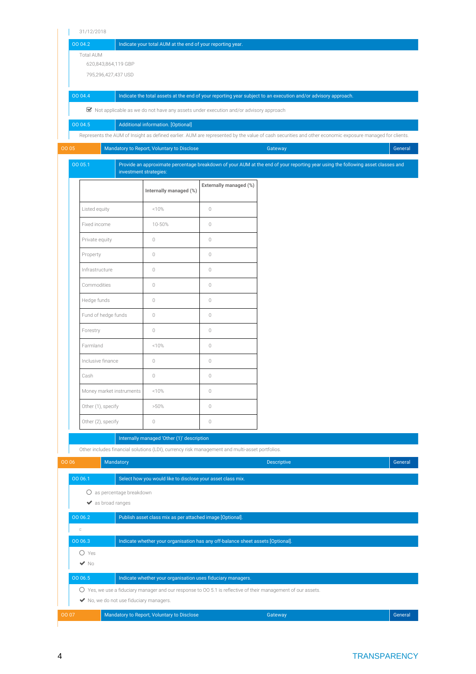| 31/12/2018                                                                                                    |                                                             |                                                                                        |                                                                                                                                                        |         |
|---------------------------------------------------------------------------------------------------------------|-------------------------------------------------------------|----------------------------------------------------------------------------------------|--------------------------------------------------------------------------------------------------------------------------------------------------------|---------|
| 00 04.2                                                                                                       | Indicate your total AUM at the end of your reporting year.  |                                                                                        |                                                                                                                                                        |         |
| <b>Total AUM</b><br>620,843,864,119 GBP                                                                       |                                                             |                                                                                        |                                                                                                                                                        |         |
| 795,296,427,437 USD                                                                                           |                                                             |                                                                                        |                                                                                                                                                        |         |
|                                                                                                               |                                                             |                                                                                        |                                                                                                                                                        |         |
| 00 04.4                                                                                                       |                                                             |                                                                                        | Indicate the total assets at the end of your reporting year subject to an execution and/or advisory approach.                                          |         |
|                                                                                                               |                                                             | ■ Not applicable as we do not have any assets under execution and/or advisory approach |                                                                                                                                                        |         |
| 00 04.5                                                                                                       | Additional information. [Optional]                          |                                                                                        |                                                                                                                                                        |         |
|                                                                                                               |                                                             |                                                                                        | Represents the AUM of Insight as defined earlier. AUM are represented by the value of cash securities and other economic exposure managed for clients. |         |
| 00 05                                                                                                         | Mandatory to Report, Voluntary to Disclose                  |                                                                                        | Gateway                                                                                                                                                | General |
| 00 05.1                                                                                                       | investment strategies:                                      |                                                                                        | Provide an approximate percentage breakdown of your AUM at the end of your reporting year using the following asset classes and                        |         |
|                                                                                                               | Internally managed (%)                                      | Externally managed (%)                                                                 |                                                                                                                                                        |         |
| Listed equity                                                                                                 | <10%                                                        | $\circ$                                                                                |                                                                                                                                                        |         |
| Fixed income                                                                                                  | 10-50%                                                      | $\circ$                                                                                |                                                                                                                                                        |         |
| Private equity                                                                                                | $\circ$                                                     | $\circ$                                                                                |                                                                                                                                                        |         |
| Property                                                                                                      | $\circ$                                                     | $\circ$                                                                                |                                                                                                                                                        |         |
| Infrastructure                                                                                                | $\circ$                                                     | $\circ$                                                                                |                                                                                                                                                        |         |
| Commodities                                                                                                   | $\circ$                                                     | $\circ$                                                                                |                                                                                                                                                        |         |
| Hedge funds                                                                                                   | $\circ$                                                     | $\circ$                                                                                |                                                                                                                                                        |         |
| Fund of hedge funds                                                                                           | $\circ$                                                     | $\circ$                                                                                |                                                                                                                                                        |         |
|                                                                                                               |                                                             |                                                                                        |                                                                                                                                                        |         |
| Forestry                                                                                                      | $\circ$                                                     | $\circ$                                                                                |                                                                                                                                                        |         |
| Farmland                                                                                                      | <10%                                                        | $\circ$                                                                                |                                                                                                                                                        |         |
| Inclusive finance                                                                                             | $\circ$                                                     | $\circ$                                                                                |                                                                                                                                                        |         |
| Cash                                                                                                          | $\mathbb O$                                                 | $\mathbb O$                                                                            |                                                                                                                                                        |         |
| Money market instruments                                                                                      | <10%                                                        | $\mathbb O$                                                                            |                                                                                                                                                        |         |
| Other (1), specify                                                                                            | $>50\%$                                                     | $\mathbb O$                                                                            |                                                                                                                                                        |         |
| Other (2), specify                                                                                            | $\circledcirc$                                              | $\mathbb O$                                                                            |                                                                                                                                                        |         |
|                                                                                                               | Internally managed 'Other (1)' description                  |                                                                                        |                                                                                                                                                        |         |
| Other includes financial solutions (LDI), currency risk management and multi-asset portfolios.                |                                                             |                                                                                        |                                                                                                                                                        |         |
| 00 06<br>Mandatory                                                                                            |                                                             |                                                                                        | <b>Descriptive</b>                                                                                                                                     | General |
| 00 06.1                                                                                                       | Select how you would like to disclose your asset class mix. |                                                                                        |                                                                                                                                                        |         |
| O as percentage breakdown                                                                                     |                                                             |                                                                                        |                                                                                                                                                        |         |
| ◆ as broad ranges                                                                                             |                                                             |                                                                                        |                                                                                                                                                        |         |
| 00 06.2                                                                                                       | Publish asset class mix as per attached image [Optional].   |                                                                                        |                                                                                                                                                        |         |
| $\Box$                                                                                                        |                                                             |                                                                                        |                                                                                                                                                        |         |
| 00 06.3                                                                                                       |                                                             | Indicate whether your organisation has any off-balance sheet assets [Optional].        |                                                                                                                                                        |         |
| $O$ Yes<br>$\blacktriangledown$ No                                                                            |                                                             |                                                                                        |                                                                                                                                                        |         |
| 00 06.5                                                                                                       | Indicate whether your organisation uses fiduciary managers. |                                                                                        |                                                                                                                                                        |         |
| O Yes, we use a fiduciary manager and our response to 00 5.1 is reflective of their management of our assets. |                                                             |                                                                                        |                                                                                                                                                        |         |
| No, we do not use fiduciary managers.                                                                         |                                                             |                                                                                        |                                                                                                                                                        |         |
| 00 07                                                                                                         | Mandatory to Report, Voluntary to Disclose                  |                                                                                        | Gateway                                                                                                                                                | General |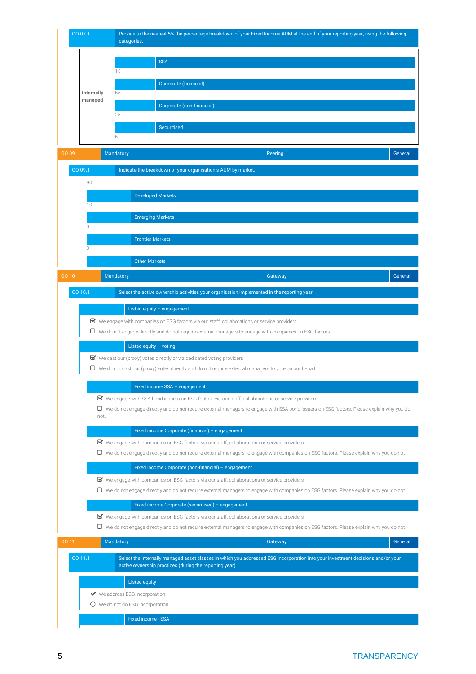

OO 10 Mandatory Gateway Gateway Gateway Gateway Gateway Gateway General Control of General Control of General

OO 10.1 Select the active ownership activities your organisation implemented in the reporting year.

### Listed equity – engagement

We engage with companies on ESG factors via our staff, collaborations or service providers.

 $\Box$  We do not engage directly and do not require external managers to engage with companies on ESG factors.

### Listed equity – voting

 $\blacktriangleright$  We cast our (proxy) votes directly or via dedicated voting providers

We do not cast our (proxy) votes directly and do not require external managers to vote on our behalf

### Fixed income SSA – engagement

We engage with SSA bond issuers on ESG factors via our staff, collaborations or service providers.

 We do not engage directly and do not require external managers to engage with SSA bond issuers on ESG factors. Please explain why you do not.

### Fixed income Corporate (financial) – engagement

We engage with companies on ESG factors via our staff, collaborations or service providers.

We do not engage directly and do not require external managers to engage with companies on ESG factors. Please explain why you do not.

### Fixed income Corporate (non-financial) – engagement

We engage with companies on ESG factors via our staff, collaborations or service providers.

We do not engage directly and do not require external managers to engage with companies on ESG factors. Please explain why you do not.

### Fixed income Corporate (securitised) – engagement

We engage with companies on ESG factors via our staff, collaborations or service providers.

We do not engage directly and do not require external managers to engage with companies on ESG factors. Please explain why you do not.

| 00 11 |         | Mandatory |  |                                                                                                                                                                                            | Gateway | General |
|-------|---------|-----------|--|--------------------------------------------------------------------------------------------------------------------------------------------------------------------------------------------|---------|---------|
|       | 00 11.1 |           |  | Select the internally managed asset classes in which you addressed ESG incorporation into your investment decisions and/or your<br>active ownership practices (during the reporting year). |         |         |
|       |         |           |  | <b>Listed equity</b>                                                                                                                                                                       |         |         |
|       |         |           |  | ◆ We address ESG incorporation.<br>$\bigcirc$ We do not do ESG incorporation.                                                                                                              |         |         |
|       |         |           |  | <b>Fixed income - SSA</b>                                                                                                                                                                  |         |         |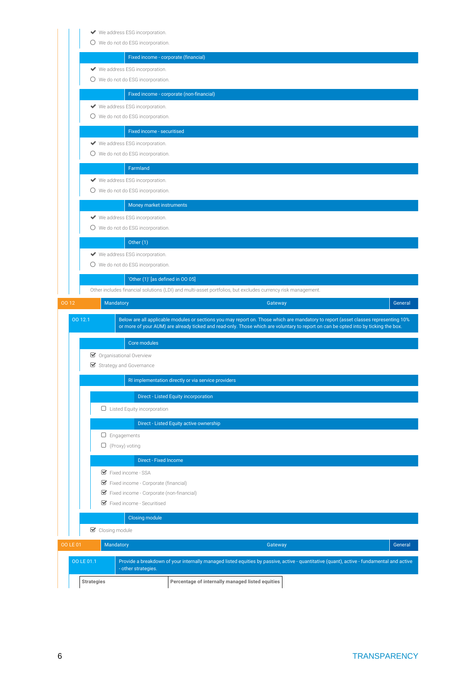|                  | ◆ We address ESG incorporation. |                                                                            |                                                                                                                                           |                                                                                                             |         |
|------------------|---------------------------------|----------------------------------------------------------------------------|-------------------------------------------------------------------------------------------------------------------------------------------|-------------------------------------------------------------------------------------------------------------|---------|
|                  |                                 | O We do not do ESG incorporation.                                          |                                                                                                                                           |                                                                                                             |         |
|                  |                                 | Fixed income - corporate (financial)                                       |                                                                                                                                           |                                                                                                             |         |
|                  |                                 | ◆ We address ESG incorporation.                                            |                                                                                                                                           |                                                                                                             |         |
|                  |                                 | O We do not do ESG incorporation.                                          |                                                                                                                                           |                                                                                                             |         |
|                  |                                 |                                                                            |                                                                                                                                           |                                                                                                             |         |
|                  |                                 |                                                                            | Fixed income - corporate (non-financial)                                                                                                  |                                                                                                             |         |
|                  |                                 | ◆ We address ESG incorporation.                                            |                                                                                                                                           |                                                                                                             |         |
|                  |                                 | O We do not do ESG incorporation.                                          |                                                                                                                                           |                                                                                                             |         |
|                  |                                 | Fixed income - securitised                                                 |                                                                                                                                           |                                                                                                             |         |
|                  |                                 | ◆ We address ESG incorporation.                                            |                                                                                                                                           |                                                                                                             |         |
|                  |                                 | O We do not do ESG incorporation.                                          |                                                                                                                                           |                                                                                                             |         |
|                  |                                 | Farmland                                                                   |                                                                                                                                           |                                                                                                             |         |
|                  |                                 | ◆ We address ESG incorporation.                                            |                                                                                                                                           |                                                                                                             |         |
|                  |                                 | O We do not do ESG incorporation.                                          |                                                                                                                                           |                                                                                                             |         |
|                  |                                 |                                                                            |                                                                                                                                           |                                                                                                             |         |
|                  |                                 | Money market instruments                                                   |                                                                                                                                           |                                                                                                             |         |
|                  |                                 | ◆ We address ESG incorporation.                                            |                                                                                                                                           |                                                                                                             |         |
|                  |                                 | O We do not do ESG incorporation.                                          |                                                                                                                                           |                                                                                                             |         |
|                  |                                 | Other $(1)$                                                                |                                                                                                                                           |                                                                                                             |         |
|                  |                                 | ◆ We address ESG incorporation.                                            |                                                                                                                                           |                                                                                                             |         |
|                  |                                 | O We do not do ESG incorporation.                                          |                                                                                                                                           |                                                                                                             |         |
|                  |                                 | 'Other (1)' [as defined in OO 05]                                          |                                                                                                                                           |                                                                                                             |         |
|                  |                                 |                                                                            |                                                                                                                                           |                                                                                                             |         |
|                  |                                 |                                                                            |                                                                                                                                           |                                                                                                             |         |
|                  |                                 |                                                                            |                                                                                                                                           | Other includes financial solutions (LDI) and multi-asset portfolios, but excludes currency risk management. |         |
| 00 12<br>00 12.1 | Mandatory                       |                                                                            | Below are all applicable modules or sections you may report on. Those which are mandatory to report (asset classes representing 10%       | Gateway                                                                                                     | General |
|                  |                                 |                                                                            | or more of your AUM) are already ticked and read-only. Those which are voluntary to report on can be opted into by ticking the box.       |                                                                                                             |         |
|                  |                                 | Core modules                                                               |                                                                                                                                           |                                                                                                             |         |
|                  | ■ Organisational Overview       |                                                                            |                                                                                                                                           |                                                                                                             |         |
|                  | Strategy and Governance         |                                                                            |                                                                                                                                           |                                                                                                             |         |
|                  |                                 |                                                                            | RI implementation directly or via service providers                                                                                       |                                                                                                             |         |
|                  |                                 |                                                                            |                                                                                                                                           |                                                                                                             |         |
|                  |                                 |                                                                            | <b>Direct - Listed Equity incorporation</b>                                                                                               |                                                                                                             |         |
|                  |                                 | $\Box$ Listed Equity incorporation                                         |                                                                                                                                           |                                                                                                             |         |
|                  |                                 |                                                                            | Direct - Listed Equity active ownership                                                                                                   |                                                                                                             |         |
|                  | $\Box$ Engagements              |                                                                            |                                                                                                                                           |                                                                                                             |         |
|                  | $\Box$ (Proxy) voting           |                                                                            |                                                                                                                                           |                                                                                                             |         |
|                  |                                 | Direct - Fixed Income                                                      |                                                                                                                                           |                                                                                                             |         |
|                  |                                 | Fixed income - SSA                                                         |                                                                                                                                           |                                                                                                             |         |
|                  |                                 |                                                                            |                                                                                                                                           |                                                                                                             |         |
|                  |                                 | ■ Fixed income - Corporate (financial)                                     |                                                                                                                                           |                                                                                                             |         |
|                  |                                 | ■ Fixed income - Corporate (non-financial)<br>■ Fixed income - Securitised |                                                                                                                                           |                                                                                                             |         |
|                  |                                 |                                                                            |                                                                                                                                           |                                                                                                             |         |
|                  |                                 | Closing module                                                             |                                                                                                                                           |                                                                                                             |         |
|                  | $\triangleright$ Closing module |                                                                            |                                                                                                                                           |                                                                                                             |         |
| <b>OO LE 01</b>  | Mandatory                       |                                                                            |                                                                                                                                           | Gateway                                                                                                     | General |
|                  |                                 |                                                                            |                                                                                                                                           |                                                                                                             |         |
| OO LE 01.1       |                                 | - other strategies.                                                        | Provide a breakdown of your internally managed listed equities by passive, active - quantitative (quant), active - fundamental and active |                                                                                                             |         |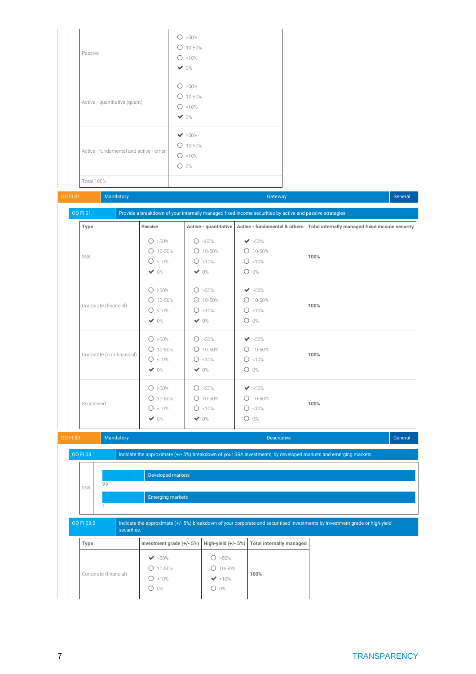| Passive                                 | O > 50%<br>$O$ 10-50%<br>$O$ <10%<br>$\vee$ 0%                |  |  |
|-----------------------------------------|---------------------------------------------------------------|--|--|
| Active - quantitative (quant)           | O > 50%<br>$O$ 10-50%<br>$O$ <10%<br>$\vee$ 0%                |  |  |
| Active - fundamental and active - other | $\blacktriangledown$ >50%<br>$O$ 10-50%<br>$O$ <10%<br>$O$ 0% |  |  |
| <b>Total 100%</b>                       |                                                               |  |  |

### OO FI 01 Mandatory Gateway Gateway Gateway Gateway Gateway Gateway General General General General G

| Type                      | Passive    |            |                           | Active - quantitative Active - fundamental & others   Total internally managed fixed income security |
|---------------------------|------------|------------|---------------------------|------------------------------------------------------------------------------------------------------|
|                           | O > 50%    | O > 50%    | $\blacktriangledown$ >50% |                                                                                                      |
| <b>SSA</b>                | $O$ 10-50% | $O$ 10-50% | $O$ 10-50%                | 100%                                                                                                 |
|                           | $O$ <10%   | $O$ <10%   | $O$ <10%                  |                                                                                                      |
|                           | $\vee$ 0%  | $\vee$ 0%  | $O$ 0%                    |                                                                                                      |
|                           | O > 50%    | O > 50%    | $\blacktriangleright$ 50% |                                                                                                      |
|                           | $O$ 10-50% | $O$ 10-50% | $O$ 10-50%                |                                                                                                      |
| Corporate (financial)     | $O$ <10%   | $O$ <10%   | $O$ <10%                  | 100%                                                                                                 |
|                           | $\vee$ 0%  | $\vee$ 0%  | $O$ 0%                    |                                                                                                      |
|                           | O > 50%    | O > 50%    | $\blacktriangleright$ 50% |                                                                                                      |
|                           | $O$ 10-50% | $O$ 10-50% | $O$ 10-50%                |                                                                                                      |
| Corporate (non-financial) | $O$ <10%   | $O$ <10%   | $O$ <10%                  | 100%                                                                                                 |
|                           | $\vee$ 0%  | $\vee$ 0%  | $O$ 0%                    |                                                                                                      |
|                           | O > 50%    | O > 50%    | $\blacktriangledown$ >50% |                                                                                                      |
|                           | $O$ 10-50% | $O$ 10-50% | $O$ 10-50%                |                                                                                                      |
| Securitised               | $O$ <10%   | $O$ <10%   | $O$ <10%                  | 100%                                                                                                 |
|                           | $\vee$ 0%  | $\vee$ 0%  | $O$ 0%                    |                                                                                                      |

|  | Mandatory<br><b>OO FI 03</b> |             |    |                                                                                                                 |                           | <b>Descriptive</b>    |                                 | General                                                                                                                     |  |  |
|--|------------------------------|-------------|----|-----------------------------------------------------------------------------------------------------------------|---------------------------|-----------------------|---------------------------------|-----------------------------------------------------------------------------------------------------------------------------|--|--|
|  |                              | OO FI 03.1  |    | Indicate the approximate (+/- 5%) breakdown of your SSA investments, by developed markets and emerging markets. |                           |                       |                                 |                                                                                                                             |  |  |
|  |                              | <b>SSA</b>  | 99 |                                                                                                                 | Developed markets         |                       |                                 |                                                                                                                             |  |  |
|  |                              |             |    |                                                                                                                 | <b>Emerging markets</b>   |                       |                                 |                                                                                                                             |  |  |
|  |                              | OO FI 03.2  |    | securities.                                                                                                     |                           |                       |                                 | Indicate the approximate (+/- 5%) breakdown of your corporate and securitised investments by investment grade or high-yield |  |  |
|  |                              | <b>Type</b> |    |                                                                                                                 | Investment grade (+/- 5%) | High-yield $(+/- 5%)$ | <b>Total internally managed</b> |                                                                                                                             |  |  |
|  |                              |             |    |                                                                                                                 | $\blacktriangleright$ 50% | ◯<br>$>50\%$          |                                 |                                                                                                                             |  |  |
|  | Corporate (financial)        |             |    |                                                                                                                 | 10-50%                    | 10-50%                | 100%                            |                                                                                                                             |  |  |
|  |                              |             |    | <10%<br>O                                                                                                       | $\blacktriangledown$ <10% |                       |                                 |                                                                                                                             |  |  |

0%

 $\mathbf{I}$ 

0%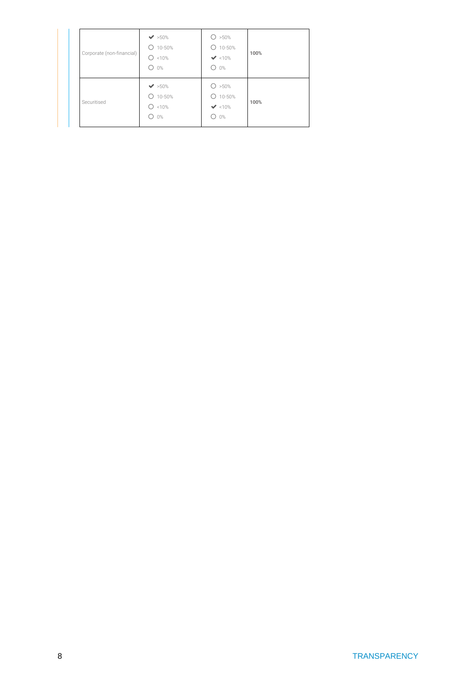| Corporate (non-financial) | $\blacktriangleright$ 50%<br>$O$ 10-50%<br>∩<br>< 10%<br>$O$ 0%    | O > 50%<br>$O$ 10-50%<br>$\blacktriangleright$ <10%<br>$O$ 0%  | 100% |
|---------------------------|--------------------------------------------------------------------|----------------------------------------------------------------|------|
| Securitised               | $\blacktriangleright$ 50%<br>$O$ 10-50%<br>∩<br><10%<br>$0\%$<br>∩ | O > 50%<br>$O$ 10-50%<br>$\blacktriangleright$ <10%<br>0%<br>∩ | 100% |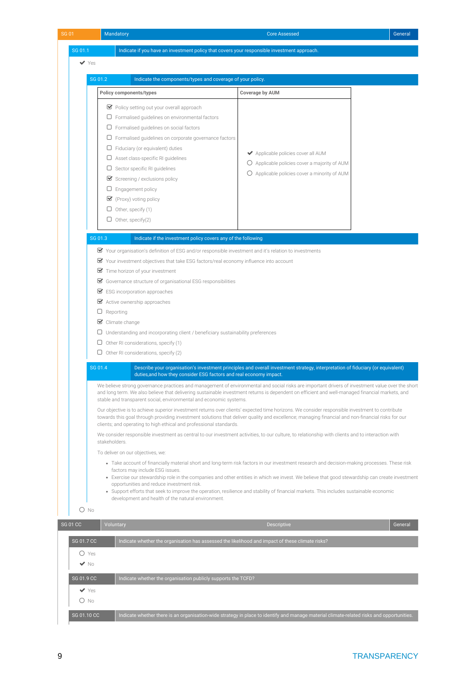| SG 01.1                  |                                                                                        | Indicate if you have an investment policy that covers your responsible investment approach.                                        |                                                                                                                                                                                                                                                                                                                                                                                                                                           |         |  |  |  |
|--------------------------|----------------------------------------------------------------------------------------|------------------------------------------------------------------------------------------------------------------------------------|-------------------------------------------------------------------------------------------------------------------------------------------------------------------------------------------------------------------------------------------------------------------------------------------------------------------------------------------------------------------------------------------------------------------------------------------|---------|--|--|--|
|                          |                                                                                        |                                                                                                                                    |                                                                                                                                                                                                                                                                                                                                                                                                                                           |         |  |  |  |
| $\blacktriangledown$ Yes |                                                                                        |                                                                                                                                    |                                                                                                                                                                                                                                                                                                                                                                                                                                           |         |  |  |  |
|                          | SG 01.2<br>Indicate the components/types and coverage of your policy.                  |                                                                                                                                    |                                                                                                                                                                                                                                                                                                                                                                                                                                           |         |  |  |  |
|                          | <b>Policy components/types</b>                                                         |                                                                                                                                    | <b>Coverage by AUM</b>                                                                                                                                                                                                                                                                                                                                                                                                                    |         |  |  |  |
|                          |                                                                                        |                                                                                                                                    |                                                                                                                                                                                                                                                                                                                                                                                                                                           |         |  |  |  |
|                          |                                                                                        | ■ Policy setting out your overall approach                                                                                         |                                                                                                                                                                                                                                                                                                                                                                                                                                           |         |  |  |  |
|                          |                                                                                        | $\Box$ Formalised guidelines on environmental factors                                                                              |                                                                                                                                                                                                                                                                                                                                                                                                                                           |         |  |  |  |
|                          |                                                                                        | $\Box$ Formalised guidelines on social factors                                                                                     |                                                                                                                                                                                                                                                                                                                                                                                                                                           |         |  |  |  |
|                          |                                                                                        | $\Box$ Formalised guidelines on corporate governance factors                                                                       |                                                                                                                                                                                                                                                                                                                                                                                                                                           |         |  |  |  |
|                          |                                                                                        | $\Box$ Fiduciary (or equivalent) duties<br>$\Box$ Asset class-specific RI guidelines                                               | ◆ Applicable policies cover all AUM                                                                                                                                                                                                                                                                                                                                                                                                       |         |  |  |  |
|                          |                                                                                        | $\Box$ Sector specific RI guidelines                                                                                               | $\bigcirc$ Applicable policies cover a majority of AUM                                                                                                                                                                                                                                                                                                                                                                                    |         |  |  |  |
|                          |                                                                                        | Screening / exclusions policy                                                                                                      | O Applicable policies cover a minority of AUM                                                                                                                                                                                                                                                                                                                                                                                             |         |  |  |  |
|                          |                                                                                        | $\Box$ Engagement policy                                                                                                           |                                                                                                                                                                                                                                                                                                                                                                                                                                           |         |  |  |  |
|                          |                                                                                        | $\blacktriangleright$ (Proxy) voting policy                                                                                        |                                                                                                                                                                                                                                                                                                                                                                                                                                           |         |  |  |  |
|                          |                                                                                        | $\Box$ Other, specify (1)                                                                                                          |                                                                                                                                                                                                                                                                                                                                                                                                                                           |         |  |  |  |
|                          |                                                                                        | $\Box$ Other, specify(2)                                                                                                           |                                                                                                                                                                                                                                                                                                                                                                                                                                           |         |  |  |  |
|                          |                                                                                        |                                                                                                                                    |                                                                                                                                                                                                                                                                                                                                                                                                                                           |         |  |  |  |
|                          | SG 01.3                                                                                | Indicate if the investment policy covers any of the following                                                                      |                                                                                                                                                                                                                                                                                                                                                                                                                                           |         |  |  |  |
|                          |                                                                                        | ■ Your organisation's definition of ESG and/or responsible investment and it's relation to investments                             |                                                                                                                                                                                                                                                                                                                                                                                                                                           |         |  |  |  |
|                          |                                                                                        | ■ Your investment objectives that take ESG factors/real economy influence into account                                             |                                                                                                                                                                                                                                                                                                                                                                                                                                           |         |  |  |  |
|                          | Time horizon of your investment                                                        |                                                                                                                                    |                                                                                                                                                                                                                                                                                                                                                                                                                                           |         |  |  |  |
|                          | ■ Governance structure of organisational ESG responsibilities                          |                                                                                                                                    |                                                                                                                                                                                                                                                                                                                                                                                                                                           |         |  |  |  |
|                          |                                                                                        | $\blacktriangleright$ ESG incorporation approaches                                                                                 |                                                                                                                                                                                                                                                                                                                                                                                                                                           |         |  |  |  |
|                          | Active ownership approaches                                                            |                                                                                                                                    |                                                                                                                                                                                                                                                                                                                                                                                                                                           |         |  |  |  |
|                          | $\Box$ Reporting                                                                       |                                                                                                                                    |                                                                                                                                                                                                                                                                                                                                                                                                                                           |         |  |  |  |
|                          | $\triangleright$ Climate change                                                        |                                                                                                                                    |                                                                                                                                                                                                                                                                                                                                                                                                                                           |         |  |  |  |
|                          | $\Box$ Understanding and incorporating client / beneficiary sustainability preferences |                                                                                                                                    |                                                                                                                                                                                                                                                                                                                                                                                                                                           |         |  |  |  |
|                          |                                                                                        |                                                                                                                                    |                                                                                                                                                                                                                                                                                                                                                                                                                                           |         |  |  |  |
|                          |                                                                                        | $\Box$ Other RI considerations, specify (1)                                                                                        |                                                                                                                                                                                                                                                                                                                                                                                                                                           |         |  |  |  |
|                          |                                                                                        | $\Box$ Other RI considerations, specify (2)                                                                                        |                                                                                                                                                                                                                                                                                                                                                                                                                                           |         |  |  |  |
|                          | SG 01.4                                                                                |                                                                                                                                    | Describe your organisation's investment principles and overall investment strategy, interpretation of fiduciary (or equivalent)                                                                                                                                                                                                                                                                                                           |         |  |  |  |
|                          |                                                                                        | duties, and how they consider ESG factors and real economy impact.                                                                 |                                                                                                                                                                                                                                                                                                                                                                                                                                           |         |  |  |  |
|                          |                                                                                        | stable and transparent social, environmental and economic systems.                                                                 | We believe strong governance practices and management of environmental and social risks are important drivers of investment value over the short<br>and long term. We also believe that delivering sustainable investment returns is dependent on efficient and well-managed financial markets, and                                                                                                                                       |         |  |  |  |
|                          |                                                                                        |                                                                                                                                    | Our objective is to achieve superior investment returns over clients' expected time horizons. We consider responsible investment to contribute<br>towards this goal through providing investment solutions that deliver quality and excellence; managing financial and non-financial risks for our                                                                                                                                        |         |  |  |  |
|                          |                                                                                        | clients; and operating to high ethical and professional standards.                                                                 | We consider responsible investment as central to our investment activities, to our culture, to relationship with clients and to interaction with                                                                                                                                                                                                                                                                                          |         |  |  |  |
|                          | stakeholders.                                                                          |                                                                                                                                    |                                                                                                                                                                                                                                                                                                                                                                                                                                           |         |  |  |  |
|                          |                                                                                        | To deliver on our objectives, we:                                                                                                  |                                                                                                                                                                                                                                                                                                                                                                                                                                           |         |  |  |  |
|                          |                                                                                        | factors may include ESG issues.<br>opportunities and reduce investment risk.<br>development and health of the natural environment. | • Take account of financially material short and long-term risk factors in our investment research and decision-making processes. These risk<br>• Exercise our stewardship role in the companies and other entities in which we invest. We believe that good stewardship can create investment<br>• Support efforts that seek to improve the operation, resilience and stability of financial markets. This includes sustainable economic |         |  |  |  |
| O No                     |                                                                                        |                                                                                                                                    |                                                                                                                                                                                                                                                                                                                                                                                                                                           |         |  |  |  |
|                          |                                                                                        |                                                                                                                                    |                                                                                                                                                                                                                                                                                                                                                                                                                                           |         |  |  |  |
| <b>SG 01 CC</b>          | Voluntary                                                                              |                                                                                                                                    | <b>Descriptive</b>                                                                                                                                                                                                                                                                                                                                                                                                                        |         |  |  |  |
| SG 01.7 CC               |                                                                                        | Indicate whether the organisation has assessed the likelihood and impact of these climate risks?                                   |                                                                                                                                                                                                                                                                                                                                                                                                                                           |         |  |  |  |
| $O$ Yes                  |                                                                                        |                                                                                                                                    |                                                                                                                                                                                                                                                                                                                                                                                                                                           |         |  |  |  |
| $\blacktriangledown$ No  |                                                                                        |                                                                                                                                    |                                                                                                                                                                                                                                                                                                                                                                                                                                           |         |  |  |  |
| SG 01.9 CC               |                                                                                        | Indicate whether the organisation publicly supports the TCFD?                                                                      |                                                                                                                                                                                                                                                                                                                                                                                                                                           |         |  |  |  |
| $\blacktriangledown$ Yes |                                                                                        |                                                                                                                                    |                                                                                                                                                                                                                                                                                                                                                                                                                                           |         |  |  |  |
| O No                     |                                                                                        |                                                                                                                                    |                                                                                                                                                                                                                                                                                                                                                                                                                                           | General |  |  |  |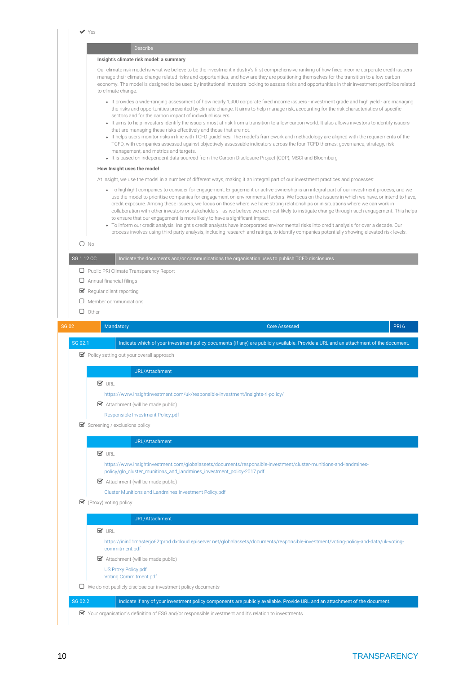Yes Describe **Insight's climate risk model: a summary** Our climate risk model is what we believe to be the investment industry's first comprehensive ranking of how fixed income corporate credit issuers manage their climate change-related risks and opportunities, and how are they are positioning themselves for the transition to a low-carbon economy. The model is designed to be used by institutional investors looking to assess risks and opportunities in their investment portfolios related to climate change. It provides a wide-ranging assessment of how nearly 1,900 corporate fixed income issuers - investment grade and high yield - are managing the risks and opportunities presented by climate change. It aims to help manage risk, accounting for the risk characteristics of specific sectors and for the carbon impact of individual issuers. It aims to help investors identify the issuers most at risk from a transition to a low-carbon world. It also allows investors to identify issuers that are managing these risks effectively and those that are not. • It helps users monitor risks in line with TCFD guidelines. The model's framework and methodology are aligned with the requirements of the TCFD, with companies assessed against objectively assessable indicators across the four TCFD themes: governance, strategy, risk management, and metrics and targets. It is based on independent data sourced from the Carbon Disclosure Project (CDP), MSCI and Bloomberg **How Insight uses the model** At Insight, we use the model in a number of different ways, making it an integral part of our investment practices and processes: To highlight companies to consider for engagement: Engagement or active ownership is an integral part of our investment process, and we use the model to prioritise companies for engagement on environmental factors. We focus on the issuers in which we have, or intend to have, credit exposure. Among these issuers, we focus on those where we have strong relationships or in situations where we can work in collaboration with other investors or stakeholders - as we believe we are most likely to instigate change through such engagement. This helps to ensure that our engagement is more likely to have a significant impact. To inform our credit analysis: Insight's credit analysts have incorporated environmental risks into credit analysis for over a decade. Our process involves using third-party analysis, including research and ratings, to identify companies potentially showing elevated risk levels. O No SG 1.12 CC Indicate the documents and/or communications the organisation uses to publish TCFD disclosures. **D** Public PRI Climate Transparency Report  $\Box$  Annual financial filings Regular client reporting  $\square$  Member communications  $\Box$  Other es and the Mandatory of the Core assessed Core Assessed PRI 6 SG 02.1 Indicate which of your investment policy documents (if any) are publicly available. Provide a URL and an attachment of the document. **Policy setting out your overall approach** URL/Attachment  $\nabla$  IDI <https://www.insightinvestment.com/uk/responsible-investment/insights-ri-policy/> Attachment (will be made public) [Responsible Investment Policy.pdf](https://reporting.unpri.org/Download.aspx?id=9213D89B-180F-49B2-AC44-2D45EEDB9865)  $\triangleright$  Screening / exclusions policy URL/Attachment  $\nabla$  IDI [https://www.insightinvestment.com/globalassets/documents/responsible-investment/cluster-munitions-and-landmines](https://www.insightinvestment.com/globalassets/documents/responsible-investment/cluster-munitions-and-landmines-policy/glo_cluster_munitions_and_landmines_investment_policy-2017.pdf)policy/glo\_cluster\_munitions\_and\_landmines\_investment\_policy-2017.pdf  $\blacktriangleright$  Attachment (will be made public) [Cluster Munitions and Landmines Investment Policy.pdf](https://reporting.unpri.org/Download.aspx?id=7F8C001A-1B98-49A1-BAF1-C4192290F6F1) (Proxy) voting policy URL/Attachment  $\nabla$  IRL [https://inin01masterjo62tprod.dxcloud.episerver.net/globalassets/documents/responsible-investment/voting-policy-and-data/uk-voting](https://inin01masterjo62tprod.dxcloud.episerver.net/globalassets/documents/responsible-investment/voting-policy-and-data/uk-voting-commitment.pdf)commitment.pdf Attachment (will be made public) [US Proxy Policy.pdf](https://reporting.unpri.org/Download.aspx?id=6BC04E3F-6E03-4F79-968A-DFADAB913B22) [Voting Commitment.pdf](https://reporting.unpri.org/Download.aspx?id=D4D36B5C-53C8-4F73-B263-492A6BC26480)  $\Box$  We do not publicly disclose our investment policy documents SG 02.2 Indicate if any of your investment policy components are publicly available. Provide URL and an attachment of the document. Your organisation's definition of ESG and/or responsible investment and it's relation to investments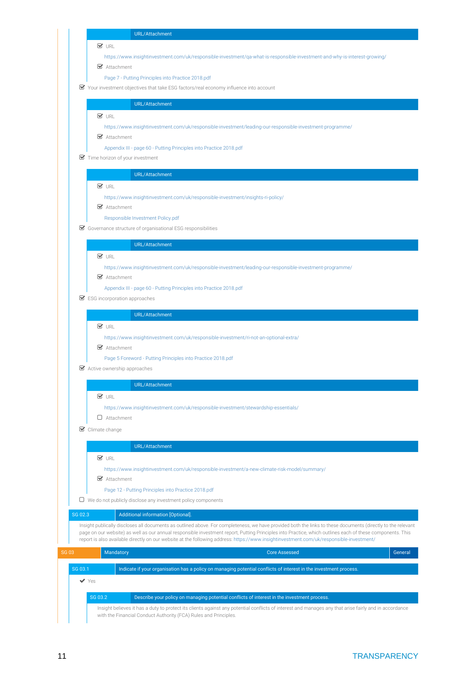### URL/Attachment

### $\overline{\mathbf{V}}$  URL

<https://www.insightinvestment.com/uk/responsible-investment/qa-what-is-responsible-investment-and-why-is-interest-growing/>

■ Attachment

[Page 7 - Putting Principles into Practice 2018.pdf](https://reporting.unpri.org/Download.aspx?id=5F5C84AC-8579-4F62-8468-35E3AA0413A9)

Your investment objectives that take ESG factors/real economy influence into account

URL/Attachment

**V** URL

<https://www.insightinvestment.com/uk/responsible-investment/leading-our-responsible-investment-programme/>

■ Attachment

[Appendix III - page 60 - Putting Principles into Practice 2018.pdf](https://reporting.unpri.org/Download.aspx?id=CF25C7F6-36B3-4F5E-B42E-DB3143809135)

Time horizon of your investment

### URL/Attachment

### **V** URL

<https://www.insightinvestment.com/uk/responsible-investment/insights-ri-policy/>

■ Attachment

[Responsible Investment Policy.pdf](https://reporting.unpri.org/Download.aspx?id=56ECBDA3-940A-447D-A20A-4A6421923174)

Governance structure of organisational ESG responsibilities

### URL/Attachment

### **V** URL

<https://www.insightinvestment.com/uk/responsible-investment/leading-our-responsible-investment-programme/>

■ Attachment

[Appendix III - page 60 - Putting Principles into Practice 2018.pdf](https://reporting.unpri.org/Download.aspx?id=A3FB472B-60E9-4C4E-AEA8-DFD64B73489F)

■ ESG incorporation approaches

### URL/Attachment

 $\nabla$  URL

<https://www.insightinvestment.com/uk/responsible-investment/ri-not-an-optional-extra/>

■ Attachment

[Page 5 Foreword - Putting Principles into Practice 2018.pdf](https://reporting.unpri.org/Download.aspx?id=AF681574-DEAF-4F58-8CC1-E5F9F4CCF18B)

Active ownership approaches

### URL/Attachment

 $\mathbf{V}$  URL

<https://www.insightinvestment.com/uk/responsible-investment/stewardship-essentials/>

Attachment

 $\mathcal G$  Climate change

### URL/Attachment

### **V** URL

<https://www.insightinvestment.com/uk/responsible-investment/a-new-climate-risk-model/summary/>

■ Attachment

[Page 12 - Putting Principles into Practice 2018.pdf](https://reporting.unpri.org/Download.aspx?id=D4063FD5-5257-412B-8479-9175136DB64A)

 $\Box$  We do not publicly disclose any investment policy components

### SG 02.3 **Additional information [Optional]**

Insight publically discloses all documents as outlined above. For completeness, we have provided both the links to these documents (directly to the relevant page on our website) as well as our annual responsible investment report, Putting Principles into Practice, which outlines each of these components. This report is also available directly on our website at the following address:<https://www.insightinvestment.com/uk/responsible-investment/>

| SG 03 |         | Mandatory |                                                                                                                     | <b>Core Assessed</b> | General |
|-------|---------|-----------|---------------------------------------------------------------------------------------------------------------------|----------------------|---------|
|       | SG 03.1 |           | I Indicate if your organisation has a policy on managing potential conflicts of interest in the investment process. |                      |         |
|       | 'Yes    |           |                                                                                                                     |                      |         |

### SG 03.2 **Describe your policy on managing potential conflicts of interest in the investment process.**

Insight believes it has a duty to protect its clients against any potential conflicts of interest and manages any that arise fairly and in accordance with the Financial Conduct Authority (FCA) Rules and Principles.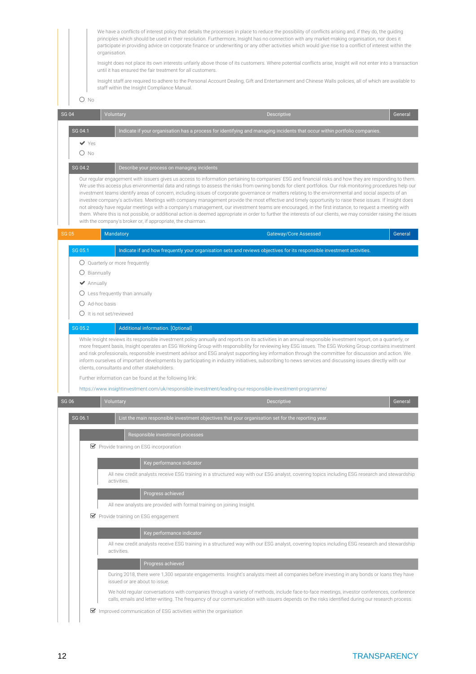We have a conflicts of interest policy that details the processes in place to reduce the possibility of conflicts arising and, if they do, the guiding principles which should be used in their resolution. Furthermore, Insight has no connection with any market-making organisation, nor does it participate in providing advice on corporate finance or underwriting or any other activities which would give rise to a conflict of interest within the organisation.

Insight does not place its own interests unfairly above those of its customers. Where potential conflicts arise, Insight will not enter into a transaction until it has ensured the fair treatment for all customers.

Insight staff are required to adhere to the Personal Account Dealing, Gift and Entertainment and Chinese Walls policies, all of which are available to staff within the Insight Compliance Manual.

 $\bigcap$  No

| <b>SG 04</b> |                | Voluntary                                                        |                                                                                                           | <b>Descriptive</b>                                                                                                                                                                                                                                                                                                                                                                                                                                                                                                                                                                                                                                                                                                                                                                                                                                                                                                                                                         | General |
|--------------|----------------|------------------------------------------------------------------|-----------------------------------------------------------------------------------------------------------|----------------------------------------------------------------------------------------------------------------------------------------------------------------------------------------------------------------------------------------------------------------------------------------------------------------------------------------------------------------------------------------------------------------------------------------------------------------------------------------------------------------------------------------------------------------------------------------------------------------------------------------------------------------------------------------------------------------------------------------------------------------------------------------------------------------------------------------------------------------------------------------------------------------------------------------------------------------------------|---------|
|              | SG 04.1        |                                                                  |                                                                                                           | Indicate if your organisation has a process for identifying and managing incidents that occur within portfolio companies.                                                                                                                                                                                                                                                                                                                                                                                                                                                                                                                                                                                                                                                                                                                                                                                                                                                  |         |
|              | $\vee$ Yes     |                                                                  |                                                                                                           |                                                                                                                                                                                                                                                                                                                                                                                                                                                                                                                                                                                                                                                                                                                                                                                                                                                                                                                                                                            |         |
|              | $O$ No         |                                                                  |                                                                                                           |                                                                                                                                                                                                                                                                                                                                                                                                                                                                                                                                                                                                                                                                                                                                                                                                                                                                                                                                                                            |         |
|              | SG 04.2        | Describe your process on managing incidents                      |                                                                                                           |                                                                                                                                                                                                                                                                                                                                                                                                                                                                                                                                                                                                                                                                                                                                                                                                                                                                                                                                                                            |         |
|              |                | with the company's broker or, if appropriate, the chairman.      |                                                                                                           | Our regular engagement with issuers gives us access to information pertaining to companies' ESG and financial risks and how they are responding to them.<br>We use this access plus environmental data and ratings to assess the risks from owning bonds for client portfolios. Our risk monitoring procedures help our<br>investment teams identify areas of concern, including issues of corporate governance or matters relating to the environmental and social aspects of an<br>investee company's activities. Meetings with company management provide the most effective and timely opportunity to raise these issues. If Insight does<br>not already have regular meetings with a company's management, our investment teams are encouraged, in the first instance, to request a meeting with<br>them. Where this is not possible, or additional action is deemed appropriate in order to further the interests of our clients, we may consider raising the issues |         |
| <b>SG 05</b> |                | Mandatory                                                        |                                                                                                           | <b>Gateway/Core Assessed</b>                                                                                                                                                                                                                                                                                                                                                                                                                                                                                                                                                                                                                                                                                                                                                                                                                                                                                                                                               | General |
|              | SG 05.1        |                                                                  |                                                                                                           | Indicate if and how frequently your organisation sets and reviews objectives for its responsible investment activities.                                                                                                                                                                                                                                                                                                                                                                                                                                                                                                                                                                                                                                                                                                                                                                                                                                                    |         |
|              |                | $\bigcirc$ Quarterly or more frequently                          |                                                                                                           |                                                                                                                                                                                                                                                                                                                                                                                                                                                                                                                                                                                                                                                                                                                                                                                                                                                                                                                                                                            |         |
|              | O Biannually   |                                                                  |                                                                                                           |                                                                                                                                                                                                                                                                                                                                                                                                                                                                                                                                                                                                                                                                                                                                                                                                                                                                                                                                                                            |         |
|              | ◆ Annually     |                                                                  |                                                                                                           |                                                                                                                                                                                                                                                                                                                                                                                                                                                                                                                                                                                                                                                                                                                                                                                                                                                                                                                                                                            |         |
|              |                | $\bigcirc$ Less frequently than annually                         |                                                                                                           |                                                                                                                                                                                                                                                                                                                                                                                                                                                                                                                                                                                                                                                                                                                                                                                                                                                                                                                                                                            |         |
|              | O Ad-hoc basis | $\bigcirc$ It is not set/reviewed                                |                                                                                                           |                                                                                                                                                                                                                                                                                                                                                                                                                                                                                                                                                                                                                                                                                                                                                                                                                                                                                                                                                                            |         |
|              | SG 05.2        | Additional information. [Optional]                               |                                                                                                           |                                                                                                                                                                                                                                                                                                                                                                                                                                                                                                                                                                                                                                                                                                                                                                                                                                                                                                                                                                            |         |
|              |                |                                                                  |                                                                                                           | While Insight reviews its responsible investment policy annually and reports on its activities in an annual responsible investment report, on a quarterly, or<br>more frequent basis, Insight operates an ESG Working Group with responsibility for reviewing key ESG issues. The ESG Working Group contains investment<br>and risk professionals, responsible investment advisor and ESG analyst supporting key information through the committee for discussion and action. We                                                                                                                                                                                                                                                                                                                                                                                                                                                                                           |         |
|              |                | clients, consultants and other stakeholders.                     |                                                                                                           | inform ourselves of important developments by participating in industry initiatives, subscribing to news services and discussing issues directly with our                                                                                                                                                                                                                                                                                                                                                                                                                                                                                                                                                                                                                                                                                                                                                                                                                  |         |
|              |                | Further information can be found at the following link:          |                                                                                                           |                                                                                                                                                                                                                                                                                                                                                                                                                                                                                                                                                                                                                                                                                                                                                                                                                                                                                                                                                                            |         |
|              |                |                                                                  | https://www.insightinvestment.com/uk/responsible-investment/leading-our-responsible-investment-programme/ |                                                                                                                                                                                                                                                                                                                                                                                                                                                                                                                                                                                                                                                                                                                                                                                                                                                                                                                                                                            |         |
| <b>SG 06</b> |                | Voluntary                                                        |                                                                                                           | <b>Descriptive</b>                                                                                                                                                                                                                                                                                                                                                                                                                                                                                                                                                                                                                                                                                                                                                                                                                                                                                                                                                         | Genera  |
|              | SG 06.1        |                                                                  | List the main responsible investment objectives that your organisation set for the reporting year.        |                                                                                                                                                                                                                                                                                                                                                                                                                                                                                                                                                                                                                                                                                                                                                                                                                                                                                                                                                                            |         |
|              |                | Responsible investment processes                                 |                                                                                                           |                                                                                                                                                                                                                                                                                                                                                                                                                                                                                                                                                                                                                                                                                                                                                                                                                                                                                                                                                                            |         |
|              |                | ■ Provide training on ESG incorporation                          |                                                                                                           |                                                                                                                                                                                                                                                                                                                                                                                                                                                                                                                                                                                                                                                                                                                                                                                                                                                                                                                                                                            |         |
|              |                |                                                                  |                                                                                                           |                                                                                                                                                                                                                                                                                                                                                                                                                                                                                                                                                                                                                                                                                                                                                                                                                                                                                                                                                                            |         |
|              |                |                                                                  | Key performance indicator                                                                                 | All new credit analysts receive ESG training in a structured way with our ESG analyst, covering topics including ESG research and stewardship                                                                                                                                                                                                                                                                                                                                                                                                                                                                                                                                                                                                                                                                                                                                                                                                                              |         |
|              |                | activities.                                                      |                                                                                                           |                                                                                                                                                                                                                                                                                                                                                                                                                                                                                                                                                                                                                                                                                                                                                                                                                                                                                                                                                                            |         |
|              |                | Progress achieved                                                |                                                                                                           |                                                                                                                                                                                                                                                                                                                                                                                                                                                                                                                                                                                                                                                                                                                                                                                                                                                                                                                                                                            |         |
|              |                |                                                                  | All new analysts are provided with formal training on joining Insight.                                    |                                                                                                                                                                                                                                                                                                                                                                                                                                                                                                                                                                                                                                                                                                                                                                                                                                                                                                                                                                            |         |
|              |                | ■ Provide training on ESG engagement                             |                                                                                                           |                                                                                                                                                                                                                                                                                                                                                                                                                                                                                                                                                                                                                                                                                                                                                                                                                                                                                                                                                                            |         |
|              |                |                                                                  | Key performance indicator                                                                                 |                                                                                                                                                                                                                                                                                                                                                                                                                                                                                                                                                                                                                                                                                                                                                                                                                                                                                                                                                                            |         |
|              |                | activities.                                                      |                                                                                                           | All new credit analysts receive ESG training in a structured way with our ESG analyst, covering topics including ESG research and stewardship                                                                                                                                                                                                                                                                                                                                                                                                                                                                                                                                                                                                                                                                                                                                                                                                                              |         |
|              |                | Progress achieved                                                |                                                                                                           |                                                                                                                                                                                                                                                                                                                                                                                                                                                                                                                                                                                                                                                                                                                                                                                                                                                                                                                                                                            |         |
|              |                | issued or are about to issue.                                    |                                                                                                           | During 2018, there were 1,300 separate engagements. Insight's analysts meet all companies before investing in any bonds or loans they have                                                                                                                                                                                                                                                                                                                                                                                                                                                                                                                                                                                                                                                                                                                                                                                                                                 |         |
|              |                |                                                                  |                                                                                                           | We hold regular conversations with companies through a variety of methods, include face-to-face meetings, investor conferences, conference<br>calls, emails and letter-writing. The frequency of our communication with issuers depends on the risks identified during our research process.                                                                                                                                                                                                                                                                                                                                                                                                                                                                                                                                                                                                                                                                               |         |
|              |                | Improved communication of ESG activities within the organisation |                                                                                                           |                                                                                                                                                                                                                                                                                                                                                                                                                                                                                                                                                                                                                                                                                                                                                                                                                                                                                                                                                                            |         |
|              |                |                                                                  |                                                                                                           |                                                                                                                                                                                                                                                                                                                                                                                                                                                                                                                                                                                                                                                                                                                                                                                                                                                                                                                                                                            |         |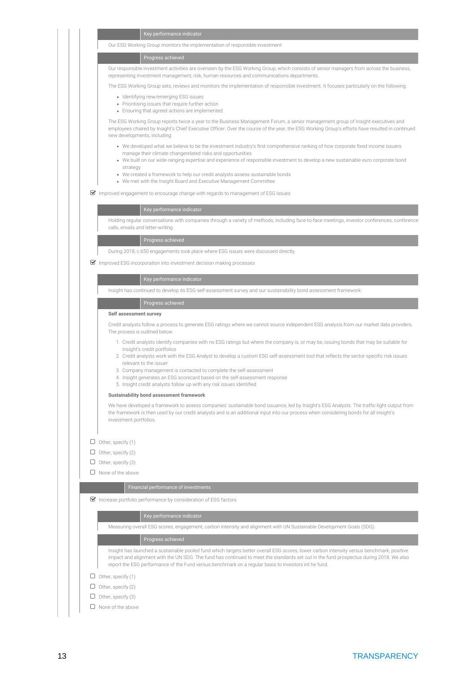| l  Key performance indicator, |
|-------------------------------|
|                               |

Our ESG Working Group monitors the implementation of responsible investment

### Progress achieved

Our responsible investment activities are overseen by the ESG Working Group, which consists of senior managers from across the business, representing investment management, risk, human resources and communications departments.

The ESG Working Group sets, reviews and monitors the implementation of responsible investment. It focuses particularly on the following:

- Identifying new/emerging ESG issues
- Prioritising issues that require further action
- Ensuring that agreed actions are implemented.

The ESG Working Group reports twice a year to the Business Management Forum, a senior management group of Insight executives and employees chaired by Insight's Chief Executive Officer. Over the course of the year, the ESG Working Group's efforts have resulted in continued new developments, including:

- We developed what we believe to be the investment industry's first comprehensive ranking of how corporate fixed income issuers manage their climate changerelated risks and opportunities
- We built on our wide-ranging expertise and experience of responsible investment to develop a new sustainable euro corporate bond strategy
- We created a framework to help our credit analysts assess sustainable bonds
- We met with the Insight Board and Executive Management Committee

 $\triangledown$  Improved engagement to encourage change with regards to management of ESG issues

### Key performance indicator

Holding regular conversations with companies through a variety of methods, including face-to-face meetings, investor conferences, conference calls, emails and letter-writing

Progress achieved

During 2018, c.650 engagements took place where ESG issues were discussed directly.

 $\triangledown$  Improved ESG incorporation into investment decision making processes

Insight has continued to develop its ESG self-assessment survey and our sustainability bond assessment framework.

### Progress achieved

### **Self assessment survey**

Credit analysts follow a process to generate ESG ratings where we cannot source independent ESG analysis from our market data providers. The process is outlined below:

- 1. Credit analysts identify companies with no ESG ratings but where the company is, or may be, issuing bonds that may be suitable for Insight's credit portfolios
- 2. Credit analysts work with the ESG Analyst to develop a custom ESG self-assessment tool that reflects the sector-specific risk issues relevant to the issuer
- 3. Company management is contacted to complete the self-assessment
- 4. Insight generates an ESG scorecard based on the self-assessment response
- 5. Insight credit analysts follow up with any risk issues identified

### **Sustainability bond assessment framework**

We have developed a framework to assess companies' sustainable bond issuance, led by Insight's ESG Analysts. The traffic-light output from the framework is then used by our credit analysts and is an additional input into our process when considering bonds for all insight's investment portfolios.

 $\Box$  Other, specify (1)

- $\Box$  Other, specify (2)
- $\Box$  Other, specify (3)

 $\Box$  None of the above

 $\blacktriangleright$  Increase portfolio performance by consideration of ESG factors

Measuring overall ESG scores, engagement, carbon intensity and alignment with UN Sustainable Development Goals (SDG).

### Progress achieved

Insight has launched a sustainable pooled fund which targets better overall ESG scores, lower carbon intensity versus benchmark, positive impact and alignment with the UN SDG. The fund has continued to meet the standards set out in the fund prospectus during 2018. We also report the ESG performance of the Fund versus benchmark on a regular basis to investors int he fund.

- $\Box$  Other, specify (1)
- $\Box$  Other, specify (2)
- $\Box$  Other, specify (3)
- $\Box$  None of the above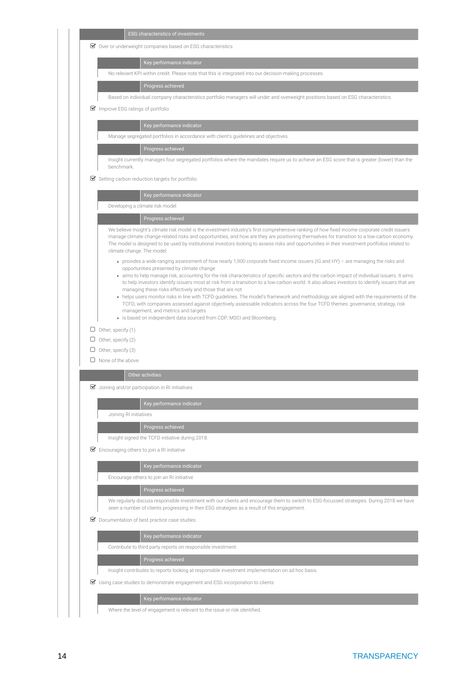|   | <b>ESG</b> characteristics of investments                                                                                                                                                                                                                                                                                                                                                                                                                                                                                                                                                                                                                                                                                                                                                                                                                                                                                                |
|---|------------------------------------------------------------------------------------------------------------------------------------------------------------------------------------------------------------------------------------------------------------------------------------------------------------------------------------------------------------------------------------------------------------------------------------------------------------------------------------------------------------------------------------------------------------------------------------------------------------------------------------------------------------------------------------------------------------------------------------------------------------------------------------------------------------------------------------------------------------------------------------------------------------------------------------------|
|   | ■ Over or underweight companies based on ESG characteristics                                                                                                                                                                                                                                                                                                                                                                                                                                                                                                                                                                                                                                                                                                                                                                                                                                                                             |
|   | Key performance indicator                                                                                                                                                                                                                                                                                                                                                                                                                                                                                                                                                                                                                                                                                                                                                                                                                                                                                                                |
|   | No relevant KPI within credit. Please note that this is integrated into our decision-making processes.                                                                                                                                                                                                                                                                                                                                                                                                                                                                                                                                                                                                                                                                                                                                                                                                                                   |
|   | Progress achieved                                                                                                                                                                                                                                                                                                                                                                                                                                                                                                                                                                                                                                                                                                                                                                                                                                                                                                                        |
|   | Based on individual company characteristics portfolio managers will under and overweight positions based on ESG characteristics.                                                                                                                                                                                                                                                                                                                                                                                                                                                                                                                                                                                                                                                                                                                                                                                                         |
|   | $\blacktriangleright$ Improve ESG ratings of portfolio                                                                                                                                                                                                                                                                                                                                                                                                                                                                                                                                                                                                                                                                                                                                                                                                                                                                                   |
|   | Key performance indicator                                                                                                                                                                                                                                                                                                                                                                                                                                                                                                                                                                                                                                                                                                                                                                                                                                                                                                                |
|   | Manage segregated portfolios in accordance with client's guidelines and objectives.                                                                                                                                                                                                                                                                                                                                                                                                                                                                                                                                                                                                                                                                                                                                                                                                                                                      |
|   | Progress achieved                                                                                                                                                                                                                                                                                                                                                                                                                                                                                                                                                                                                                                                                                                                                                                                                                                                                                                                        |
|   | Insight currently manages four segregated portfolios where the mandates require us to achieve an ESG score that is greater (lower) than the<br>benchmark.                                                                                                                                                                                                                                                                                                                                                                                                                                                                                                                                                                                                                                                                                                                                                                                |
|   | Setting carbon reduction targets for portfolio                                                                                                                                                                                                                                                                                                                                                                                                                                                                                                                                                                                                                                                                                                                                                                                                                                                                                           |
|   | Key performance indicator                                                                                                                                                                                                                                                                                                                                                                                                                                                                                                                                                                                                                                                                                                                                                                                                                                                                                                                |
|   | Developing a climate risk model                                                                                                                                                                                                                                                                                                                                                                                                                                                                                                                                                                                                                                                                                                                                                                                                                                                                                                          |
|   | Progress achieved                                                                                                                                                                                                                                                                                                                                                                                                                                                                                                                                                                                                                                                                                                                                                                                                                                                                                                                        |
|   | We believe Insight's climate risk model is the investment industry's first comprehensive ranking of how fixed income corporate credit issuers<br>manage climate change-related risks and opportunities, and how are they are positioning themselves for transition to a low-carbon economy.<br>The model is designed to be used by institutional investors looking to assess risks and opportunities in their investment portfolios related to<br>climate change. The model:                                                                                                                                                                                                                                                                                                                                                                                                                                                             |
|   | • provides a wide-ranging assessment of how nearly 1,900 corporate fixed income issuers (IG and HY) - are managing the risks and<br>opportunities presented by climate change<br>• aims to help manage risk, accounting for the risk characteristics of specific sectors and the carbon impact of individual issuers. It aims<br>to help investors identify issuers most at risk from a transition to a low-carbon world. It also allows investors to identify issuers that are<br>managing these risks effectively and those that are not<br>• helps users monitor risks in line with TCFD guidelines. The model's framework and methodology are aligned with the requirements of the<br>TCFD, with companies assessed against objectively assessable indicators across the four TCFD themes: governance, strategy, risk<br>management, and metrics and targets<br>• is based on independent data sourced from CDP, MSCI and Bloomberg. |
|   | $\Box$ Other, specify (1)                                                                                                                                                                                                                                                                                                                                                                                                                                                                                                                                                                                                                                                                                                                                                                                                                                                                                                                |
|   | $\Box$ Other, specify (2)                                                                                                                                                                                                                                                                                                                                                                                                                                                                                                                                                                                                                                                                                                                                                                                                                                                                                                                |
|   | Other, specify (3)                                                                                                                                                                                                                                                                                                                                                                                                                                                                                                                                                                                                                                                                                                                                                                                                                                                                                                                       |
| 0 | None of the above                                                                                                                                                                                                                                                                                                                                                                                                                                                                                                                                                                                                                                                                                                                                                                                                                                                                                                                        |
|   | Other activities                                                                                                                                                                                                                                                                                                                                                                                                                                                                                                                                                                                                                                                                                                                                                                                                                                                                                                                         |
|   | $\blacktriangleright$ Joining and/or participation in RI initiatives                                                                                                                                                                                                                                                                                                                                                                                                                                                                                                                                                                                                                                                                                                                                                                                                                                                                     |
|   |                                                                                                                                                                                                                                                                                                                                                                                                                                                                                                                                                                                                                                                                                                                                                                                                                                                                                                                                          |
|   | Key performance indicator                                                                                                                                                                                                                                                                                                                                                                                                                                                                                                                                                                                                                                                                                                                                                                                                                                                                                                                |
|   | Joining RI initiatives                                                                                                                                                                                                                                                                                                                                                                                                                                                                                                                                                                                                                                                                                                                                                                                                                                                                                                                   |
|   | Progress achieved                                                                                                                                                                                                                                                                                                                                                                                                                                                                                                                                                                                                                                                                                                                                                                                                                                                                                                                        |
|   | Insight signed the TCFD initiative during 2018.                                                                                                                                                                                                                                                                                                                                                                                                                                                                                                                                                                                                                                                                                                                                                                                                                                                                                          |
|   | $\triangleright$ Encouraging others to join a RI initiative                                                                                                                                                                                                                                                                                                                                                                                                                                                                                                                                                                                                                                                                                                                                                                                                                                                                              |
|   |                                                                                                                                                                                                                                                                                                                                                                                                                                                                                                                                                                                                                                                                                                                                                                                                                                                                                                                                          |
|   | Key performance indicator                                                                                                                                                                                                                                                                                                                                                                                                                                                                                                                                                                                                                                                                                                                                                                                                                                                                                                                |
|   | Encourage others to join an RI initiative                                                                                                                                                                                                                                                                                                                                                                                                                                                                                                                                                                                                                                                                                                                                                                                                                                                                                                |
|   | Progress achieved                                                                                                                                                                                                                                                                                                                                                                                                                                                                                                                                                                                                                                                                                                                                                                                                                                                                                                                        |
|   | seen a number of clients progressing in their ESG strategies as a result of this engagement.                                                                                                                                                                                                                                                                                                                                                                                                                                                                                                                                                                                                                                                                                                                                                                                                                                             |
|   | Documentation of best practice case studies                                                                                                                                                                                                                                                                                                                                                                                                                                                                                                                                                                                                                                                                                                                                                                                                                                                                                              |
|   | Key performance indicator                                                                                                                                                                                                                                                                                                                                                                                                                                                                                                                                                                                                                                                                                                                                                                                                                                                                                                                |
|   | Contribute to third party reports on responsible investment.                                                                                                                                                                                                                                                                                                                                                                                                                                                                                                                                                                                                                                                                                                                                                                                                                                                                             |
|   | Progress achieved                                                                                                                                                                                                                                                                                                                                                                                                                                                                                                                                                                                                                                                                                                                                                                                                                                                                                                                        |
|   | Insight contributes to reports looking at responsible investment implementation on ad hoc basis.                                                                                                                                                                                                                                                                                                                                                                                                                                                                                                                                                                                                                                                                                                                                                                                                                                         |
|   | We regularly discuss responsible investment with our clients and encourage them to switch to ESG-focussed strategies. During 2018 we have<br>■ Using case studies to demonstrate engagement and ESG incorporation to clients                                                                                                                                                                                                                                                                                                                                                                                                                                                                                                                                                                                                                                                                                                             |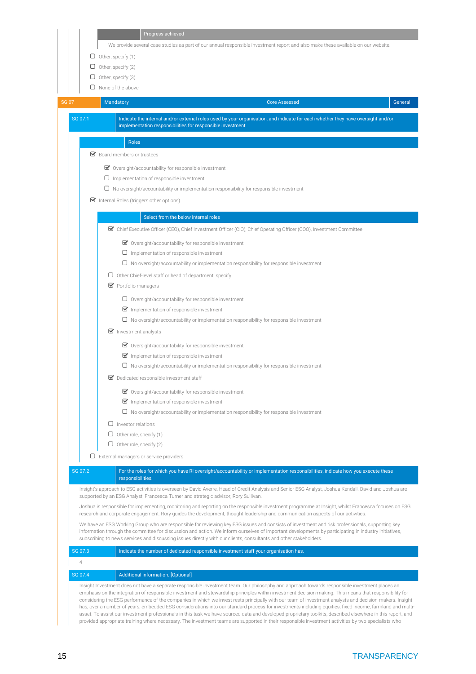|                | We provide several case studies as part of our annual responsible investment report and also make these available on our website.                                                                                                                                                                                                                                                                                            |                                                                                                                                                         |
|----------------|------------------------------------------------------------------------------------------------------------------------------------------------------------------------------------------------------------------------------------------------------------------------------------------------------------------------------------------------------------------------------------------------------------------------------|---------------------------------------------------------------------------------------------------------------------------------------------------------|
|                | $\Box$ Other, specify (1)<br>$\Box$ Other, specify (2)                                                                                                                                                                                                                                                                                                                                                                       |                                                                                                                                                         |
|                | Other, specify (3)<br>U                                                                                                                                                                                                                                                                                                                                                                                                      |                                                                                                                                                         |
|                | $\Box$ None of the above                                                                                                                                                                                                                                                                                                                                                                                                     |                                                                                                                                                         |
| <b>SG 07</b>   | Mandatory<br><b>Core Assessed</b>                                                                                                                                                                                                                                                                                                                                                                                            | General                                                                                                                                                 |
| SG 07.1        | Indicate the internal and/or external roles used by your organisation, and indicate for each whether they have oversight and/or                                                                                                                                                                                                                                                                                              |                                                                                                                                                         |
|                | implementation responsibilities for responsible investment.                                                                                                                                                                                                                                                                                                                                                                  |                                                                                                                                                         |
|                | <b>Roles</b><br>■ Board members or trustees                                                                                                                                                                                                                                                                                                                                                                                  |                                                                                                                                                         |
|                |                                                                                                                                                                                                                                                                                                                                                                                                                              |                                                                                                                                                         |
|                | ■ Oversight/accountability for responsible investment                                                                                                                                                                                                                                                                                                                                                                        |                                                                                                                                                         |
|                | $\Box$ Implementation of responsible investment                                                                                                                                                                                                                                                                                                                                                                              |                                                                                                                                                         |
|                | $\Box$ No oversight/accountability or implementation responsibility for responsible investment                                                                                                                                                                                                                                                                                                                               |                                                                                                                                                         |
|                | Internal Roles (triggers other options)                                                                                                                                                                                                                                                                                                                                                                                      |                                                                                                                                                         |
|                | Select from the below internal roles                                                                                                                                                                                                                                                                                                                                                                                         |                                                                                                                                                         |
|                | ■ Chief Executive Officer (CEO), Chief Investment Officer (CIO), Chief Operating Officer (COO), Investment Committee                                                                                                                                                                                                                                                                                                         |                                                                                                                                                         |
|                | ■ Oversight/accountability for responsible investment                                                                                                                                                                                                                                                                                                                                                                        |                                                                                                                                                         |
|                | $\square$ Implementation of responsible investment                                                                                                                                                                                                                                                                                                                                                                           |                                                                                                                                                         |
|                | $\Box$ No oversight/accountability or implementation responsibility for responsible investment                                                                                                                                                                                                                                                                                                                               |                                                                                                                                                         |
|                | $\Box$ Other Chief-level staff or head of department, specify                                                                                                                                                                                                                                                                                                                                                                |                                                                                                                                                         |
|                | Portfolio managers                                                                                                                                                                                                                                                                                                                                                                                                           |                                                                                                                                                         |
|                | $\Box$ Oversight/accountability for responsible investment                                                                                                                                                                                                                                                                                                                                                                   |                                                                                                                                                         |
|                | Implementation of responsible investment                                                                                                                                                                                                                                                                                                                                                                                     |                                                                                                                                                         |
|                | $\Box$ No oversight/accountability or implementation responsibility for responsible investment                                                                                                                                                                                                                                                                                                                               |                                                                                                                                                         |
|                | $\triangleright$ Investment analysts                                                                                                                                                                                                                                                                                                                                                                                         |                                                                                                                                                         |
|                | ■ Oversight/accountability for responsible investment                                                                                                                                                                                                                                                                                                                                                                        |                                                                                                                                                         |
|                | Implementation of responsible investment                                                                                                                                                                                                                                                                                                                                                                                     |                                                                                                                                                         |
|                | $\Box$ No oversight/accountability or implementation responsibility for responsible investment                                                                                                                                                                                                                                                                                                                               |                                                                                                                                                         |
|                | Dedicated responsible investment staff                                                                                                                                                                                                                                                                                                                                                                                       |                                                                                                                                                         |
|                | ■ Oversight/accountability for responsible investment                                                                                                                                                                                                                                                                                                                                                                        |                                                                                                                                                         |
|                | Implementation of responsible investment                                                                                                                                                                                                                                                                                                                                                                                     |                                                                                                                                                         |
|                | $\Box$ No oversight/accountability or implementation responsibility for responsible investment                                                                                                                                                                                                                                                                                                                               |                                                                                                                                                         |
|                | $\Box$ Investor relations                                                                                                                                                                                                                                                                                                                                                                                                    |                                                                                                                                                         |
|                | $\Box$ Other role, specify (1)                                                                                                                                                                                                                                                                                                                                                                                               |                                                                                                                                                         |
|                | $\Box$ Other role, specify (2)                                                                                                                                                                                                                                                                                                                                                                                               |                                                                                                                                                         |
|                | $\Box$ External managers or service providers                                                                                                                                                                                                                                                                                                                                                                                |                                                                                                                                                         |
| SG 07.2        | For the roles for which you have RI oversight/accountability or implementation responsibilities, indicate how you execute these<br>responsibilities.                                                                                                                                                                                                                                                                         |                                                                                                                                                         |
|                | Insight's approach to ESG activities is overseen by David Averre, Head of Credit Analysis and Senior ESG Analyst, Joshua Kendall. David and Joshua are                                                                                                                                                                                                                                                                       |                                                                                                                                                         |
|                | supported by an ESG Analyst, Francesca Turner and strategic advisor, Rory Sullivan.<br>Joshua is responsible for implementing, monitoring and reporting on the responsible investment programme at Insight, whilst Francesca focuses on ESG                                                                                                                                                                                  |                                                                                                                                                         |
|                | research and corporate engagement. Rory guides the development, thought leadership and communication aspects of our activities.                                                                                                                                                                                                                                                                                              |                                                                                                                                                         |
|                | We have an ESG Working Group who are responsible for reviewing key ESG issues and consists of investment and risk professionals, supporting key<br>information through the committee for discussion and action. We inform ourselves of important developments by participating in industry initiatives,<br>subscribing to news services and discussing issues directly with our clients, consultants and other stakeholders. |                                                                                                                                                         |
| SG 07.3        | Indicate the number of dedicated responsible investment staff your organisation has.                                                                                                                                                                                                                                                                                                                                         |                                                                                                                                                         |
| $\overline{4}$ |                                                                                                                                                                                                                                                                                                                                                                                                                              |                                                                                                                                                         |
| SG 07.4        | Additional information. [Optional]                                                                                                                                                                                                                                                                                                                                                                                           |                                                                                                                                                         |
|                | Insight Investment does not have a separate responsible investment team. Our philosophy and approach towards responsible investment places an<br>emphasis on the integration of responsible investment and stewardship principles within investment decision-making. This means that responsibility for                                                                                                                      | considering the ESG performance of the companies in which we invest rests principally with our team of investment analysts and decision-makers. Insight |

provided appropriate training where necessary. The investment teams are supported in their responsible investment activities by two specialists who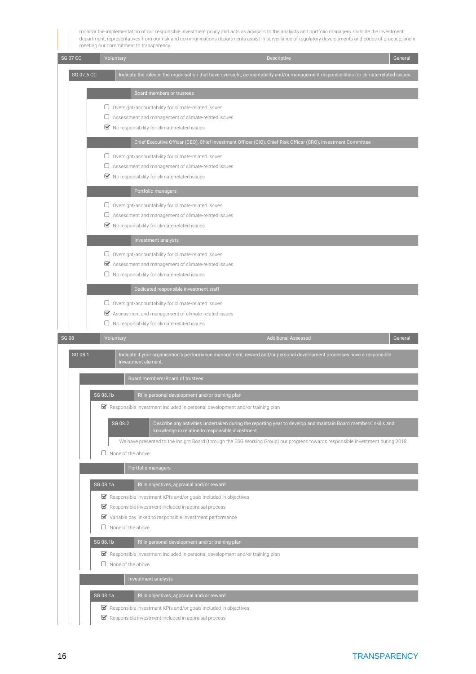monitor the implementation of our responsible investment policy and acts as advisors to the analysts and portfolio managers. Outside the investment department, representatives from our risk and communications departments assist in surveillance of regulatory developments and codes of practice, and in meeting our commitment to transparency.

| <b>SG 07 CC</b> | Voluntary<br>Descriptive                                                                                                                                                      | General |
|-----------------|-------------------------------------------------------------------------------------------------------------------------------------------------------------------------------|---------|
| SG 07.5 CC      | Indicate the roles in the organisation that have oversight, accountability and/or management responsibilities for climate-related issues.                                     |         |
|                 | <b>Board members or trustees</b>                                                                                                                                              |         |
|                 | $\Box$ Oversight/accountability for climate-related issues                                                                                                                    |         |
|                 | $\Box$ Assessment and management of climate-related issues<br>■ No responsibility for climate-related issues                                                                  |         |
|                 | Chief Executive Officer (CEO), Chief Investment Officer (CIO), Chief Risk Officer (CRO), Investment Committee                                                                 |         |
|                 | $\Box$ Oversight/accountability for climate-related issues                                                                                                                    |         |
|                 | $\square$ Assessment and management of climate-related issues<br>■ No responsibility for climate-related issues                                                               |         |
|                 | Portfolio managers                                                                                                                                                            |         |
|                 | $\Box$ Oversight/accountability for climate-related issues                                                                                                                    |         |
|                 | $\square$ Assessment and management of climate-related issues<br>■ No responsibility for climate-related issues                                                               |         |
|                 | Investment analysts                                                                                                                                                           |         |
|                 | $\Box$ Oversight/accountability for climate-related issues                                                                                                                    |         |
|                 | ■ Assessment and management of climate-related issues<br>$\Box$ No responsibility for climate-related issues                                                                  |         |
|                 | Dedicated responsible investment staff                                                                                                                                        |         |
|                 | $\Box$ Oversight/accountability for climate-related issues                                                                                                                    |         |
|                 | ■ Assessment and management of climate-related issues<br>$\Box$ No responsibility for climate-related issues                                                                  |         |
| <b>SG 08</b>    | Voluntary<br><b>Additional Assessed</b>                                                                                                                                       | General |
| SG 08.1         | Indicate if your organisation's performance management, reward and/or personal development processes have a responsible                                                       |         |
|                 | investment element.                                                                                                                                                           |         |
|                 | Board members/Board of trustees                                                                                                                                               |         |
|                 | SG 08.1b<br>RI in personal development and/or training plan                                                                                                                   |         |
|                 | $\blacktriangleright$ Responsible investment included in personal development and/or training plan                                                                            |         |
|                 | SG 08.2<br>Describe any activities undertaken during the reporting year to develop and maintain Board members' skills and<br>knowledge in relation to responsible investment. |         |
|                 | We have presented to the Insight Board (through the ESG Working Group) our progress towards responsible investment during 2018.<br>None of the above<br>U                     |         |
|                 | Portfolio managers                                                                                                                                                            |         |
|                 | SG 08.1a<br>RI in objectives, appraisal and/or reward                                                                                                                         |         |
|                 | ■ Responsible investment KPIs and/or goals included in objectives                                                                                                             |         |
|                 | $\blacktriangleright$ Responsible investment included in appraisal process<br>$\blacktriangleright$ Variable pay linked to responsible investment performance                 |         |
|                 | $\Box$ None of the above                                                                                                                                                      |         |
|                 | SG 08.1b<br>RI in personal development and/or training plan                                                                                                                   |         |
|                 | $\blacktriangleright$ Responsible investment included in personal development and/or training plan<br>$\Box$ None of the above                                                |         |
|                 | Investment analysts                                                                                                                                                           |         |
|                 | SG 08.1a<br>RI in objectives, appraisal and/or reward                                                                                                                         |         |
|                 | $\blacktriangleright$ Responsible investment KPIs and/or goals included in objectives                                                                                         |         |
|                 | $\blacktriangleright$ Responsible investment included in appraisal process                                                                                                    |         |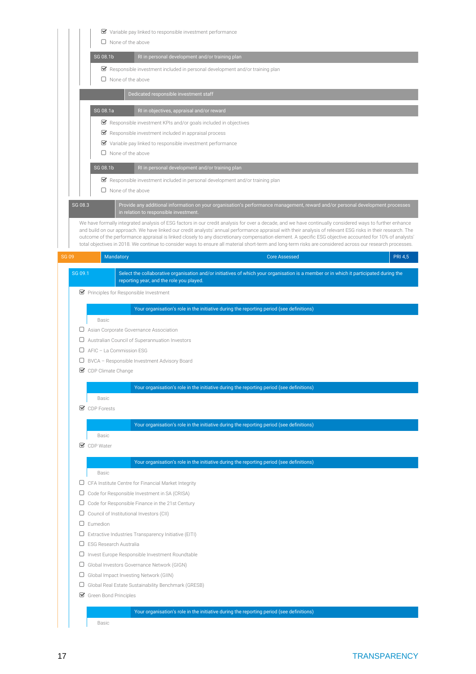|              | $\triangleright$ Variable pay linked to responsible investment performance                                                                                                                                                                                                                                                                                                                                                                                                                                                                                                                                                                          |
|--------------|-----------------------------------------------------------------------------------------------------------------------------------------------------------------------------------------------------------------------------------------------------------------------------------------------------------------------------------------------------------------------------------------------------------------------------------------------------------------------------------------------------------------------------------------------------------------------------------------------------------------------------------------------------|
|              | $\Box$ None of the above                                                                                                                                                                                                                                                                                                                                                                                                                                                                                                                                                                                                                            |
|              | SG 08.1b<br>RI in personal development and/or training plan                                                                                                                                                                                                                                                                                                                                                                                                                                                                                                                                                                                         |
|              |                                                                                                                                                                                                                                                                                                                                                                                                                                                                                                                                                                                                                                                     |
|              | $\triangleright$ Responsible investment included in personal development and/or training plan<br>$\Box$ None of the above                                                                                                                                                                                                                                                                                                                                                                                                                                                                                                                           |
|              |                                                                                                                                                                                                                                                                                                                                                                                                                                                                                                                                                                                                                                                     |
|              | Dedicated responsible investment staff                                                                                                                                                                                                                                                                                                                                                                                                                                                                                                                                                                                                              |
|              | SG 08.1a<br>RI in objectives, appraisal and/or reward                                                                                                                                                                                                                                                                                                                                                                                                                                                                                                                                                                                               |
|              | ■ Responsible investment KPIs and/or goals included in objectives                                                                                                                                                                                                                                                                                                                                                                                                                                                                                                                                                                                   |
|              | ■ Responsible investment included in appraisal process                                                                                                                                                                                                                                                                                                                                                                                                                                                                                                                                                                                              |
|              | ■ Variable pay linked to responsible investment performance                                                                                                                                                                                                                                                                                                                                                                                                                                                                                                                                                                                         |
|              | $\Box$ None of the above                                                                                                                                                                                                                                                                                                                                                                                                                                                                                                                                                                                                                            |
|              | SG 08.1b<br>RI in personal development and/or training plan                                                                                                                                                                                                                                                                                                                                                                                                                                                                                                                                                                                         |
|              | Responsible investment included in personal development and/or training plan                                                                                                                                                                                                                                                                                                                                                                                                                                                                                                                                                                        |
|              | $\Box$ None of the above                                                                                                                                                                                                                                                                                                                                                                                                                                                                                                                                                                                                                            |
| SG 08.3      | Provide any additional information on your organisation's performance management, reward and/or personal development processes                                                                                                                                                                                                                                                                                                                                                                                                                                                                                                                      |
|              | in relation to responsible investment.                                                                                                                                                                                                                                                                                                                                                                                                                                                                                                                                                                                                              |
|              | We have formally integrated analysis of ESG factors in our credit analysis for over a decade, and we have continually considered ways to further enhance<br>and build on our approach. We have linked our credit analysts' annual performance appraisal with their analysis of relevant ESG risks in their research. The<br>outcome of the performance appraisal is linked closely to any discretionary compensation element. A specific ESG objective accounted for 10% of analysts'<br>total objectives in 2018. We continue to consider ways to ensure all material short-term and long-term risks are considered across our research processes. |
| <b>SG 09</b> | <b>Core Assessed</b><br><b>PRI 4,5</b><br>Mandatory                                                                                                                                                                                                                                                                                                                                                                                                                                                                                                                                                                                                 |
|              |                                                                                                                                                                                                                                                                                                                                                                                                                                                                                                                                                                                                                                                     |
| SG 09.1      | Select the collaborative organisation and/or initiatives of which your organisation is a member or in which it participated during the<br>reporting year, and the role you played.                                                                                                                                                                                                                                                                                                                                                                                                                                                                  |
|              | ■ Principles for Responsible Investment                                                                                                                                                                                                                                                                                                                                                                                                                                                                                                                                                                                                             |
|              |                                                                                                                                                                                                                                                                                                                                                                                                                                                                                                                                                                                                                                                     |
|              | Your organisation's role in the initiative during the reporting period (see definitions)                                                                                                                                                                                                                                                                                                                                                                                                                                                                                                                                                            |
|              | Basic                                                                                                                                                                                                                                                                                                                                                                                                                                                                                                                                                                                                                                               |
|              | □ Asian Corporate Governance Association                                                                                                                                                                                                                                                                                                                                                                                                                                                                                                                                                                                                            |
| U            | Australian Council of Superannuation Investors                                                                                                                                                                                                                                                                                                                                                                                                                                                                                                                                                                                                      |
|              | AFIC - La Commission ESG                                                                                                                                                                                                                                                                                                                                                                                                                                                                                                                                                                                                                            |
| 0            | BVCA - Responsible Investment Advisory Board                                                                                                                                                                                                                                                                                                                                                                                                                                                                                                                                                                                                        |
|              | CDP Climate Change                                                                                                                                                                                                                                                                                                                                                                                                                                                                                                                                                                                                                                  |
|              | Your organisation's role in the initiative during the reporting period (see definitions)                                                                                                                                                                                                                                                                                                                                                                                                                                                                                                                                                            |
|              | Basic                                                                                                                                                                                                                                                                                                                                                                                                                                                                                                                                                                                                                                               |
|              | <b>■</b> CDP Forests                                                                                                                                                                                                                                                                                                                                                                                                                                                                                                                                                                                                                                |
|              | Your organisation's role in the initiative during the reporting period (see definitions)                                                                                                                                                                                                                                                                                                                                                                                                                                                                                                                                                            |
|              | Basic                                                                                                                                                                                                                                                                                                                                                                                                                                                                                                                                                                                                                                               |
|              | <b>○</b> CDP Water                                                                                                                                                                                                                                                                                                                                                                                                                                                                                                                                                                                                                                  |
|              |                                                                                                                                                                                                                                                                                                                                                                                                                                                                                                                                                                                                                                                     |
|              | Your organisation's role in the initiative during the reporting period (see definitions)                                                                                                                                                                                                                                                                                                                                                                                                                                                                                                                                                            |
|              | Basic                                                                                                                                                                                                                                                                                                                                                                                                                                                                                                                                                                                                                                               |
| ◡            | CFA Institute Centre for Financial Market Integrity                                                                                                                                                                                                                                                                                                                                                                                                                                                                                                                                                                                                 |
| $\Box$       | Code for Responsible Investment in SA (CRISA)                                                                                                                                                                                                                                                                                                                                                                                                                                                                                                                                                                                                       |
| ◡            | Code for Responsible Finance in the 21st Century                                                                                                                                                                                                                                                                                                                                                                                                                                                                                                                                                                                                    |
| ◡            | Council of Institutional Investors (CII)                                                                                                                                                                                                                                                                                                                                                                                                                                                                                                                                                                                                            |
| 0            | Eumedion                                                                                                                                                                                                                                                                                                                                                                                                                                                                                                                                                                                                                                            |
| ⋃<br>0       | Extractive Industries Transparency Initiative (EITI)<br>ESG Research Australia                                                                                                                                                                                                                                                                                                                                                                                                                                                                                                                                                                      |
| U            | Invest Europe Responsible Investment Roundtable                                                                                                                                                                                                                                                                                                                                                                                                                                                                                                                                                                                                     |
| $\Box$       | Global Investors Governance Network (GIGN)                                                                                                                                                                                                                                                                                                                                                                                                                                                                                                                                                                                                          |
| U            | Global Impact Investing Network (GIIN)                                                                                                                                                                                                                                                                                                                                                                                                                                                                                                                                                                                                              |
| ◡            | Global Real Estate Sustainability Benchmark (GRESB)                                                                                                                                                                                                                                                                                                                                                                                                                                                                                                                                                                                                 |
|              | Green Bond Principles                                                                                                                                                                                                                                                                                                                                                                                                                                                                                                                                                                                                                               |
|              |                                                                                                                                                                                                                                                                                                                                                                                                                                                                                                                                                                                                                                                     |
|              | Your organisation's role in the initiative during the reporting period (see definitions)                                                                                                                                                                                                                                                                                                                                                                                                                                                                                                                                                            |
|              | Basic                                                                                                                                                                                                                                                                                                                                                                                                                                                                                                                                                                                                                                               |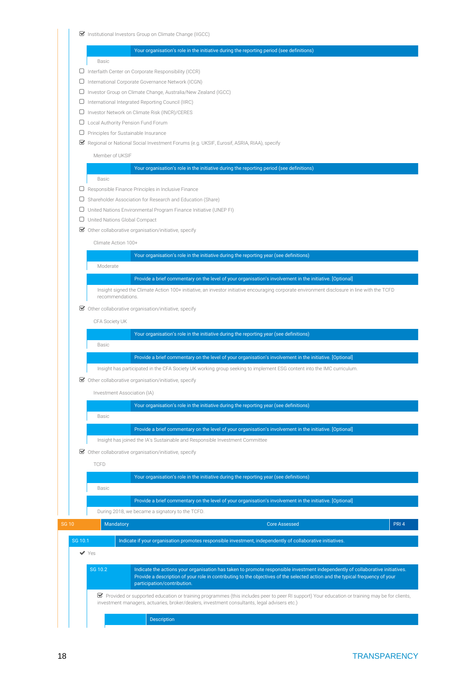■ Institutional Investors Group on Climate Change (IIGCC)

Your organisation's role in the initiative during the reporting period (see definitions) Basic  $\Box$  Interfaith Center on Corporate Responsibility (ICCR) International Corporate Governance Network (ICGN) Investor Group on Climate Change, Australia/New Zealand (IGCC) International Integrated Reporting Council (IIRC) Investor Network on Climate Risk (INCR)/CERES Local Authority Pension Fund Forum **D** Principles for Sustainable Insurance Regional or National Social Investment Forums (e.g. UKSIF, Eurosif, ASRIA, RIAA), specify Member of UKSIF Your organisation's role in the initiative during the reporting period (see definitions) Basic  $\square$  Responsible Finance Principles in Inclusive Finance Shareholder Association for Research and Education (Share) United Nations Environmental Program Finance Initiative (UNEP FI) United Nations Global Compact  $\boxtimes$  Other collaborative organisation/initiative, specify Climate Action 100+ Your organisation's role in the initiative during the reporting year (see definitions) Moderate Provide a brief commentary on the level of your organisation's involvement in the initiative. [Optional] Insight signed the Climate Action 100+ initiative, an investor initiative encouraging corporate environment disclosure in line with the TCFD recommendations.  $\triangleright$  Other collaborative organisation/initiative, specify CFA Society UK Your organisation's role in the initiative during the reporting year (see definitions) Basic Provide a brief commentary on the level of your organisation's involvement in the initiative. [Optional] Insight has participated in the CFA Society UK working group seeking to implement ESG content into the IMC curriculum.  $\triangleright$  Other collaborative organisation/initiative, specify Investment Association (IA) Your organisation's role in the initiative during the reporting year (see definitions) Basic Provide a brief commentary on the level of your organisation's involvement in the initiative. [Optional] Insight has joined the IA's Sustainable and Responsible Investment Committee  $\triangleright$  Other collaborative organisation/initiative, specify TCFD Your organisation's role in the initiative during the reporting year (see definitions) Basic Provide a brief commentary on the level of your organisation's involvement in the initiative. [Optional] During 2018, we became a signatory to the TCFD. SG 10 Mandatory Core Assessed PRI 4 SG 10.1 Indicate if your organisation promotes responsible investment, independently of collaborative initiatives. Yes SG 10.2 Indicate the actions your organisation has taken to promote responsible investment independently of collaborative initiatives. Provide a description of your role in contributing to the objectives of the selected action and the typical frequency of your participation/contribution.

 Provided or supported education or training programmes (this includes peer to peer RI support) Your education or training may be for clients, investment managers, actuaries, broker/dealers, investment consultants, legal advisers etc.)

Description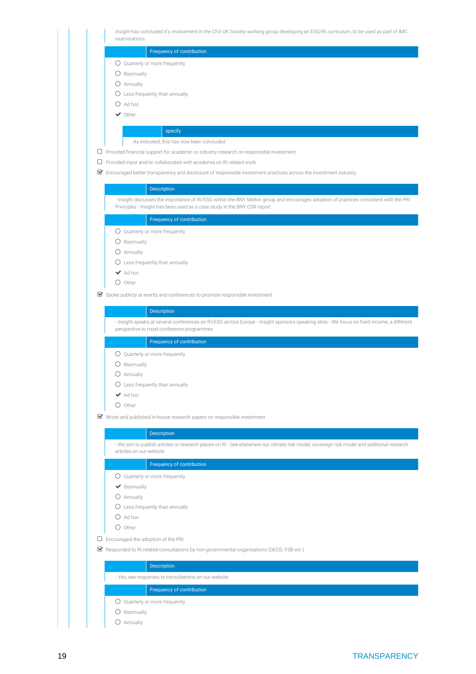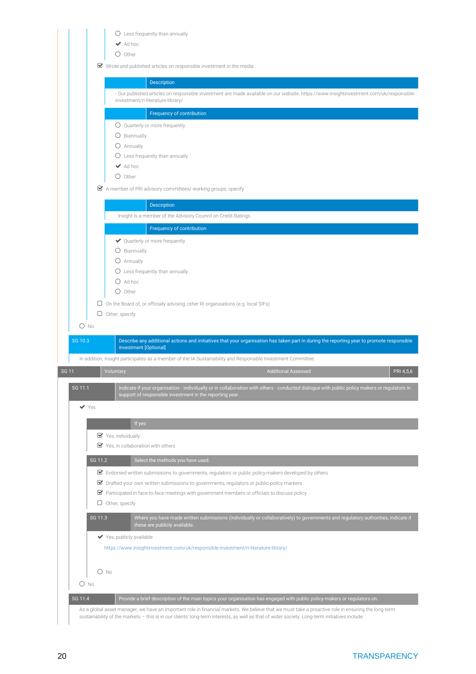|                          | $O$ Less frequently than annually<br>$\blacktriangleright$ Ad hoc                                                                     |                                                                                                                                              |           |
|--------------------------|---------------------------------------------------------------------------------------------------------------------------------------|----------------------------------------------------------------------------------------------------------------------------------------------|-----------|
|                          | $\bigcirc$ Other                                                                                                                      |                                                                                                                                              |           |
|                          | ■ Wrote and published articles on responsible investment in the media                                                                 |                                                                                                                                              |           |
|                          | <b>Description</b>                                                                                                                    |                                                                                                                                              |           |
|                          | investment/ri-literature-library/                                                                                                     | - Our published articles on responsible investment are made available on our website. https://www.insightinvestment.com/uk/responsible-      |           |
|                          | Frequency of contribution                                                                                                             |                                                                                                                                              |           |
|                          | O Quarterly or more frequently                                                                                                        |                                                                                                                                              |           |
|                          | O Biannually                                                                                                                          |                                                                                                                                              |           |
|                          | O Annually                                                                                                                            |                                                                                                                                              |           |
|                          | $\bigcirc$ Less frequently than annually                                                                                              |                                                                                                                                              |           |
|                          | $\blacktriangleright$ Ad hoc                                                                                                          |                                                                                                                                              |           |
|                          | $\bigcirc$ Other                                                                                                                      |                                                                                                                                              |           |
|                          | $\blacktriangleright$ A member of PRI advisory committees/ working groups, specify                                                    |                                                                                                                                              |           |
|                          | Description                                                                                                                           |                                                                                                                                              |           |
|                          | - Insight is a member of the Advisory Council on Credit Ratings                                                                       |                                                                                                                                              |           |
|                          | Frequency of contribution                                                                                                             |                                                                                                                                              |           |
|                          | ◆ Quarterly or more frequently                                                                                                        |                                                                                                                                              |           |
|                          | O Biannually                                                                                                                          |                                                                                                                                              |           |
|                          | O Annually                                                                                                                            |                                                                                                                                              |           |
|                          | $\bigcirc$ Less frequently than annually                                                                                              |                                                                                                                                              |           |
|                          | $O$ Ad hoc                                                                                                                            |                                                                                                                                              |           |
|                          |                                                                                                                                       |                                                                                                                                              |           |
| $O$ No<br>SG 10.3        | $\bigcirc$ Other<br>$\Box$ On the Board of, or officially advising, other RI organisations (e.g. local SIFs)<br>$\Box$ Other, specify | Describe any additional actions and initiatives that your organisation has taken part in during the reporting year to promote responsible    |           |
|                          | investment [Optional]                                                                                                                 |                                                                                                                                              |           |
| <b>SG 11</b>             | In addition, Insight participates as a member of the IA Sustainability and Responsible Investment Committee.<br>Voluntary             | <b>Additional Assessed</b>                                                                                                                   | PRI 4,5,6 |
| SG 11.1                  |                                                                                                                                       | Indicate if your organisation - individually or in collaboration with others - conducted dialogue with public policy makers or regulators in |           |
| $\blacktriangledown$ Yes | support of responsible investment in the reporting year.                                                                              |                                                                                                                                              |           |
|                          | If yes                                                                                                                                |                                                                                                                                              |           |
|                          | Yes, individually                                                                                                                     |                                                                                                                                              |           |
|                          | ■ Yes, in collaboration with others                                                                                                   |                                                                                                                                              |           |
| SG 11.2                  | Select the methods you have used.                                                                                                     |                                                                                                                                              |           |
|                          | $\blacktriangleright$ Endorsed written submissions to governments, regulators or public policy-makers developed by others             |                                                                                                                                              |           |
|                          | ■ Drafted your own written submissions to governments, regulators or public-policy markers                                            |                                                                                                                                              |           |
|                          | $\blacktriangleright$ Participated in face-to-face meetings with government members or officials to discuss policy                    |                                                                                                                                              |           |
|                          | $\Box$ Other, specify                                                                                                                 |                                                                                                                                              |           |
| SG 11.3                  |                                                                                                                                       | Where you have made written submissions (individually or collaboratively) to governments and regulatory authorities, indicate if             |           |
|                          | these are publicly available.                                                                                                         |                                                                                                                                              |           |
|                          | ◆ Yes, publicly available                                                                                                             |                                                                                                                                              |           |
|                          | https://www.insightinvestment.com/uk/responsible-investment/ri-literature-library/                                                    |                                                                                                                                              |           |
|                          |                                                                                                                                       |                                                                                                                                              |           |
|                          | $O$ No                                                                                                                                |                                                                                                                                              |           |
| $O$ No<br>SG 11.4        |                                                                                                                                       | Provide a brief description of the main topics your organisation has engaged with public policy-makers or regulators on.                     |           |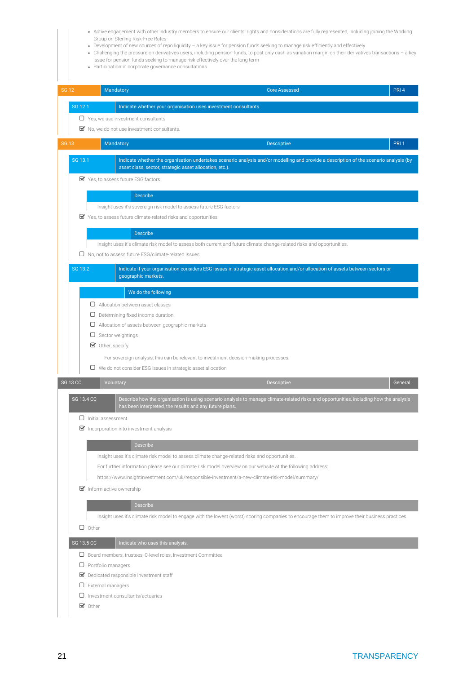- Active engagement with other industry members to ensure our clients' rights and considerations are fully represented, including joining the Working Group on Sterling Risk-Free Rates
- Development of new sources of repo liquidity a key issue for pension funds seeking to manage risk efficiently and effectively
- Challenging the pressure on derivatives users, including pension funds, to post only cash as variation margin on their derivatives transactions a key issue for pension funds seeking to manage risk effectively over the long term
- Participation in corporate governance consultations

| <b>SG 12</b> |                 |                           | Mandatory                                                                                                              | <b>Core Assessed</b>                                                                                                                            | PRI <sub>4</sub> |
|--------------|-----------------|---------------------------|------------------------------------------------------------------------------------------------------------------------|-------------------------------------------------------------------------------------------------------------------------------------------------|------------------|
|              | SG 12.1         |                           | Indicate whether your organisation uses investment consultants.                                                        |                                                                                                                                                 |                  |
|              |                 |                           | $\Box$ Yes, we use investment consultants                                                                              |                                                                                                                                                 |                  |
|              |                 |                           | ■ No, we do not use investment consultants.                                                                            |                                                                                                                                                 |                  |
| <b>SG 13</b> |                 |                           | Mandatory                                                                                                              | <b>Descriptive</b>                                                                                                                              | PRI <sub>1</sub> |
|              | SG 13.1         |                           | asset class, sector, strategic asset allocation, etc.).                                                                | Indicate whether the organisation undertakes scenario analysis and/or modelling and provide a description of the scenario analysis (by          |                  |
|              |                 |                           | Yes, to assess future ESG factors                                                                                      |                                                                                                                                                 |                  |
|              |                 |                           | <b>Describe</b>                                                                                                        |                                                                                                                                                 |                  |
|              |                 |                           | Insight uses it's sovereign risk model to assess future ESG factors                                                    |                                                                                                                                                 |                  |
|              |                 |                           | ■ Yes, to assess future climate-related risks and opportunities                                                        |                                                                                                                                                 |                  |
|              |                 |                           | <b>Describe</b>                                                                                                        |                                                                                                                                                 |                  |
|              |                 |                           | Insight uses it's climate risk model to assess both current and future climate change-related risks and opportunities. |                                                                                                                                                 |                  |
|              |                 |                           | $\Box$ No, not to assess future ESG/climate-related issues                                                             |                                                                                                                                                 |                  |
|              | SG 13.2         |                           |                                                                                                                        | Indicate if your organisation considers ESG issues in strategic asset allocation and/or allocation of assets between sectors or                 |                  |
|              |                 |                           | geographic markets.                                                                                                    |                                                                                                                                                 |                  |
|              |                 |                           | We do the following                                                                                                    |                                                                                                                                                 |                  |
|              |                 |                           | $\Box$ Allocation between asset classes                                                                                |                                                                                                                                                 |                  |
|              |                 |                           | $\Box$ Determining fixed income duration                                                                               |                                                                                                                                                 |                  |
|              |                 |                           | $\Box$ Allocation of assets between geographic markets<br>$\Box$ Sector weightings                                     |                                                                                                                                                 |                  |
|              |                 |                           | $\blacktriangleright$ Other, specify                                                                                   |                                                                                                                                                 |                  |
|              |                 |                           | For sovereign analysis, this can be relevant to investment decision-making processes.                                  |                                                                                                                                                 |                  |
|              |                 |                           | $\Box$ We do not consider ESG issues in strategic asset allocation                                                     |                                                                                                                                                 |                  |
|              |                 |                           |                                                                                                                        |                                                                                                                                                 |                  |
|              | <b>SG 13 CC</b> |                           |                                                                                                                        |                                                                                                                                                 | General          |
|              |                 |                           | Voluntary                                                                                                              | Descriptive                                                                                                                                     |                  |
|              | SG 13.4 CC      |                           | has been interpreted, the results and any future plans.                                                                | Describe how the organisation is using scenario analysis to manage climate-related risks and opportunities, including how the analysis          |                  |
|              |                 | $\Box$ Initial assessment |                                                                                                                        |                                                                                                                                                 |                  |
|              |                 |                           | $\triangleright$ Incorporation into investment analysis                                                                |                                                                                                                                                 |                  |
|              |                 |                           | Describe                                                                                                               |                                                                                                                                                 |                  |
|              |                 |                           | Insight uses it's climate risk model to assess climate change-related risks and opportunities.                         |                                                                                                                                                 |                  |
|              |                 |                           | For further information please see our climate risk model overview on our website at the following address:            |                                                                                                                                                 |                  |
|              |                 |                           | https://www.insightinvestment.com/uk/responsible-investment/a-new-climate-risk-model/summary/                          |                                                                                                                                                 |                  |
|              |                 |                           | Inform active ownership                                                                                                |                                                                                                                                                 |                  |
|              |                 |                           | <b>Describe</b>                                                                                                        |                                                                                                                                                 |                  |
|              |                 |                           |                                                                                                                        | Insight uses it's climate risk model to engage with the lowest (worst) scoring companies to encourage them to improve their business practices. |                  |
|              |                 | $\Box$ Other              |                                                                                                                        |                                                                                                                                                 |                  |
|              | SG 13.5 CC      |                           | Indicate who uses this analysis.                                                                                       |                                                                                                                                                 |                  |
|              |                 |                           | □ Board members, trustees, C-level roles, Investment Committee                                                         |                                                                                                                                                 |                  |
|              |                 |                           | $\Box$ Portfolio managers                                                                                              |                                                                                                                                                 |                  |
|              |                 |                           | Dedicated responsible investment staff                                                                                 |                                                                                                                                                 |                  |
|              |                 | $\Box$ External managers  |                                                                                                                        |                                                                                                                                                 |                  |
|              |                 | $\bullet$ Other           | $\Box$ Investment consultants/actuaries                                                                                |                                                                                                                                                 |                  |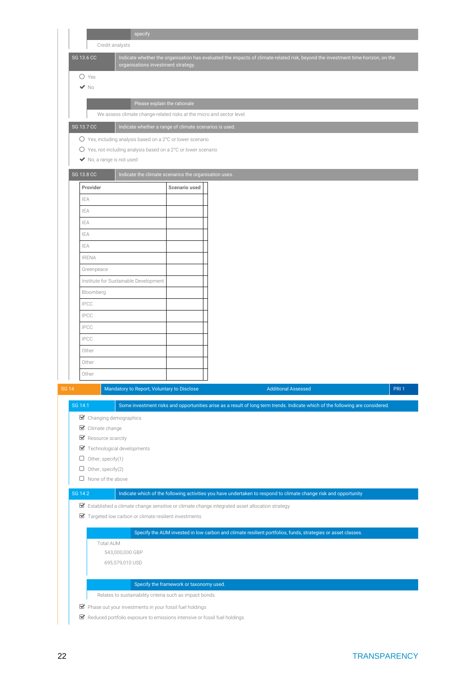|                                                      | specify                                                                                       |                                                                                                                                 |       |
|------------------------------------------------------|-----------------------------------------------------------------------------------------------|---------------------------------------------------------------------------------------------------------------------------------|-------|
| Credit analysts                                      |                                                                                               |                                                                                                                                 |       |
| SG 13.6 CC                                           | organisations investment strategy.                                                            | Indicate whether the organisation has evaluated the impacts of climate-related risk, beyond the investment time-horizon, on the |       |
| $O$ Yes                                              |                                                                                               |                                                                                                                                 |       |
| $\blacktriangledown$ No                              |                                                                                               |                                                                                                                                 |       |
|                                                      | Please explain the rationale                                                                  |                                                                                                                                 |       |
|                                                      | We assess climate change-related risks at the micro and sector level.                         |                                                                                                                                 |       |
| SG 13.7 CC                                           | Indicate whether a range of climate scenarios is used.                                        |                                                                                                                                 |       |
|                                                      | ○ Yes, including analysis based on a 2°C or lower scenario                                    |                                                                                                                                 |       |
|                                                      | O Yes, not including analysis based on a 2°C or lower scenario                                |                                                                                                                                 |       |
| ◆ No, a range is not used                            |                                                                                               |                                                                                                                                 |       |
| <b>SG 13.8 CC</b>                                    | Indicate the climate scenarios the organisation uses.                                         |                                                                                                                                 |       |
| Provider                                             | Scenario used                                                                                 |                                                                                                                                 |       |
| IEA                                                  |                                                                                               |                                                                                                                                 |       |
| IEA                                                  |                                                                                               |                                                                                                                                 |       |
| IEA                                                  |                                                                                               |                                                                                                                                 |       |
| IEA                                                  |                                                                                               |                                                                                                                                 |       |
| IEA                                                  |                                                                                               |                                                                                                                                 |       |
| <b>IRENA</b>                                         |                                                                                               |                                                                                                                                 |       |
| Greenpeace                                           |                                                                                               |                                                                                                                                 |       |
|                                                      | Institute for Sustainable Development                                                         |                                                                                                                                 |       |
| Bloomberg                                            |                                                                                               |                                                                                                                                 |       |
| <b>IPCC</b>                                          |                                                                                               |                                                                                                                                 |       |
| <b>IPCC</b>                                          |                                                                                               |                                                                                                                                 |       |
| <b>IPCC</b>                                          |                                                                                               |                                                                                                                                 |       |
| <b>IPCC</b>                                          |                                                                                               |                                                                                                                                 |       |
| Other                                                |                                                                                               |                                                                                                                                 |       |
| Other                                                |                                                                                               |                                                                                                                                 |       |
| Other                                                |                                                                                               |                                                                                                                                 |       |
| SG 14                                                | Mandatory to Report, Voluntary to Disclose                                                    | <b>Additional Assessed</b>                                                                                                      | PRI 1 |
| SG 14.1                                              |                                                                                               | Some investment risks and opportunities arise as a result of long term trends. Indicate which of the following are considered.  |       |
| Changing demographics                                |                                                                                               |                                                                                                                                 |       |
| Climate change                                       |                                                                                               |                                                                                                                                 |       |
| Resource scarcity                                    |                                                                                               |                                                                                                                                 |       |
| Technological developments<br>Other, specify(1)<br>U |                                                                                               |                                                                                                                                 |       |
| $\Box$<br>Other, specify(2)                          |                                                                                               |                                                                                                                                 |       |
| $\Box$ None of the above                             |                                                                                               |                                                                                                                                 |       |
| SG 14.2                                              |                                                                                               | Indicate which of the following activities you have undertaken to respond to climate change risk and opportunity                |       |
|                                                      | Established a climate change sensitive or climate change integrated asset allocation strategy |                                                                                                                                 |       |
|                                                      | ■ Targeted low carbon or climate resilient investments                                        |                                                                                                                                 |       |
|                                                      |                                                                                               |                                                                                                                                 |       |
|                                                      |                                                                                               | Specify the AUM invested in low carbon and climate resilient portfolios, funds, strategies or asset classes.                    |       |
| Total AUM                                            | 543,000,000 GBP                                                                               |                                                                                                                                 |       |
|                                                      | 695,579,010 USD                                                                               |                                                                                                                                 |       |
|                                                      |                                                                                               |                                                                                                                                 |       |
|                                                      | Specify the framework or taxonomy used.                                                       |                                                                                                                                 |       |
|                                                      | Relates to sustainability criteria such as impact bonds.                                      |                                                                                                                                 |       |
|                                                      | ■ Phase out your investments in your fossil fuel holdings                                     |                                                                                                                                 |       |
|                                                      | ■ Reduced portfolio exposure to emissions intensive or fossil fuel holdings                   |                                                                                                                                 |       |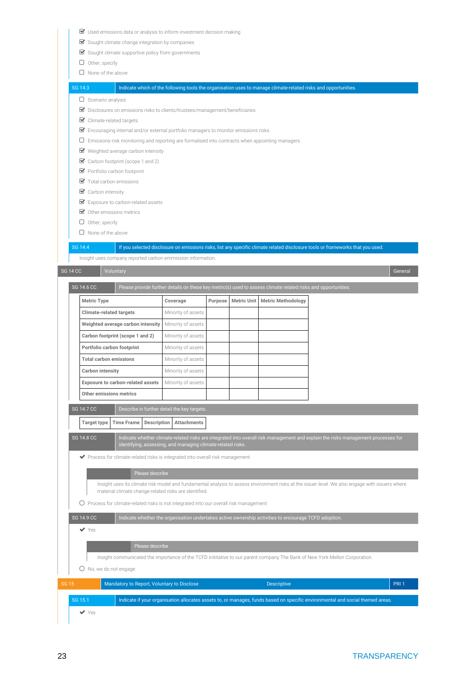- Used emissions data or analysis to inform investment decision making
- $\blacktriangleright$  Sought climate change integration by companies
- $\blacktriangleright$  Sought climate supportive policy from governments
- $\Box$  Other, specify
- $\Box$  None of the above

### SG 14.3 Indicate which of the following tools the organisation uses to manage climate-related risks and opportunities.

- $\Box$  Scenario analysis
- Disclosures on emissions risks to clients/trustees/management/beneficiaries
- Climate-related targets
- $\triangledown$  Encouraging internal and/or external portfolio managers to monitor emissions risks
- $\Box$  Emissions-risk monitoring and reporting are formalised into contracts when appointing managers
- Weighted average carbon intensity
- Carbon footprint (scope 1 and 2)
- Portfolio carbon footprint
- Total carbon emissions
- **Carbon intensity**
- Exposure to carbon-related assets
- Other emissions metrics
- $\Box$  Other, specify
- $\Box$  None of the above

### SG 14.4 If you selected disclosure on emissions risks, list any specific climate related disclosure tools or frameworks that you used.

Insight uses company reported carbon emmission information. SG 14 CC Voluntary General SG 14.6 CC Please provide further details on these key metric(s) used to assess climate related risks and opportunities. **Metric Type Coverage Purpose Metric Unit Metric Methodology Climate-related targets** Minority of assets **Weighted average carbon intensity** Minority of assets **Carbon footprint (scope 1 and 2)** Minority of assets **Portfolio carbon footprint** Minority of assets **Total carbon emissions** Minority of assets **Carbon intensity** Minority of assets **Exposure to carbon-related assets** Minority of assets **Other emissions metrics** SG 14.7 CC Describe in further detail the key targets **Target type Time Frame Description Attachments** SG 14.8 CC Indicate whether climate-related risks are integrated into overall risk management and explain the risks management processes for entifying, assessing, and managing climate-related ri  $\blacktriangleright$  Process for climate-related risks is integrated into overall risk management Please describe Insight uses its climate risk model and fundamental analysis to assess environment risks at the issuer level. We also engage with issuers where material climate change-related risks are identified.

 $O$  Process for climate-related risks is not integrated into our overall risk management

Please describe

SG 14.9 CC Indicate whether the organisation undertakes active ownership activities to encourage TCFD adoption.

Yes

| Insight communicated the importance of the TCFD inititative to our parent company The Bank of New York Mellon Corporation. |
|----------------------------------------------------------------------------------------------------------------------------|
|                                                                                                                            |

O No, we do not engage

| SG 15 |         | Mandatory to Report, Voluntary to Disclose |                                                                                                                               | <b>Descriptive</b> | PRI <sub>1</sub> |
|-------|---------|--------------------------------------------|-------------------------------------------------------------------------------------------------------------------------------|--------------------|------------------|
|       | SG 15.1 |                                            | Indicate if your organisation allocates assets to, or manages, funds based on specific environmental and social themed areas. |                    |                  |
|       | Yes     |                                            |                                                                                                                               |                    |                  |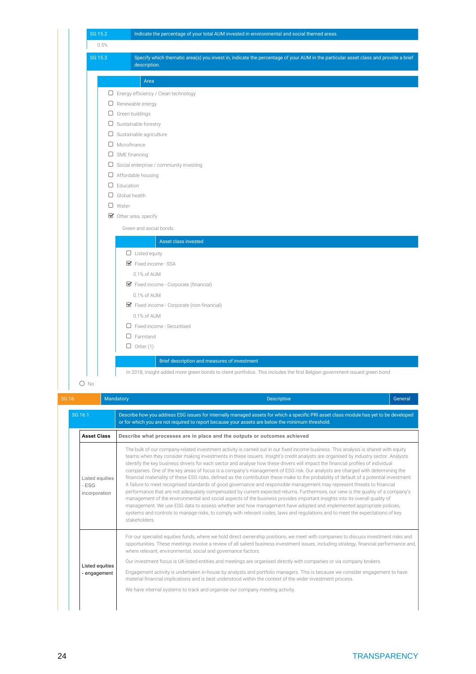

| We have internal systems to track and organise our company meeting activity. |  |  |
|------------------------------------------------------------------------------|--|--|

where relevant, environmental, social and governance factors.

stakeholders.

Listed equities - engagement management of the environmental and social aspects of the business provides important insights into its overall quality of management. We use ESG data to assess whether and how management have adopted and implemented appropriate policies, systems and controls to manage risks, to comply with relevant codes, laws and regulations and to meet the expectations of key

Our investment focus is UK-listed entities and meetings are organised directly with companies or via company brokers.

material financial implications and is best understood within the context of the wider investment process.

For our specialist equities funds, where we hold direct ownership positions, we meet with companies to discuss investment risks and opportunities. These meetings involve a review of all salient business investment issues, including strategy, financial performance and,

Engagement activity is undertaken in-house by analysts and portfolio managers. This is because we consider engagement to have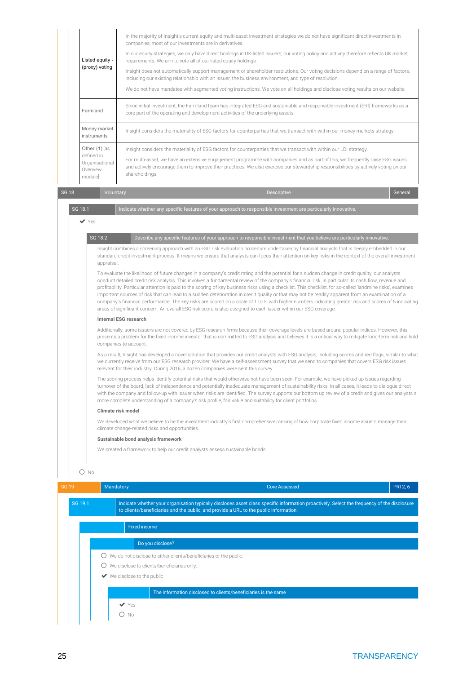| Listed equity -<br>(proxy) voting                                    | In the majority of Insight's current equity and multi-asset investment strategies we do not have significant direct investments in<br>companies; most of our investments are in derivatives.<br>In our equity strategies, we only have direct holdings in UK-listed issuers; our voting policy and activity therefore reflects UK market<br>requirements. We aim to vote all of our listed equity holdings.<br>Insight does not automatically support management or shareholder resolutions. Our voting decisions depend on a range of factors,<br>including our existing relationship with an issuer, the business environment, and type of resolution.<br>We do not have mandates with segmented voting instructions. We vote on all holdings and disclose voting results on our website. |
|----------------------------------------------------------------------|---------------------------------------------------------------------------------------------------------------------------------------------------------------------------------------------------------------------------------------------------------------------------------------------------------------------------------------------------------------------------------------------------------------------------------------------------------------------------------------------------------------------------------------------------------------------------------------------------------------------------------------------------------------------------------------------------------------------------------------------------------------------------------------------|
| Farmland                                                             | Since initial investment, the Farmland team has integrated ESG and sustainable and responsible investment (SRI) frameworks as a<br>core part of the operating and development activities of the underlying assets.                                                                                                                                                                                                                                                                                                                                                                                                                                                                                                                                                                          |
| Money market<br>instruments                                          | Insight considers the materiality of ESG factors for counterparties that we transact with within our money markets strategy.                                                                                                                                                                                                                                                                                                                                                                                                                                                                                                                                                                                                                                                                |
| Other $(1)$ as<br>defined in<br>Organisational<br>Overview<br>module | Insight considers the materiality of ESG factors for counterparties that we transact with within our LDI strategy.<br>For multi-asset, we have an extensive engagement programme with companies and as part of this, we frequently raise ESG issues<br>and actively encourage them to improve their practices. We also exercise our stewardship responsibilities by actively voting on our<br>shareholdings.                                                                                                                                                                                                                                                                                                                                                                                |

SG 18 | Voluntary | Descriptive | General

SG 18.1 Indicate whether any specific features of your approach to responsible investment are particu  $\vee$  Yes SG 18.2 **Describe any specific features of your approach to responsible investment that you believe are particularly innovative.** Insight combines a screening approach with an ESG risk evaluation procedure undertaken by financial analysts that is deeply embedded in our standard credit investment process. It means we ensure that analysts can focus their attention on key risks in the context of the overall investment appraisal. To evaluate the likelihood of future changes in a company's credit rating and the potential for a sudden change in credit quality, our analysts conduct detailed credit risk analysis. This involves a fundamental review of the company's financial risk, in particular its cash flow, revenue and profitability. Particular attention is paid to the scoring of key business risks using a checklist. This checklist, for so-called 'landmine risks', examines important sources of risk that can lead to a sudden deterioration in credit quality or that may not be readily apparent from an examination of a company's financial performance. The key risks are scored on a scale of 1 to 5, with higher numbers indicating greater risk and scores of 5 indicating areas of significant concern. An overall ESG risk score is also assigned to each issuer within our ESG coverage. **Internal ESG research** Additionally, some issuers are not covered by ESG research firms because their coverage levels are based around popular indices. However, this presents a problem for the fixed income investor that is committed to ESG analysis and believes it is a critical way to mitigate long-term risk and hold companies to account. As a result, Insight has developed a novel solution that provides our credit analysts with ESG analysis, including scores and red flags, similar to what we currently receive from our ESG research provider. We have a self-assessment survey that we send to companies that covers ESG risk issues relevant for their industry. During 2016, a dozen companies were sent this survey. The scoring process helps identify potential risks that would otherwise not have been seen. For example, we have picked up issues regarding turnover of the board, lack of independence and potentially inadequate management of sustainability risks. In all cases, it leads to dialogue direct with the company and follow-up with issuer when risks are identified. The survey supports our bottom up review of a credit and gives our analysts a more complete understanding of a company's risk profile, fair value and suitability for client portfolios. **Climate risk model** We developed what we believe to be the investment industry's first comprehensive ranking of how corporate fixed income issuers manage their climate change-related risks and opportunities. **Sustainable bond analysis framework** We created a framework to help our credit analysts assess sustainable bonds.  $O$  No SG 19 Mandatory **Music PRI 2, 6** Mandatory Core Assessed PRI 2, 6 Mandatory Core Assessed PRI 2, 6 Mandatory PRI 2, 6

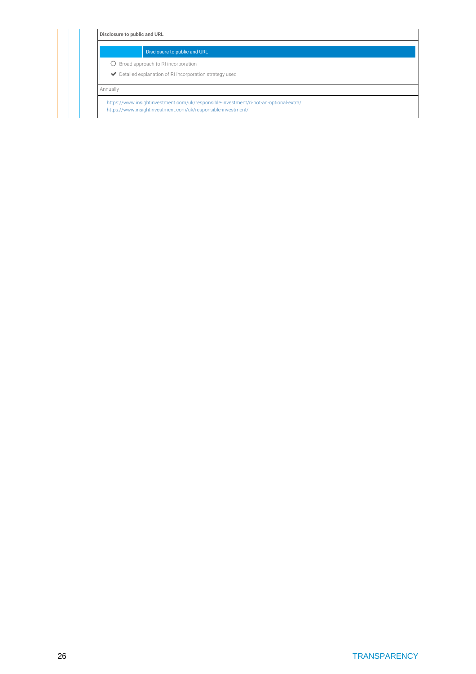Disclosure to public and URL

 $O$  Broad approach to RI incorporation

 $\blacktriangleright$  Detailed explanation of RI incorporation strategy used

Annually

<https://www.insightinvestment.com/uk/responsible-investment/ri-not-an-optional-extra/> <https://www.insightinvestment.com/uk/responsible-investment/>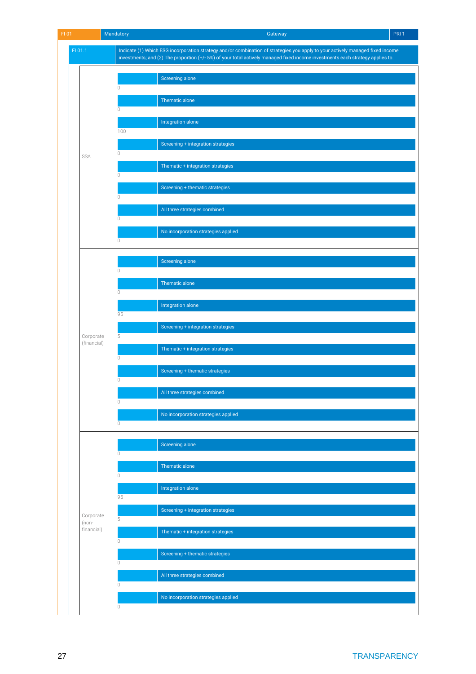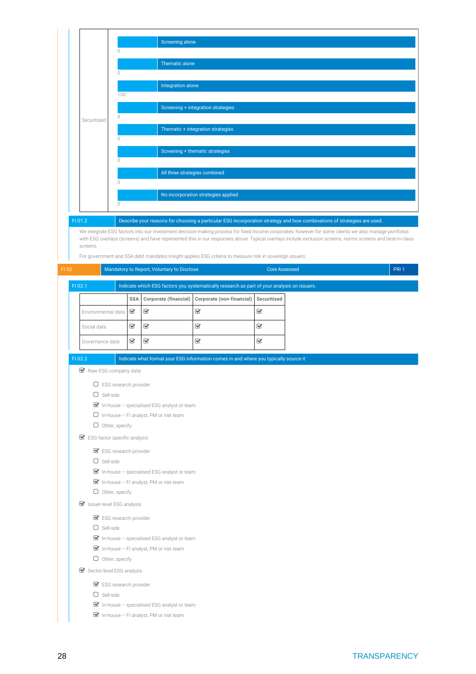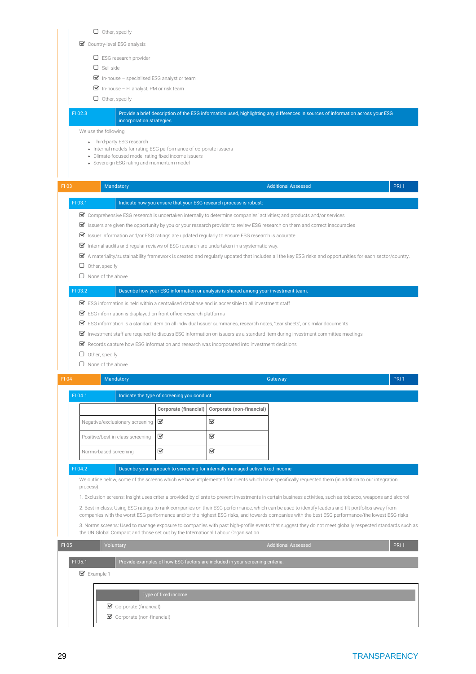$\Box$  Other, specify

Country-level ESG analysis

- ESG research provider
- $\Box$  Sell-side
- $\triangleright$  In-house specialised ESG analyst or team
- $\blacksquare$  In-house FI analyst, PM or risk team
- $\Box$  Other, specify

### FI 02.3 Provide a brief description of the ESG information used, highlighting any differences in sources of information across your ESG incorporation strategies.

We use the following:

- Third-party ESG research
- Internal models for rating ESG performance of corporate issuers
- Climate-focused model rating fixed income issuers
- Sovereign ESG rating and momentum model

| FI 03 |         | Mandatory                                                                                                             |                                             |                                                                                     | <b>Additional Assessed</b>                                                                                                                                                                                                                                                                             | PRI <sub>1</sub> |
|-------|---------|-----------------------------------------------------------------------------------------------------------------------|---------------------------------------------|-------------------------------------------------------------------------------------|--------------------------------------------------------------------------------------------------------------------------------------------------------------------------------------------------------------------------------------------------------------------------------------------------------|------------------|
|       | FI 03.1 |                                                                                                                       |                                             | Indicate how you ensure that your ESG research process is robust:                   |                                                                                                                                                                                                                                                                                                        |                  |
|       |         |                                                                                                                       |                                             |                                                                                     | Comprehensive ESG research is undertaken internally to determine companies' activities; and products and/or services                                                                                                                                                                                   |                  |
|       |         |                                                                                                                       |                                             |                                                                                     | $\blacktriangleright$ Issuers are given the opportunity by you or your research provider to review ESG research on them and correct inaccuracies                                                                                                                                                       |                  |
|       |         | $\blacktriangleright$ Issuer information and/or ESG ratings are updated regularly to ensure ESG research is accurate  |                                             |                                                                                     |                                                                                                                                                                                                                                                                                                        |                  |
|       |         | ■ Internal audits and regular reviews of ESG research are undertaken in a systematic way.                             |                                             |                                                                                     |                                                                                                                                                                                                                                                                                                        |                  |
|       |         |                                                                                                                       |                                             |                                                                                     | $\triangledown$ A materiality/sustainability framework is created and regularly updated that includes all the key ESG risks and opportunities for each sector/country.                                                                                                                                 |                  |
|       | $\Box$  | Other, specify                                                                                                        |                                             |                                                                                     |                                                                                                                                                                                                                                                                                                        |                  |
|       |         | $\Box$ None of the above                                                                                              |                                             |                                                                                     |                                                                                                                                                                                                                                                                                                        |                  |
|       | FI 03.2 |                                                                                                                       |                                             | Describe how your ESG information or analysis is shared among your investment team. |                                                                                                                                                                                                                                                                                                        |                  |
|       |         | $\blacktriangleright$ ESG information is held within a centralised database and is accessible to all investment staff |                                             |                                                                                     |                                                                                                                                                                                                                                                                                                        |                  |
|       |         | ■ ESG information is displayed on front office research platforms                                                     |                                             |                                                                                     |                                                                                                                                                                                                                                                                                                        |                  |
|       |         |                                                                                                                       |                                             |                                                                                     | ■ ESG information is a standard item on all individual issuer summaries, research notes, 'tear sheets', or similar documents                                                                                                                                                                           |                  |
|       |         |                                                                                                                       |                                             |                                                                                     | Investment staff are required to discuss ESG information on issuers as a standard item during investment committee meetings                                                                                                                                                                            |                  |
|       |         | Records capture how ESG information and research was incorporated into investment decisions                           |                                             |                                                                                     |                                                                                                                                                                                                                                                                                                        |                  |
|       |         | $\Box$ Other, specify                                                                                                 |                                             |                                                                                     |                                                                                                                                                                                                                                                                                                        |                  |
|       |         | $\Box$ None of the above                                                                                              |                                             |                                                                                     |                                                                                                                                                                                                                                                                                                        |                  |
| FI 04 |         | Mandatory                                                                                                             |                                             |                                                                                     | Gateway                                                                                                                                                                                                                                                                                                | PRI <sub>1</sub> |
|       | FI 04.1 |                                                                                                                       | Indicate the type of screening you conduct. |                                                                                     |                                                                                                                                                                                                                                                                                                        |                  |
|       |         |                                                                                                                       | Corporate (financial)                       | Corporate (non-financial)                                                           |                                                                                                                                                                                                                                                                                                        |                  |
|       |         | Negative/exclusionary screening                                                                                       | $\heartsuit$                                | $\mathbf{\overline{S}}$                                                             |                                                                                                                                                                                                                                                                                                        |                  |
|       |         | Positive/best-in-class screening                                                                                      | $\overline{\mathbf{S}}$                     | $\mathbf{\overline{S}}$                                                             |                                                                                                                                                                                                                                                                                                        |                  |
|       |         | Norms-based screening                                                                                                 | V                                           | $\heartsuit$                                                                        |                                                                                                                                                                                                                                                                                                        |                  |
|       |         |                                                                                                                       |                                             |                                                                                     |                                                                                                                                                                                                                                                                                                        |                  |
|       | FI 04.2 |                                                                                                                       |                                             | Describe your approach to screening for internally managed active fixed income      |                                                                                                                                                                                                                                                                                                        |                  |
|       |         | process).                                                                                                             |                                             |                                                                                     | We outline below, some of the screens which we have implemented for clients which have specifically requested them (in addition to our integration                                                                                                                                                     |                  |
|       |         |                                                                                                                       |                                             |                                                                                     | 1. Exclusion screens: Insight uses criteria provided by clients to prevent investments in certain business activities, such as tobacco, weapons and alcohol                                                                                                                                            |                  |
|       |         |                                                                                                                       |                                             |                                                                                     | 2. Best in class: Using ESG ratings to rank companies on their ESG performance, which can be used to identify leaders and tilt portfolios away from<br>companies with the worst ESG performance and/or the highest ESG risks, and towards companies with the best ESG performance/the lowest ESG risks |                  |
|       |         | the UN Global Compact and those set out by the International Labour Organisation                                      |                                             |                                                                                     | 3. Norms screens: Used to manage exposure to companies with past high-profile events that suggest they do not meet globally respected standards such as                                                                                                                                                |                  |
| FI 05 |         | Voluntary                                                                                                             |                                             |                                                                                     | <b>Additional Assessed</b>                                                                                                                                                                                                                                                                             | PRI <sub>1</sub> |
|       | FI 05.1 |                                                                                                                       |                                             | Provide examples of how ESG factors are included in your screening criteria.        |                                                                                                                                                                                                                                                                                                        |                  |
|       |         | ■ Example 1                                                                                                           |                                             |                                                                                     |                                                                                                                                                                                                                                                                                                        |                  |
|       |         |                                                                                                                       |                                             |                                                                                     |                                                                                                                                                                                                                                                                                                        |                  |
|       |         |                                                                                                                       | Type of fixed income                        |                                                                                     |                                                                                                                                                                                                                                                                                                        |                  |
|       |         | $\blacktriangleright$ Corporate (financial)                                                                           |                                             |                                                                                     |                                                                                                                                                                                                                                                                                                        |                  |
|       |         | Corporate (non-financial)                                                                                             |                                             |                                                                                     |                                                                                                                                                                                                                                                                                                        |                  |
|       |         |                                                                                                                       |                                             |                                                                                     |                                                                                                                                                                                                                                                                                                        |                  |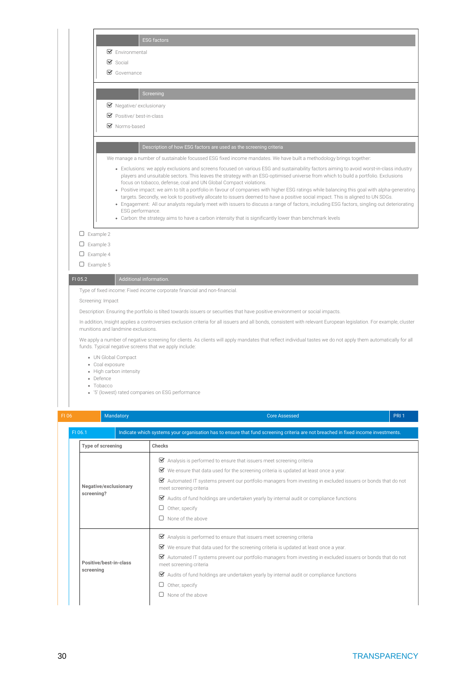|         | <b>ESG factors</b>                                                        |                                                                                                                                                                                                                                                                                |                  |
|---------|---------------------------------------------------------------------------|--------------------------------------------------------------------------------------------------------------------------------------------------------------------------------------------------------------------------------------------------------------------------------|------------------|
|         | $\mathcal G$ Environmental                                                |                                                                                                                                                                                                                                                                                |                  |
|         | $\triangleright$ Social                                                   |                                                                                                                                                                                                                                                                                |                  |
|         | $\mathcal G$ Governance                                                   |                                                                                                                                                                                                                                                                                |                  |
|         |                                                                           |                                                                                                                                                                                                                                                                                |                  |
|         | Screening                                                                 |                                                                                                                                                                                                                                                                                |                  |
|         | ■ Negative/ exclusionary                                                  |                                                                                                                                                                                                                                                                                |                  |
|         | Positive/best-in-class                                                    |                                                                                                                                                                                                                                                                                |                  |
|         | ■ Norms-based                                                             |                                                                                                                                                                                                                                                                                |                  |
|         |                                                                           | Description of how ESG factors are used as the screening criteria                                                                                                                                                                                                              |                  |
|         |                                                                           | We manage a number of sustainable focussed ESG fixed income mandates. We have built a methodology brings together:                                                                                                                                                             |                  |
|         |                                                                           | • Exclusions: we apply exclusions and screens focused on various ESG and sustainability factors aiming to avoid worst-in-class industry<br>players and unsuitable sectors. This leaves the strategy with an ESG-optimised universe from which to build a portfolio. Exclusions |                  |
|         | focus on tobacco, defense, coal and UN Global Compact violations.         | • Positive impact: we aim to tilt a portfolio in favour of companies with higher ESG ratings while balancing this goal with alpha-generating                                                                                                                                   |                  |
|         |                                                                           | targets. Secondly, we look to positively allocate to issuers deemed to have a positive social impact. This is aligned to UN SDGs.                                                                                                                                              |                  |
|         | ESG performance.                                                          | • Engagement: All our analysts regularly meet with issuers to discuss a range of factors, including ESG factors, singling out deteriorating                                                                                                                                    |                  |
|         |                                                                           | • Carbon: the strategy aims to have a carbon intensity that is significantly lower than benchmark levels                                                                                                                                                                       |                  |
|         | $\Box$ Example 2                                                          |                                                                                                                                                                                                                                                                                |                  |
|         | $\Box$ Example 3                                                          |                                                                                                                                                                                                                                                                                |                  |
|         | $\Box$ Example 4                                                          |                                                                                                                                                                                                                                                                                |                  |
|         | $\Box$ Example 5                                                          |                                                                                                                                                                                                                                                                                |                  |
| FI 05.2 | Additional information.                                                   |                                                                                                                                                                                                                                                                                |                  |
|         | Type of fixed income: Fixed income corporate financial and non-financial. |                                                                                                                                                                                                                                                                                |                  |
|         | Screening: Impact                                                         |                                                                                                                                                                                                                                                                                |                  |
|         |                                                                           | Description: Ensuring the portfolio is tilted towards issuers or securities that have positive environment or social impacts.                                                                                                                                                  |                  |
|         | munitions and landmine exclusions.                                        | In addition, Insight applies a controversies exclusion criteria for all issuers and all bonds, consistent with relevant European legislation. For example, cluster                                                                                                             |                  |
|         | funds. Typical negative screens that we apply include:                    | We apply a number of negative screening for clients. As clients will apply mandates that reflect individual tastes we do not apply them automatically for all                                                                                                                  |                  |
|         | • UN Global Compact                                                       |                                                                                                                                                                                                                                                                                |                  |
|         | • Coal exposure<br>• High carbon intensity                                |                                                                                                                                                                                                                                                                                |                  |
|         | • Defence                                                                 |                                                                                                                                                                                                                                                                                |                  |
|         | • Tobacco<br>· '5' (lowest) rated companies on ESG performance            |                                                                                                                                                                                                                                                                                |                  |
|         |                                                                           |                                                                                                                                                                                                                                                                                |                  |
|         |                                                                           |                                                                                                                                                                                                                                                                                |                  |
| $FI$ 06 | Mandatory                                                                 | Core Assessed                                                                                                                                                                                                                                                                  | PRI <sub>1</sub> |

| FI 06.1                             | Indicate which systems your organisation has to ensure that fund screening criteria are not breached in fixed income investments.                                                                                                                                                                                                                                                                                                                                       |
|-------------------------------------|-------------------------------------------------------------------------------------------------------------------------------------------------------------------------------------------------------------------------------------------------------------------------------------------------------------------------------------------------------------------------------------------------------------------------------------------------------------------------|
| Type of screening                   | Checks                                                                                                                                                                                                                                                                                                                                                                                                                                                                  |
| Negative/exclusionary<br>screening? | Analysis is performed to ensure that issuers meet screening criteria<br>☑<br>We ensure that data used for the screening criteria is updated at least once a year.<br>☑<br>☑<br>Automated IT systems prevent our portfolio managers from investing in excluded issuers or bonds that do not<br>meet screening criteria<br>Audits of fund holdings are undertaken yearly by internal audit or compliance functions<br>☑<br>Other, specify<br>u<br>None of the above       |
| Positive/best-in-class<br>screening | Analysis is performed to ensure that issuers meet screening criteria<br>■ We ensure that data used for the screening criteria is updated at least once a year.<br>$\triangledown$<br>Automated IT systems prevent our portfolio managers from investing in excluded issuers or bonds that do not<br>meet screening criteria<br>Audits of fund holdings are undertaken yearly by internal audit or compliance functions<br>⊻<br>Other, specify<br>u<br>None of the above |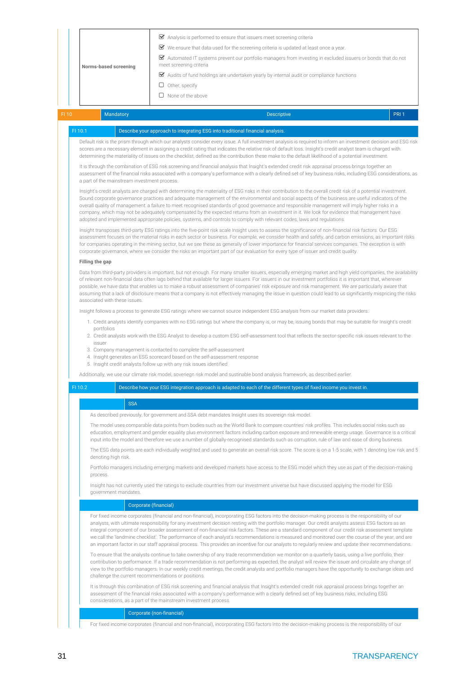|                                              |                                                                                                                                                                                                                           | Analysis is performed to ensure that issuers meet screening criteria                                                                                                                                                                                                                                                                                                                                                                                                                                                                                                                                                                                                                                                                                                          |                  |
|----------------------------------------------|---------------------------------------------------------------------------------------------------------------------------------------------------------------------------------------------------------------------------|-------------------------------------------------------------------------------------------------------------------------------------------------------------------------------------------------------------------------------------------------------------------------------------------------------------------------------------------------------------------------------------------------------------------------------------------------------------------------------------------------------------------------------------------------------------------------------------------------------------------------------------------------------------------------------------------------------------------------------------------------------------------------------|------------------|
|                                              |                                                                                                                                                                                                                           | ■ We ensure that data used for the screening criteria is updated at least once a year.                                                                                                                                                                                                                                                                                                                                                                                                                                                                                                                                                                                                                                                                                        |                  |
|                                              |                                                                                                                                                                                                                           | Automated IT systems prevent our portfolio managers from investing in excluded issuers or bonds that do not                                                                                                                                                                                                                                                                                                                                                                                                                                                                                                                                                                                                                                                                   |                  |
| Norms-based screening                        | meet screening criteria                                                                                                                                                                                                   |                                                                                                                                                                                                                                                                                                                                                                                                                                                                                                                                                                                                                                                                                                                                                                               |                  |
|                                              |                                                                                                                                                                                                                           | Audits of fund holdings are undertaken yearly by internal audit or compliance functions                                                                                                                                                                                                                                                                                                                                                                                                                                                                                                                                                                                                                                                                                       |                  |
|                                              | $\Box$ Other, specify                                                                                                                                                                                                     |                                                                                                                                                                                                                                                                                                                                                                                                                                                                                                                                                                                                                                                                                                                                                                               |                  |
|                                              | $\Box$ None of the above                                                                                                                                                                                                  |                                                                                                                                                                                                                                                                                                                                                                                                                                                                                                                                                                                                                                                                                                                                                                               |                  |
| Mandatory                                    |                                                                                                                                                                                                                           | <b>Descriptive</b>                                                                                                                                                                                                                                                                                                                                                                                                                                                                                                                                                                                                                                                                                                                                                            | PRI <sub>1</sub> |
| FI 10.1                                      | Describe your approach to integrating ESG into traditional financial analysis.                                                                                                                                            |                                                                                                                                                                                                                                                                                                                                                                                                                                                                                                                                                                                                                                                                                                                                                                               |                  |
|                                              |                                                                                                                                                                                                                           | Default risk is the prism through which our analysts consider every issue. A full investment analysis is required to inform an investment decision and ESG risk                                                                                                                                                                                                                                                                                                                                                                                                                                                                                                                                                                                                               |                  |
|                                              |                                                                                                                                                                                                                           | scores are a necessary element in assigning a credit rating that indicates the relative risk of default loss. Insight's credit analyst team is charged with<br>determining the materiality of issues on the checklist, defined as the contribution these make to the default likelihood of a potential investment.                                                                                                                                                                                                                                                                                                                                                                                                                                                            |                  |
| a part of the mainstream investment process. |                                                                                                                                                                                                                           | It is through the combination of ESG risk screening and financial analysis that Insight's extended credit risk appraisal process brings together an<br>assessment of the financial risks associated with a company's performance with a clearly defined set of key business risks, including ESG considerations, as                                                                                                                                                                                                                                                                                                                                                                                                                                                           |                  |
|                                              |                                                                                                                                                                                                                           | Insight's credit analysts are charged with determining the materiality of ESG risks in their contribution to the overall credit risk of a potential investment.<br>Sound corporate governance practices and adequate management of the environmental and social aspects of the business are useful indicators of the<br>overall quality of management: a failure to meet recognised standards of good governance and responsible management will imply higher risks in a<br>company, which may not be adequately compensated by the expected returns from an investment in it. We look for evidence that management have                                                                                                                                                      |                  |
|                                              |                                                                                                                                                                                                                           | adopted and implemented appropriate policies, systems, and controls to comply with relevant codes, laws and regulations.                                                                                                                                                                                                                                                                                                                                                                                                                                                                                                                                                                                                                                                      |                  |
|                                              |                                                                                                                                                                                                                           | Insight transposes third-party ESG ratings into the five-point risk scale Insight uses to assess the significance of non-financial risk factors. Our ESG<br>assessment focuses on the material risks in each sector or business. For example, we consider health and safety, and carbon emissions, as important risks<br>for companies operating in the mining sector, but we see these as generally of lower importance for financial services companies. The exception is with<br>corporate governance, where we consider the risks an important part of our evaluation for every type of issuer and credit quality.                                                                                                                                                        |                  |
| Filling the gap                              |                                                                                                                                                                                                                           |                                                                                                                                                                                                                                                                                                                                                                                                                                                                                                                                                                                                                                                                                                                                                                               |                  |
| associated with these issues.                |                                                                                                                                                                                                                           | Data from third-party providers is important, but not enough. For many smaller issuers, especially emerging market and high yield companies, the availability<br>of relevant non-financial data often lags behind that available for larger issuers. For issuers in our investment portfolios it is important that, wherever<br>possible, we have data that enables us to make a robust assessment of companies' risk exposure and risk management. We are particularly aware that<br>assuming that a lack of disclosure means that a company is not effectively managing the issue in question could lead to us significantly mispricing the risks                                                                                                                           |                  |
|                                              |                                                                                                                                                                                                                           | Insight follows a process to generate ESG ratings where we cannot source independent ESG analysis from our market data providers:                                                                                                                                                                                                                                                                                                                                                                                                                                                                                                                                                                                                                                             |                  |
|                                              |                                                                                                                                                                                                                           | 1. Credit analysts identify companies with no ESG ratings but where the company is, or may be, issuing bonds that may be suitable for Insight's credit                                                                                                                                                                                                                                                                                                                                                                                                                                                                                                                                                                                                                        |                  |
| portfolios<br>issuer                         |                                                                                                                                                                                                                           | 2. Credit analysts work with the ESG Analyst to develop a custom ESG self-assessment tool that reflects the sector-specific risk issues relevant to the                                                                                                                                                                                                                                                                                                                                                                                                                                                                                                                                                                                                                       |                  |
|                                              | 3. Company management is contacted to complete the self-assessment<br>4. Insight generates an ESG scorecard based on the self-assessment response<br>5. Insight credit analysts follow up with any risk issues identified |                                                                                                                                                                                                                                                                                                                                                                                                                                                                                                                                                                                                                                                                                                                                                                               |                  |
|                                              |                                                                                                                                                                                                                           | Additionally, we use our climate risk model, soveriegn risk model and sustinable bond analysis framework, as described earlier.                                                                                                                                                                                                                                                                                                                                                                                                                                                                                                                                                                                                                                               |                  |
| FI 10.2                                      |                                                                                                                                                                                                                           | Describe how your ESG integration approach is adapted to each of the different types of fixed income you invest in.                                                                                                                                                                                                                                                                                                                                                                                                                                                                                                                                                                                                                                                           |                  |
|                                              |                                                                                                                                                                                                                           |                                                                                                                                                                                                                                                                                                                                                                                                                                                                                                                                                                                                                                                                                                                                                                               |                  |
| <b>SSA</b>                                   |                                                                                                                                                                                                                           |                                                                                                                                                                                                                                                                                                                                                                                                                                                                                                                                                                                                                                                                                                                                                                               |                  |
|                                              |                                                                                                                                                                                                                           | As described previously, for government and SSA debt mandates Insight uses its sovereign risk model.                                                                                                                                                                                                                                                                                                                                                                                                                                                                                                                                                                                                                                                                          |                  |
|                                              |                                                                                                                                                                                                                           | The model uses comparable data points from bodies such as the World Bank to compare countries' risk profiles. This includes social risks such as<br>education, employment and gender equality plus environment factors including carbon exposure and renewable energy usage. Governance is a critical<br>input into the model and therefore we use a number of globally-recognised standards such as corruption, rule of law and ease of doing business.                                                                                                                                                                                                                                                                                                                      |                  |
| denoting high risk.                          |                                                                                                                                                                                                                           | The ESG data points are each individually weighted and used to generate an overall risk score. The score is on a 1-5 scale, with 1 denoting low risk and 5                                                                                                                                                                                                                                                                                                                                                                                                                                                                                                                                                                                                                    |                  |
| process.                                     |                                                                                                                                                                                                                           | Portfolio managers including emerging markets and developed markets have access to the ESG model which they use as part of the decision-making                                                                                                                                                                                                                                                                                                                                                                                                                                                                                                                                                                                                                                |                  |
| government mandates.                         |                                                                                                                                                                                                                           | Insight has not currently used the ratings to exclude countries from our investment universe but have discussed applying the model for ESG                                                                                                                                                                                                                                                                                                                                                                                                                                                                                                                                                                                                                                    |                  |
|                                              | Corporate (financial)                                                                                                                                                                                                     |                                                                                                                                                                                                                                                                                                                                                                                                                                                                                                                                                                                                                                                                                                                                                                               |                  |
|                                              |                                                                                                                                                                                                                           | For fixed income corporates (financial and non-financial), incorporating ESG factors into the decision-making process is the responsibility of our<br>analysts, with ultimate responsibility for any investment decision resting with the portfolio manager. Our credit analysts assess ESG factors as an<br>integral component of our broader assessment of non-financial risk factors. These are a standard component of our credit risk assessment template<br>we call the 'landmine checklist'. The performance of each analyst's recommendations is measured and monitored over the course of the year, and are<br>an important factor in our staff appraisal process. This provides an incentive for our analysts to regularly review and update their recommendations. |                  |
|                                              | challenge the current recommendations or positions.                                                                                                                                                                       | To ensure that the analysts continue to take ownership of any trade recommendation we monitor on a quarterly basis, using a live portfolio, their<br>contribution to performance. If a trade recommendation is not performing as expected, the analyst will review the issuer and circulate any change of<br>view to the portfolio managers. In our weekly credit meetings, the credit analysts and portfolio managers have the opportunity to exchange ideas and                                                                                                                                                                                                                                                                                                             |                  |
|                                              |                                                                                                                                                                                                                           |                                                                                                                                                                                                                                                                                                                                                                                                                                                                                                                                                                                                                                                                                                                                                                               |                  |

Corporate (non-financial)

For fixed income corporates (financial and non-financial), incorporating ESG factors into the decision-making process is the responsibility of our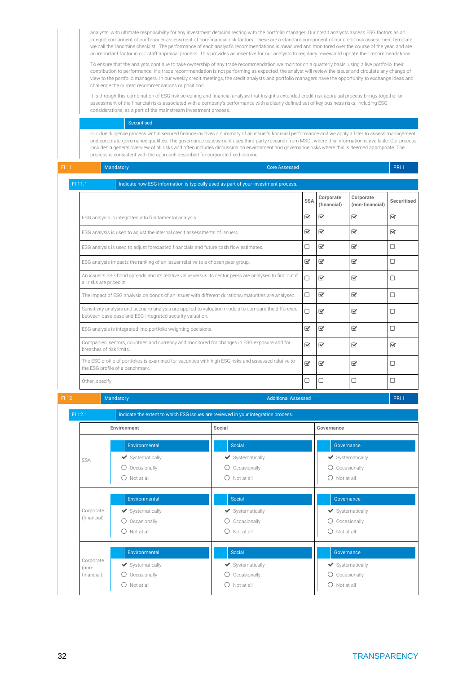analysts, with ultimate responsibility for any investment decision resting with the portfolio manager. Our credit analysts assess ESG factors as an integral component of our broader assessment of non-financial risk factors. These are a standard component of our credit risk assessment template we call the 'landmine checklist'. The performance of each analyst's recommendations is measured and monitored over the course of the year, and are an important factor in our staff appraisal process. This provides an incentive for our analysts to regularly review and update their recommendations.

To ensure that the analysts continue to take ownership of any trade recommendation we monitor on a quarterly basis, using a live portfolio, their contribution to performance. If a trade recommendation is not performing as expected, the analyst will review the issuer and circulate any change of view to the portfolio managers. In our weekly credit meetings, the credit analysts and portfolio managers have the opportunity to exchange ideas and challenge the current recommendations or positions.

It is through this combination of ESG risk screening and financial analysis that Insight's extended credit risk appraisal process brings together an assessment of the financial risks associated with a company's performance with a clearly defined set of key business risks, including ESG considerations, as a part of the mainstream investment process.

### Securitised

Our due diligence process within secured finance involves a summary of an issuer's financial performance and we apply a filter to assess management and corporate governance qualities. The governance assessment uses third-party research from MSCI, where this information is available. Our process includes a general overview of all risks and often includes discussion on environment and governance risks where this is deemed appropriate. The process is consistent with the approach described for corporate fixed income.

| FI 11 |                | <b>Mandatory</b>                                                                                                                                                 | <b>Core Assessed</b> |                            |                          |                              | PRI 1                   |
|-------|----------------|------------------------------------------------------------------------------------------------------------------------------------------------------------------|----------------------|----------------------------|--------------------------|------------------------------|-------------------------|
|       | FI 11.1        | Indicate how ESG information is typically used as part of your investment process.                                                                               |                      |                            |                          |                              |                         |
|       |                |                                                                                                                                                                  |                      | <b>SSA</b>                 | Corporate<br>(financial) | Corporate<br>(non-financial) | Securitised             |
|       |                | ESG analysis is integrated into fundamental analysis                                                                                                             |                      | $\overline{\mathbf{v}}$    | $\heartsuit$             | $\overline{\mathbf{v}}$      | $\overline{\mathbf{v}}$ |
|       |                | ESG analysis is used to adjust the internal credit assessments of issuers.                                                                                       |                      | $\overline{\mathbf{v}}$    | $\heartsuit$             | $\overline{\mathbf{v}}$      | $\overline{\mathbf{v}}$ |
|       |                | ESG analysis is used to adjust forecasted financials and future cash flow estimates.                                                                             |                      | □                          | $\overline{\mathbf{v}}$  | V                            | □                       |
|       |                | ESG analysis impacts the ranking of an issuer relative to a chosen peer group.                                                                                   |                      | $\triangledown$            | $\triangledown$          | $\overline{\mathbf{v}}$      | □                       |
|       |                | An issuer's ESG bond spreads and its relative value versus its sector peers are analysed to find out if<br>all risks are priced in.                              |                      | $\Box$                     | $\mathbf{\overline{S}}$  | $\overline{\mathbf{v}}$      | $\Box$                  |
|       |                | The impact of ESG analysis on bonds of an issuer with different durations/maturities are analysed.                                                               |                      | $\Box$                     | $\overline{\mathbf{v}}$  | $\overline{\mathbf{v}}$      | $\Box$                  |
|       |                | Sensitivity analysis and scenario analysis are applied to valuation models to compare the difference<br>between base-case and ESG-integrated security valuation. |                      | $\Box$                     | $\overline{\mathbf{y}}$  | $\overline{\mathbf{v}}$      | П                       |
|       |                | ESG analysis is integrated into portfolio weighting decisions.                                                                                                   |                      | $\triangledown$            | $\overline{\mathbf{y}}$  | $\overline{\mathbf{v}}$      | $\Box$                  |
|       |                | Companies, sectors, countries and currency and monitored for changes in ESG exposure and for<br>breaches of risk limits.                                         |                      | $\overline{\mathbf{v}}$    | $\overline{\mathbf{y}}$  | $\overline{\mathbf{v}}$      | $\overline{\mathbf{v}}$ |
|       |                | The ESG profile of portfolios is examined for securities with high ESG risks and assessed relative to<br>the ESG profile of a benchmark.                         |                      | $\overline{\mathbf{v}}$    | $\overline{\mathbf{y}}$  | $\overline{\mathbf{v}}$      | $\Box$                  |
|       | Other, specify |                                                                                                                                                                  |                      | $\Box$                     | $\Box$                   | ∩                            | ∩                       |
| FI 12 |                | Mandatory                                                                                                                                                        |                      | <b>Additional Assessed</b> |                          |                              | PRI <sub>1</sub>        |

FI 12.1 Indicate the extent to which ESG issues are reviewed in your integration process. **Environment Social Governance** SSA Environmental Systematically O Occasionally  $O$  Not at all Social  $\blacktriangleright$  Systematically O Occasionally  $O$  Not at all Governance Systematically O Occasionally  $O$  Not at all Corporate (financial) Environmental Systematically O Occasionally  $O$  Not at all Social  $\blacktriangleright$  Systematically O Occasionally  $\bigcap$  Not at all Governance  $\blacktriangleright$  Systematically O Occasionally  $O$  Not at all Corporate (nonfinancial) Environmental Systematically O Occasionally  $\bigcap$  Not at all Social  $\blacktriangleright$  Systematically O Occasionally Not at all Governance Systematically O Occasionally  $O$  Not at all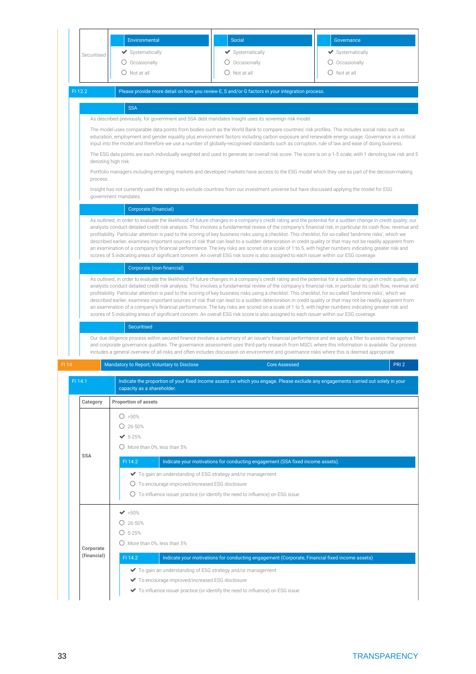| Securitised                                                                                                                                                                                                                                                                                                                                                                                                                                                                                  |          | Environmental<br>◆ Systematically<br>O Occasionally<br>$\bigcirc$ Not at all                                        | <b>Social</b><br>◆ Systematically<br>O Occasionally<br>$\bigcirc$ Not at all                                                                 | Governance<br>◆ Systematically<br>O Occasionally<br>$\bigcirc$ Not at all                                                                                                                                                                                                                                       |  |
|----------------------------------------------------------------------------------------------------------------------------------------------------------------------------------------------------------------------------------------------------------------------------------------------------------------------------------------------------------------------------------------------------------------------------------------------------------------------------------------------|----------|---------------------------------------------------------------------------------------------------------------------|----------------------------------------------------------------------------------------------------------------------------------------------|-----------------------------------------------------------------------------------------------------------------------------------------------------------------------------------------------------------------------------------------------------------------------------------------------------------------|--|
| FI 12.2                                                                                                                                                                                                                                                                                                                                                                                                                                                                                      |          |                                                                                                                     | Please provide more detail on how you review E, S and/or G factors in your integration process.                                              |                                                                                                                                                                                                                                                                                                                 |  |
|                                                                                                                                                                                                                                                                                                                                                                                                                                                                                              |          | <b>SSA</b>                                                                                                          |                                                                                                                                              |                                                                                                                                                                                                                                                                                                                 |  |
|                                                                                                                                                                                                                                                                                                                                                                                                                                                                                              |          |                                                                                                                     | As described previously, for government and SSA debt mandates Insight uses its sovereign risk model.                                         |                                                                                                                                                                                                                                                                                                                 |  |
|                                                                                                                                                                                                                                                                                                                                                                                                                                                                                              |          |                                                                                                                     |                                                                                                                                              | The model uses comparable data points from bodies such as the World Bank to compare countries' risk profiles. This includes social risks such as                                                                                                                                                                |  |
|                                                                                                                                                                                                                                                                                                                                                                                                                                                                                              |          |                                                                                                                     |                                                                                                                                              | education, employment and gender equality plus environment factors including carbon exposure and renewable energy usage. Governance is a critical<br>input into the model and therefore we use a number of globally-recognised standards such as corruption, rule of law and ease of doing business.            |  |
|                                                                                                                                                                                                                                                                                                                                                                                                                                                                                              |          |                                                                                                                     |                                                                                                                                              | The ESG data points are each individually weighted and used to generate an overall risk score. The score is on a 1-5 scale, with 1 denoting low risk and 5                                                                                                                                                      |  |
|                                                                                                                                                                                                                                                                                                                                                                                                                                                                                              |          | denoting high risk.                                                                                                 |                                                                                                                                              |                                                                                                                                                                                                                                                                                                                 |  |
|                                                                                                                                                                                                                                                                                                                                                                                                                                                                                              |          |                                                                                                                     |                                                                                                                                              | Portfolio managers including emerging markets and developed markets have access to the ESG model which they use as part of the decision-making                                                                                                                                                                  |  |
|                                                                                                                                                                                                                                                                                                                                                                                                                                                                                              | process. |                                                                                                                     | Insight has not currently used the ratings to exclude countries from our investment universe but have discussed applying the model for ESG   |                                                                                                                                                                                                                                                                                                                 |  |
|                                                                                                                                                                                                                                                                                                                                                                                                                                                                                              |          | government mandates.                                                                                                |                                                                                                                                              |                                                                                                                                                                                                                                                                                                                 |  |
|                                                                                                                                                                                                                                                                                                                                                                                                                                                                                              |          | Corporate (financial)                                                                                               |                                                                                                                                              |                                                                                                                                                                                                                                                                                                                 |  |
| As outlined, in order to evaluate the likelihood of future changes in a company's credit rating and the potential for a sudden change in credit quality, our<br>analysts conduct detailed credit risk analysis. This involves a fundamental review of the company's financial risk, in particular its cash flow, revenue and<br>profitability. Particular attention is paid to the scoring of key business risks using a checklist. This checklist, for so-called 'landmine risks', which we |          |                                                                                                                     |                                                                                                                                              |                                                                                                                                                                                                                                                                                                                 |  |
|                                                                                                                                                                                                                                                                                                                                                                                                                                                                                              |          |                                                                                                                     |                                                                                                                                              |                                                                                                                                                                                                                                                                                                                 |  |
|                                                                                                                                                                                                                                                                                                                                                                                                                                                                                              |          |                                                                                                                     | scores of 5 indicating areas of significant concern. An overall ESG risk score is also assigned to each issuer within our ESG coverage.      | an examination of a company's financial performance. The key risks are scored on a scale of 1 to 5, with higher numbers indicating greater risk and                                                                                                                                                             |  |
|                                                                                                                                                                                                                                                                                                                                                                                                                                                                                              |          |                                                                                                                     |                                                                                                                                              |                                                                                                                                                                                                                                                                                                                 |  |
|                                                                                                                                                                                                                                                                                                                                                                                                                                                                                              |          | Corporate (non-financial)                                                                                           |                                                                                                                                              |                                                                                                                                                                                                                                                                                                                 |  |
| As outlined, in order to evaluate the likelihood of future changes in a company's credit rating and the potential for a sudden change in credit quality, our<br>analysts conduct detailed credit risk analysis. This involves a fundamental review of the company's financial risk, in particular its cash flow, revenue and<br>profitability. Particular attention is paid to the scoring of key business risks using a checklist. This checklist, for so-called 'landmine risks', which we |          |                                                                                                                     |                                                                                                                                              |                                                                                                                                                                                                                                                                                                                 |  |
|                                                                                                                                                                                                                                                                                                                                                                                                                                                                                              |          |                                                                                                                     |                                                                                                                                              |                                                                                                                                                                                                                                                                                                                 |  |
|                                                                                                                                                                                                                                                                                                                                                                                                                                                                                              |          |                                                                                                                     |                                                                                                                                              |                                                                                                                                                                                                                                                                                                                 |  |
|                                                                                                                                                                                                                                                                                                                                                                                                                                                                                              |          |                                                                                                                     | scores of 5 indicating areas of significant concern. An overall ESG risk score is also assigned to each issuer within our ESG coverage.      | described earlier, examines important sources of risk that can lead to a sudden deterioration in credit quality or that may not be readily apparent from<br>an examination of a company's financial performance. The key risks are scored on a scale of 1 to 5, with higher numbers indicating greater risk and |  |
|                                                                                                                                                                                                                                                                                                                                                                                                                                                                                              |          | Securitised                                                                                                         |                                                                                                                                              |                                                                                                                                                                                                                                                                                                                 |  |
|                                                                                                                                                                                                                                                                                                                                                                                                                                                                                              |          |                                                                                                                     |                                                                                                                                              | Our due diligence process within secured finance involves a summary of an issuer's financial performance and we apply a filter to assess management                                                                                                                                                             |  |
|                                                                                                                                                                                                                                                                                                                                                                                                                                                                                              |          |                                                                                                                     |                                                                                                                                              | and corporate governance qualities. The governance assessment uses third-party research from MSCI, where this information is available. Our process                                                                                                                                                             |  |
|                                                                                                                                                                                                                                                                                                                                                                                                                                                                                              |          |                                                                                                                     | includes a general overview of all risks and often includes discussion on environment and governance risks where this is deemed appropriate. |                                                                                                                                                                                                                                                                                                                 |  |
| FI 14                                                                                                                                                                                                                                                                                                                                                                                                                                                                                        |          | Mandatory to Report, Voluntary to Disclose                                                                          | <b>Core Assessed</b>                                                                                                                         | PRI <sub>2</sub>                                                                                                                                                                                                                                                                                                |  |
| FI 14.1                                                                                                                                                                                                                                                                                                                                                                                                                                                                                      |          | capacity as a shareholder.                                                                                          |                                                                                                                                              | Indicate the proportion of your fixed income assets on which you engage. Please exclude any engagements carried out solely in your                                                                                                                                                                              |  |
| Category                                                                                                                                                                                                                                                                                                                                                                                                                                                                                     |          | <b>Proportion of assets</b>                                                                                         |                                                                                                                                              |                                                                                                                                                                                                                                                                                                                 |  |
|                                                                                                                                                                                                                                                                                                                                                                                                                                                                                              |          |                                                                                                                     |                                                                                                                                              |                                                                                                                                                                                                                                                                                                                 |  |
|                                                                                                                                                                                                                                                                                                                                                                                                                                                                                              |          | O > 50%<br>$O$ 26-50%                                                                                               |                                                                                                                                              |                                                                                                                                                                                                                                                                                                                 |  |
|                                                                                                                                                                                                                                                                                                                                                                                                                                                                                              |          | $\times$ 5-25%                                                                                                      |                                                                                                                                              |                                                                                                                                                                                                                                                                                                                 |  |
|                                                                                                                                                                                                                                                                                                                                                                                                                                                                                              |          | $\bigcirc$ More than 0%, less than 5%                                                                               |                                                                                                                                              |                                                                                                                                                                                                                                                                                                                 |  |
| <b>SSA</b>                                                                                                                                                                                                                                                                                                                                                                                                                                                                                   |          |                                                                                                                     |                                                                                                                                              |                                                                                                                                                                                                                                                                                                                 |  |
|                                                                                                                                                                                                                                                                                                                                                                                                                                                                                              |          | FI 14.2                                                                                                             | Indicate your motivations for conducting engagement (SSA fixed income assets).                                                               |                                                                                                                                                                                                                                                                                                                 |  |
|                                                                                                                                                                                                                                                                                                                                                                                                                                                                                              |          | ◆ To gain an understanding of ESG strategy and/or management                                                        |                                                                                                                                              |                                                                                                                                                                                                                                                                                                                 |  |
|                                                                                                                                                                                                                                                                                                                                                                                                                                                                                              |          | O To encourage improved/increased ESG disclosure                                                                    |                                                                                                                                              |                                                                                                                                                                                                                                                                                                                 |  |
|                                                                                                                                                                                                                                                                                                                                                                                                                                                                                              |          |                                                                                                                     | $\circ$ To influence issuer practice (or identify the need to influence) on ESG issue                                                        |                                                                                                                                                                                                                                                                                                                 |  |
|                                                                                                                                                                                                                                                                                                                                                                                                                                                                                              |          | $\blacktriangleright$ 50%                                                                                           |                                                                                                                                              |                                                                                                                                                                                                                                                                                                                 |  |
|                                                                                                                                                                                                                                                                                                                                                                                                                                                                                              |          | $O$ 26-50%                                                                                                          |                                                                                                                                              |                                                                                                                                                                                                                                                                                                                 |  |
|                                                                                                                                                                                                                                                                                                                                                                                                                                                                                              |          | $O$ 5-25%                                                                                                           |                                                                                                                                              |                                                                                                                                                                                                                                                                                                                 |  |
|                                                                                                                                                                                                                                                                                                                                                                                                                                                                                              |          | $\bigcirc$ More than 0%, less than 5%                                                                               |                                                                                                                                              |                                                                                                                                                                                                                                                                                                                 |  |
| Corporate<br>(financial)                                                                                                                                                                                                                                                                                                                                                                                                                                                                     |          | FI 14.2                                                                                                             |                                                                                                                                              |                                                                                                                                                                                                                                                                                                                 |  |
|                                                                                                                                                                                                                                                                                                                                                                                                                                                                                              |          |                                                                                                                     | Indicate your motivations for conducting engagement (Corporate, Financial fixed income assets)                                               |                                                                                                                                                                                                                                                                                                                 |  |
|                                                                                                                                                                                                                                                                                                                                                                                                                                                                                              |          | ◆ To gain an understanding of ESG strategy and/or management<br>To encourage improved/increased ESG disclosure<br>✔ |                                                                                                                                              |                                                                                                                                                                                                                                                                                                                 |  |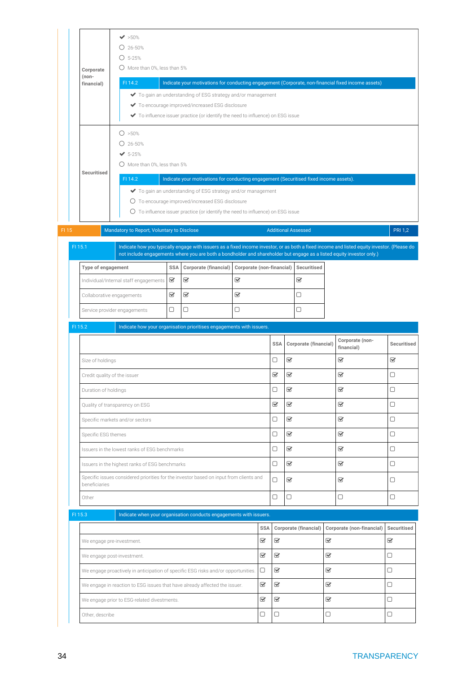| Corporate<br>(non-<br>financial) | $\blacktriangledown$ >50%<br>$O$ 26-50%<br>$O$ 5-25%<br>$\bigcirc$ More than 0%, less than 5%<br>FI 14.2 |              | Indicate your motivations for conducting engagement (Corporate, non-financial fixed income assets)<br>◆ To gain an understanding of ESG strategy and/or management<br>◆ To encourage improved/increased ESG disclosure<br>To influence issuer practice (or identify the need to influence) on ESG issue |                                                                      |                         |                              |                                                  |                                       |                                                          |                                |
|----------------------------------|----------------------------------------------------------------------------------------------------------|--------------|---------------------------------------------------------------------------------------------------------------------------------------------------------------------------------------------------------------------------------------------------------------------------------------------------------|----------------------------------------------------------------------|-------------------------|------------------------------|--------------------------------------------------|---------------------------------------|----------------------------------------------------------|--------------------------------|
| Securitised                      | O > 50%<br>$O$ 26-50%<br>$5 - 25%$<br>$\bigcirc$ More than 0%, less than 5%<br>FI 14.2                   |              | Indicate your motivations for conducting engagement (Securitised fixed income assets).<br>◆ To gain an understanding of ESG strategy and/or management<br>O To encourage improved/increased ESG disclosure<br>$\circ$ To influence issuer practice (or identify the need to influence) on ESG issue     |                                                                      |                         |                              |                                                  |                                       |                                                          |                                |
| FI 15                            | Mandatory to Report, Voluntary to Disclose                                                               |              |                                                                                                                                                                                                                                                                                                         |                                                                      |                         |                              | <b>Additional Assessed</b>                       |                                       |                                                          | <b>PRI 1,2</b>                 |
| FI 15.1                          |                                                                                                          |              | Indicate how you typically engage with issuers as a fixed income investor, or as both a fixed income and listed equity investor. (Please do<br>not include engagements where you are both a bondholder and shareholder but engage as a listed equity investor only.)                                    |                                                                      |                         |                              |                                                  |                                       |                                                          |                                |
| Type of engagement               |                                                                                                          | <b>SSA</b>   | Corporate (financial)                                                                                                                                                                                                                                                                                   | Corporate (non-financial)                                            |                         |                              | Securitised                                      |                                       |                                                          |                                |
|                                  | Individual/Internal staff engagements                                                                    | $\heartsuit$ | $\overline{\mathbf{S}}$                                                                                                                                                                                                                                                                                 | ☑                                                                    |                         |                              | $\overline{\mathbf{S}}$                          |                                       |                                                          |                                |
|                                  | Collaborative engagements                                                                                | V            | $\overline{\mathbf{S}}$                                                                                                                                                                                                                                                                                 | Q                                                                    |                         |                              | $\Box$                                           |                                       |                                                          |                                |
|                                  | Service provider engagements                                                                             | 0            | $\Box$                                                                                                                                                                                                                                                                                                  | 0                                                                    |                         |                              | 0                                                |                                       |                                                          |                                |
| FI 15.2                          |                                                                                                          |              |                                                                                                                                                                                                                                                                                                         | Indicate how your organisation prioritises engagements with issuers. |                         |                              |                                                  |                                       |                                                          |                                |
| Size of holdings                 |                                                                                                          |              |                                                                                                                                                                                                                                                                                                         |                                                                      |                         | <b>SSA</b><br>0              | Corporate (financial)<br>$\overline{\mathbf{S}}$ |                                       | Corporate (non-<br>financial)<br>$\mathbf{\overline{v}}$ | Securitised<br>$\triangledown$ |
|                                  | Credit quality of the issuer                                                                             |              |                                                                                                                                                                                                                                                                                                         |                                                                      |                         | B                            | $\overline{\mathbf{v}}$                          |                                       | $\overline{\mathbf{v}}$                                  | □                              |
| Duration of holdings             |                                                                                                          |              |                                                                                                                                                                                                                                                                                                         |                                                                      |                         | 0                            | $\textcolor{red}{\bm{\mathsf{g}}}$               |                                       | $\mathbf{\overline{S}}$                                  | 0                              |
|                                  | Quality of transparency on ESG                                                                           |              |                                                                                                                                                                                                                                                                                                         |                                                                      |                         | Q                            | $\overline{\mathbf{v}}$                          |                                       | $\mathbf{\overline{v}}$                                  | $\Box$                         |
|                                  | Specific markets and/or sectors                                                                          |              |                                                                                                                                                                                                                                                                                                         |                                                                      |                         | 0                            | Q                                                |                                       | $\mathbf{\overline{S}}$                                  | 0                              |
| Specific ESG themes              |                                                                                                          |              |                                                                                                                                                                                                                                                                                                         |                                                                      |                         | $\Box$                       | Q                                                |                                       | $\mathbf{\overline{S}}$                                  | 0                              |
|                                  | Issuers in the lowest ranks of ESG benchmarks                                                            |              |                                                                                                                                                                                                                                                                                                         |                                                                      |                         | 0                            | Q                                                |                                       | $\overline{\mathbf{v}}$                                  | $\Box$                         |
|                                  | Issuers in the highest ranks of ESG benchmarks                                                           |              |                                                                                                                                                                                                                                                                                                         |                                                                      |                         | $\Box$                       | $\overline{\mathbf{S}}$                          |                                       | $\textcolor{red}{\blacktriangledown}$                    | $\Box$                         |
| beneficiaries                    | Specific issues considered priorities for the investor based on input from clients and                   |              |                                                                                                                                                                                                                                                                                                         |                                                                      |                         | $\Box$                       | $\textcolor{red}{\bm{\mathsf{g}}}$               |                                       | $\overline{\mathbf{v}}$                                  | $\Box$                         |
| Other                            |                                                                                                          |              |                                                                                                                                                                                                                                                                                                         |                                                                      |                         | $\Box$                       | $\Box$                                           |                                       | $\Box$                                                   | $\Box$                         |
| FI 15.3                          |                                                                                                          |              | Indicate when your organisation conducts engagements with issuers.                                                                                                                                                                                                                                      |                                                                      |                         |                              |                                                  |                                       |                                                          |                                |
|                                  |                                                                                                          |              |                                                                                                                                                                                                                                                                                                         |                                                                      | SSA                     |                              | Corporate (financial)                            |                                       | Corporate (non-financial)                                | Securitised                    |
|                                  | We engage pre-investment.                                                                                |              |                                                                                                                                                                                                                                                                                                         |                                                                      | $\overline{\mathbf{S}}$ | $\overline{\mathbf{S}}$      |                                                  | $\textcolor{red}{\blacktriangledown}$ |                                                          | $\overline{\mathbf{S}}$        |
|                                  | We engage post-investment.                                                                               |              |                                                                                                                                                                                                                                                                                                         |                                                                      | $\overline{\mathbf{S}}$ | $\mathbf{\overline{S}}$      |                                                  | Q                                     |                                                          | 0                              |
|                                  | We engage proactively in anticipation of specific ESG risks and/or opportunities.                        |              |                                                                                                                                                                                                                                                                                                         |                                                                      | $\Box$                  | Q                            |                                                  | $\overline{\mathbf{S}}$               |                                                          | 0                              |
|                                  | We engage in reaction to ESG issues that have already affected the issuer.                               |              |                                                                                                                                                                                                                                                                                                         |                                                                      | V                       | $\boldsymbol{\triangledown}$ |                                                  | V                                     |                                                          | 0                              |
|                                  | We engage prior to ESG-related divestments.                                                              |              |                                                                                                                                                                                                                                                                                                         |                                                                      | $\overline{\mathbf{S}}$ | $\mathbf{\overline{S}}$      |                                                  | Q                                     |                                                          | 0                              |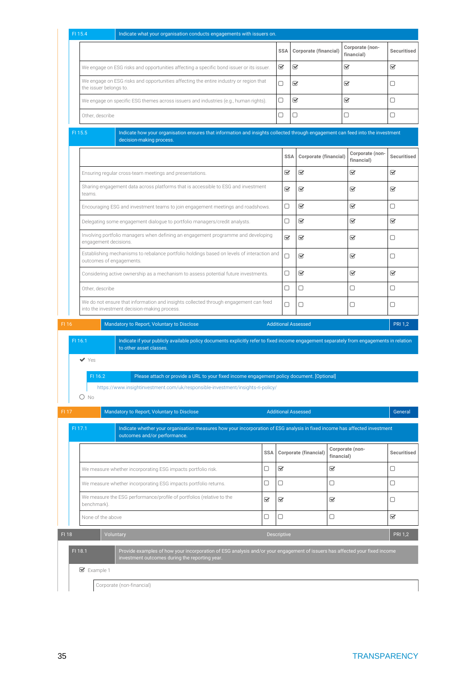|                           | Indicate what your organisation conducts engagements with issuers on.                                                                                                         |            |                         |                              |            |                               |                                          |
|---------------------------|-------------------------------------------------------------------------------------------------------------------------------------------------------------------------------|------------|-------------------------|------------------------------|------------|-------------------------------|------------------------------------------|
|                           |                                                                                                                                                                               |            | <b>SSA</b>              | Corporate (financial)        |            | Corporate (non-<br>financial) | Securitised                              |
|                           | We engage on ESG risks and opportunities affecting a specific bond issuer or its issuer.                                                                                      |            | V                       | $\boldsymbol{\triangledown}$ |            | Q                             | V                                        |
| the issuer belongs to.    | We engage on ESG risks and opportunities affecting the entire industry or region that                                                                                         |            | $\Box$                  | B                            |            | $\overline{\mathbf{v}}$       | □                                        |
|                           | We engage on specific ESG themes across issuers and industries (e.g., human rights).                                                                                          |            | 0                       | V                            |            | V                             | 0                                        |
| Other, describe           |                                                                                                                                                                               |            | 0                       | 0                            |            | 0                             | 0                                        |
| FI 15.5                   | Indicate how your organisation ensures that information and insights collected through engagement can feed into the investment<br>decision-making process.                    |            |                         |                              |            |                               |                                          |
|                           |                                                                                                                                                                               |            | <b>SSA</b>              | Corporate (financial)        |            | Corporate (non-<br>financial) | <b>Securitised</b>                       |
|                           | Ensuring regular cross-team meetings and presentations.                                                                                                                       |            | V                       | $\mathbf{\overline{S}}$      |            | $\mathbf{\overline{S}}$       | V                                        |
| teams.                    | Sharing engagement data across platforms that is accessible to ESG and investment                                                                                             |            | Q                       | $\boldsymbol{\nabla}$        |            | Q                             | V                                        |
|                           | Encouraging ESG and investment teams to join engagement meetings and roadshows.                                                                                               |            | O                       | ☑                            |            | $\heartsuit$                  | 0                                        |
|                           | Delegating some engagement dialogue to portfolio managers/credit analysts.                                                                                                    |            | 0                       | ☑                            |            | V                             | Ø                                        |
| engagement decisions.     | Involving portfolio managers when defining an engagement programme and developing                                                                                             |            | Q                       | $\mathbf{\overline{S}}$      |            | $\overline{\mathbf{v}}$       | □                                        |
|                           | Establishing mechanisms to rebalance portfolio holdings based on levels of interaction and<br>outcomes of engagements.                                                        |            | $\Box$                  | ☑                            |            | $\triangledown$               | □                                        |
|                           | Considering active ownership as a mechanism to assess potential future investments.                                                                                           |            | 0                       | $\mathbf{\overline{S}}$      |            | $\triangledown$               | Ø                                        |
| Other, describe           |                                                                                                                                                                               |            | 0                       | $\Box$                       |            | $\Box$                        | 0                                        |
|                           | We do not ensure that information and insights collected through engagement can feed<br>into the investment decision-making process.                                          |            | 0                       | $\Box$                       |            | $\Box$                        | 0                                        |
| FI 16                     | Mandatory to Report, Voluntary to Disclose                                                                                                                                    |            |                         | <b>Additional Assessed</b>   |            |                               | <b>PRI 1,2</b>                           |
| FI 16.1                   | Indicate if your publicly available policy documents explicitly refer to fixed income engagement separately from engagements in relation<br>to other asset classes.           |            |                         |                              |            |                               |                                          |
| $\blacktriangledown$ Yes  |                                                                                                                                                                               |            |                         |                              |            |                               |                                          |
| FI 16.2<br>$O$ No         | Please attach or provide a URL to your fixed income engagement policy document. [Optional]<br>https://www.insightinvestment.com/uk/responsible-investment/insights-ri-policy/ |            |                         |                              |            |                               |                                          |
|                           | Mandatory to Report, Voluntary to Disclose                                                                                                                                    |            |                         | <b>Additional Assessed</b>   |            |                               |                                          |
| FI 17.1                   | Indicate whether your organisation measures how your incorporation of ESG analysis in fixed income has affected investment<br>outcomes and/or performance.                    |            |                         |                              |            |                               |                                          |
|                           |                                                                                                                                                                               | <b>SSA</b> |                         | Corporate (financial)        | financial) | Corporate (non-               |                                          |
|                           | We measure whether incorporating ESG impacts portfolio risk.                                                                                                                  | 0          | $\mathbf{\overline{S}}$ |                              | Q          |                               | $\Box$                                   |
|                           | We measure whether incorporating ESG impacts portfolio returns.                                                                                                               | 0          | 0                       |                              | 0          |                               | $\Box$                                   |
| benchmark).               | We measure the ESG performance/profile of portfolios (relative to the                                                                                                         | Q          | B                       |                              | Q          |                               | 0                                        |
| None of the above         |                                                                                                                                                                               | 0          | $\Box$                  |                              | $\Box$     |                               | $\overline{\mathbf{v}}$                  |
|                           | Voluntary                                                                                                                                                                     |            | Descriptive             |                              |            |                               |                                          |
| FI 17<br>FI 18<br>FI 18.1 | Provide examples of how your incorporation of ESG analysis and/or your engagement of issuers has affected your fixed income<br>investment outcomes during the reporting year. |            |                         |                              |            |                               | General<br>Securitised<br><b>PRI 1,2</b> |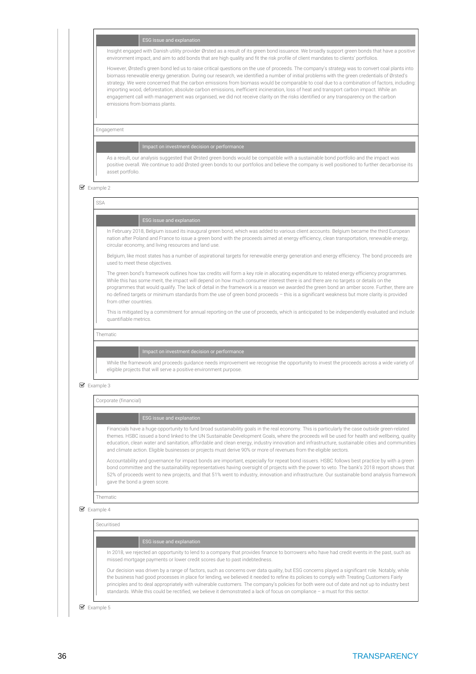### ESG issue and explanation

Insight engaged with Danish utility provider Ørsted as a result of its green bond issuance. We broadly support green bonds that have a positive environment impact, and aim to add bonds that are high quality and fit the risk profile of client mandates to clients' portfolios.

However, Ørsted's green bond led us to raise critical questions on the use of proceeds. The company's strategy was to convert coal plants into biomass renewable energy generation. During our research, we identified a number of initial problems with the green credentials of Ørsted's strategy. We were concerned that the carbon emissions from biomass would be comparable to coal due to a combination of factors, including: importing wood, deforestation, absolute carbon emissions, inefficient incineration, loss of heat and transport carbon impact. While an engagement call with management was organised, we did not receive clarity on the risks identified or any transparency on the carbon emissions from biomass plants.

Engagement

As a result, our analysis suggested that Ørsted green bonds would be compatible with a sustainable bond portfolio and the impact was positive overall. We continue to add Ørsted green bonds to our portfolios and believe the company is well positioned to further decarbonise its asset portfolio.

### Example 2

SSA

## ESG issue and explanation

In February 2018, Belgium issued its inaugural green bond, which was added to various client accounts. Belgium became the third European nation after Poland and France to issue a green bond with the proceeds aimed at energy efficiency, clean transportation, renewable energy, circular economy, and living resources and land use.

Belgium, like most states has a number of aspirational targets for renewable energy generation and energy efficiency. The bond proceeds are used to meet these objectives.

The green bond's framework outlines how tax credits will form a key role in allocating expenditure to related energy efficiency programmes. While this has some merit, the impact will depend on how much consumer interest there is and there are no targets or details on the programmes that would qualify. The lack of detail in the framework is a reason we awarded the green bond an amber score. Further, there are no defined targets or minimum standards from the use of green bond proceeds – this is a significant weakness but more clarity is provided from other countries.

This is mitigated by a commitment for annual reporting on the use of proceeds, which is anticipated to be independently evaluated and include quantifiable metrics.

Thematic

While the framework and proceeds guidance needs improvement we recognise the opportunity to invest the proceeds across a wide variety of eligible projects that will serve a positive environment purpose.

### ■ Example 3

Corporate (financial)

Financials have a huge opportunity to fund broad sustainability goals in the real economy. This is particularly the case outside green-related themes. HSBC issued a bond linked to the UN Sustainable Development Goals, where the proceeds will be used for health and wellbeing, quality education, clean water and sanitation, affordable and clean energy, industry innovation and infrastructure, sustainable cities and communities and climate action. Eligible businesses or projects must derive 90% or more of revenues from the eligible sectors.

Accountability and governance for impact bonds are important, especially for repeat bond issuers. HSBC follows best practice by with a green bond committee and the sustainability representatives having oversight of projects with the power to veto. The bank's 2018 report shows that 52% of proceeds went to new projects, and that 51% went to industry, innovation and infrastructure. Our sustainable bond analysis framework gave the bond a green score.

### Thematic

### ■ Example 4

Securitised

### ESG issue and explanation

In 2018, we rejected an opportunity to lend to a company that provides finance to borrowers who have had credit events in the past, such as missed mortgage payments or lower credit scores due to past indebtedness.

Our decision was driven by a range of factors, such as concerns over data quality, but ESG concerns played a significant role. Notably, while the business had good processes in place for lending, we believed it needed to refine its policies to comply with Treating Customers Fairly principles and to deal appropriately with vulnerable customers. The company's policies for both were out of date and not up to industry best standards. While this could be rectified, we believe it demonstrated a lack of focus on compliance – a must for this sector.

Example 5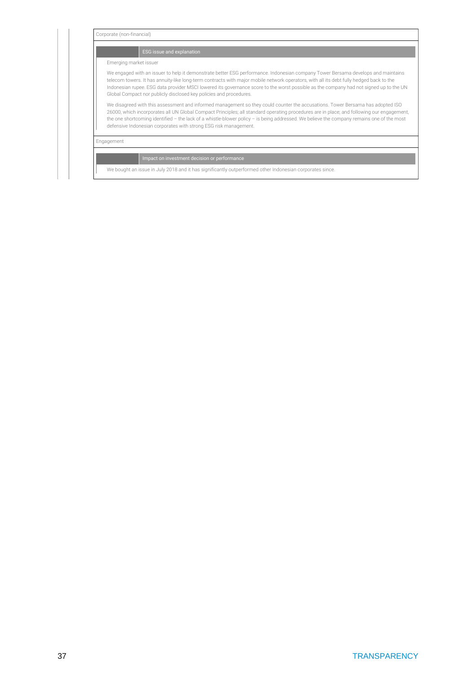| Emerging market issuer<br>We engaged with an issuer to help it demonstrate better ESG performance. Indonesian company Tower Bersama develops and maintains<br>telecom towers. It has annuity-like long-term contracts with major mobile network operators, with all its debt fully hedged back to the<br>Indonesian rupee. ESG data provider MSCI lowered its governance score to the worst possible as the company had not signed up to the UN<br>Global Compact nor publicly disclosed key policies and procedures.<br>We disagreed with this assessment and informed management so they could counter the accusations. Tower Bersama has adopted ISO<br>26000, which incorporates all UN Global Compact Principles; all standard operating procedures are in place; and following our engagement,<br>the one shortcoming identified $-$ the lack of a whistle-blower policy $-$ is being addressed. We believe the company remains one of the most |  |
|-------------------------------------------------------------------------------------------------------------------------------------------------------------------------------------------------------------------------------------------------------------------------------------------------------------------------------------------------------------------------------------------------------------------------------------------------------------------------------------------------------------------------------------------------------------------------------------------------------------------------------------------------------------------------------------------------------------------------------------------------------------------------------------------------------------------------------------------------------------------------------------------------------------------------------------------------------|--|
|                                                                                                                                                                                                                                                                                                                                                                                                                                                                                                                                                                                                                                                                                                                                                                                                                                                                                                                                                       |  |
|                                                                                                                                                                                                                                                                                                                                                                                                                                                                                                                                                                                                                                                                                                                                                                                                                                                                                                                                                       |  |
| defensive Indonesian corporates with strong ESG risk management.                                                                                                                                                                                                                                                                                                                                                                                                                                                                                                                                                                                                                                                                                                                                                                                                                                                                                      |  |
| Engagement                                                                                                                                                                                                                                                                                                                                                                                                                                                                                                                                                                                                                                                                                                                                                                                                                                                                                                                                            |  |
| Impact on investment decision or performance                                                                                                                                                                                                                                                                                                                                                                                                                                                                                                                                                                                                                                                                                                                                                                                                                                                                                                          |  |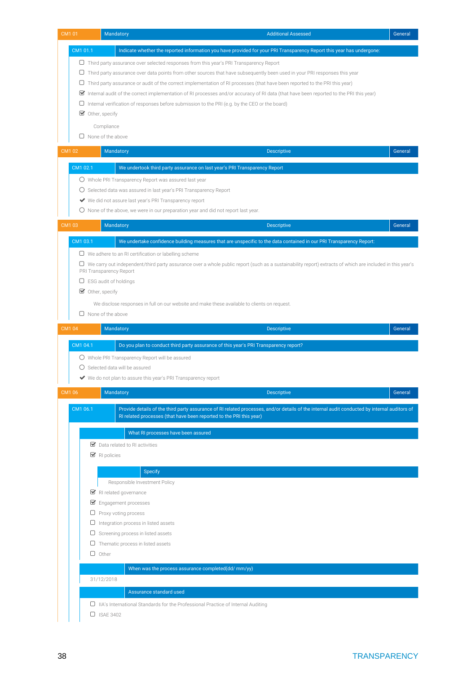| CM101        |          |                                   | Mandatory                                                                                                                                                                                                           | <b>Additional Assessed</b> | General |
|--------------|----------|-----------------------------------|---------------------------------------------------------------------------------------------------------------------------------------------------------------------------------------------------------------------|----------------------------|---------|
|              | CM1 01.1 |                                   | Indicate whether the reported information you have provided for your PRI Transparency Report this year has undergone:                                                                                               |                            |         |
|              |          |                                   | $\Box$ Third party assurance over selected responses from this year's PRI Transparency Report                                                                                                                       |                            |         |
|              | U        |                                   | Third party assurance over data points from other sources that have subsequently been used in your PRI responses this year                                                                                          |                            |         |
|              |          |                                   | $\Box$ Third party assurance or audit of the correct implementation of RI processes (that have been reported to the PRI this year)                                                                                  |                            |         |
|              |          |                                   | $\blacktriangleright$ Internal audit of the correct implementation of RI processes and/or accuracy of RI data (that have been reported to the PRI this year)                                                        |                            |         |
|              |          |                                   | $\Box$ Internal verification of responses before submission to the PRI (e.g. by the CEO or the board)                                                                                                               |                            |         |
|              |          | $\triangleright$ Other, specify   |                                                                                                                                                                                                                     |                            |         |
|              |          | Compliance                        |                                                                                                                                                                                                                     |                            |         |
|              |          | $\Box$ None of the above          |                                                                                                                                                                                                                     |                            |         |
| <b>CM102</b> |          |                                   | Mandatory                                                                                                                                                                                                           | <b>Descriptive</b>         | General |
|              | CM1 02.1 |                                   | We undertook third party assurance on last year's PRI Transparency Report                                                                                                                                           |                            |         |
|              |          |                                   | $\bigcirc$ Whole PRI Transparency Report was assured last year                                                                                                                                                      |                            |         |
|              |          |                                   | $\bigcirc$ Selected data was assured in last year's PRI Transparency Report                                                                                                                                         |                            |         |
|              |          |                                   | ◆ We did not assure last year's PRI Transparency report                                                                                                                                                             |                            |         |
|              |          |                                   | $\bigcirc$ None of the above, we were in our preparation year and did not report last year.                                                                                                                         |                            |         |
| CM103        |          |                                   | Mandatory                                                                                                                                                                                                           | <b>Descriptive</b>         | General |
|              |          |                                   |                                                                                                                                                                                                                     |                            |         |
|              | CM1 03.1 |                                   | We undertake confidence building measures that are unspecific to the data contained in our PRI Transparency Report:                                                                                                 |                            |         |
|              |          |                                   | $\Box$ We adhere to an RI certification or labelling scheme                                                                                                                                                         |                            |         |
|              |          | PRI Transparency Report           | U We carry out independent/third party assurance over a whole public report (such as a sustainability report) extracts of which are included in this year's                                                         |                            |         |
|              |          | $\Box$ ESG audit of holdings      |                                                                                                                                                                                                                     |                            |         |
|              |          | $\triangleright$ Other, specify   |                                                                                                                                                                                                                     |                            |         |
|              |          |                                   | We disclose responses in full on our website and make these available to clients on request.                                                                                                                        |                            |         |
|              |          | $\Box$ None of the above          |                                                                                                                                                                                                                     |                            |         |
| <b>CM104</b> |          |                                   | Mandatory                                                                                                                                                                                                           | <b>Descriptive</b>         | General |
|              | CM1 04.1 |                                   | Do you plan to conduct third party assurance of this year's PRI Transparency report?                                                                                                                                |                            |         |
|              |          |                                   | O Whole PRI Transparency Report will be assured                                                                                                                                                                     |                            |         |
|              |          |                                   | Selected data will be assured                                                                                                                                                                                       |                            |         |
|              |          |                                   | We do not plan to assure this year's PRI Transparency report                                                                                                                                                        |                            |         |
| CM1 06       |          |                                   | Mandatory                                                                                                                                                                                                           | <b>Descriptive</b>         | General |
|              |          |                                   |                                                                                                                                                                                                                     |                            |         |
|              | CM1 06.1 |                                   | Provide details of the third party assurance of RI related processes, and/or details of the internal audit conducted by internal auditors of<br>RI related processes (that have been reported to the PRI this year) |                            |         |
|              |          |                                   |                                                                                                                                                                                                                     |                            |         |
|              |          |                                   | What RI processes have been assured                                                                                                                                                                                 |                            |         |
|              |          | $\blacktriangleright$ RI policies | $\triangleright$ Data related to RI activities                                                                                                                                                                      |                            |         |
|              |          |                                   |                                                                                                                                                                                                                     |                            |         |
|              |          |                                   | <b>Specify</b>                                                                                                                                                                                                      |                            |         |
|              |          |                                   | Responsible Investment Policy                                                                                                                                                                                       |                            |         |
|              |          |                                   | RI related governance                                                                                                                                                                                               |                            |         |
|              |          |                                   | $\blacktriangleright$ Engagement processes                                                                                                                                                                          |                            |         |
|              |          | ◡                                 | $\Box$ Proxy voting process<br>Integration process in listed assets                                                                                                                                                 |                            |         |
|              |          | U                                 | Screening process in listed assets                                                                                                                                                                                  |                            |         |
|              |          | 0                                 | Thematic process in listed assets                                                                                                                                                                                   |                            |         |
|              |          | $\Box$ Other                      |                                                                                                                                                                                                                     |                            |         |
|              |          |                                   | When was the process assurance completed(dd/ mm/yy)                                                                                                                                                                 |                            |         |
|              |          | 31/12/2018                        |                                                                                                                                                                                                                     |                            |         |
|              |          |                                   |                                                                                                                                                                                                                     |                            |         |
|              |          |                                   |                                                                                                                                                                                                                     |                            |         |
|              |          | $\Box$ ISAE 3402                  |                                                                                                                                                                                                                     |                            |         |
|              |          |                                   | Assurance standard used<br>$\Box$ IIA's International Standards for the Professional Practice of Internal Auditing                                                                                                  |                            |         |
|              |          |                                   |                                                                                                                                                                                                                     |                            |         |